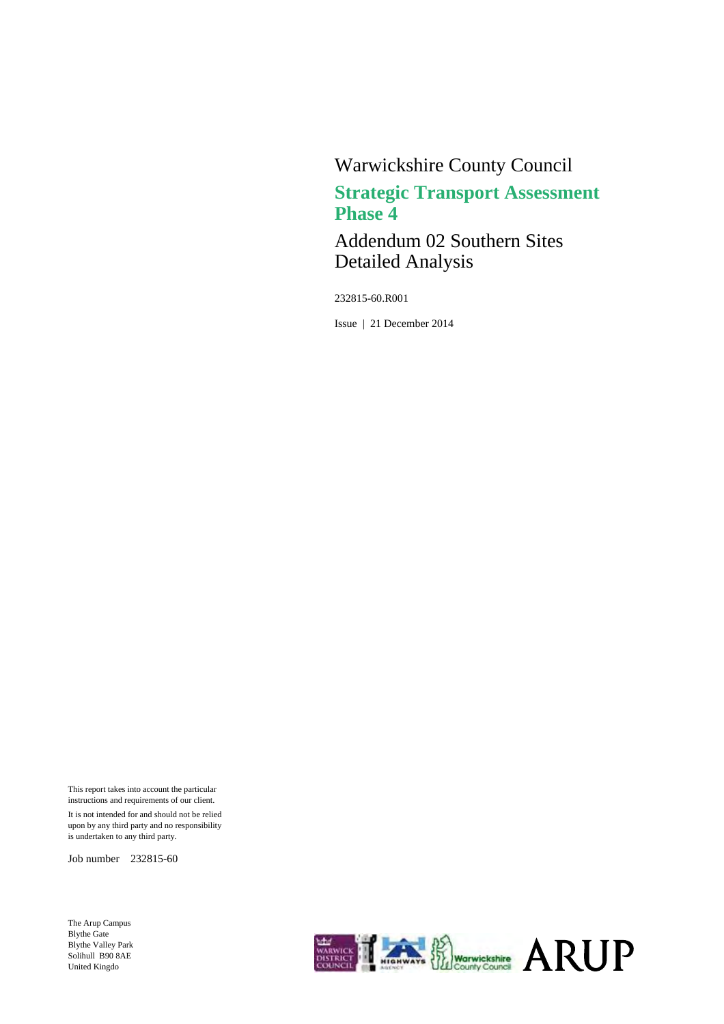# Warwickshire County Council **Strategic Transport Assessment Phase 4**

Addendum 02 Southern Sites Detailed Analysis

232815-60.R001

Issue | 21 December 2014

This report takes into account the particular instructions and requirements of our client. It is not intended for and should not be relied upon by any third party and no responsibility is undertaken to any third party.

Job number 232815-60

The Arup Campus Blythe Gate Blythe Valley Park Solihull B90 8AE United Kingdo

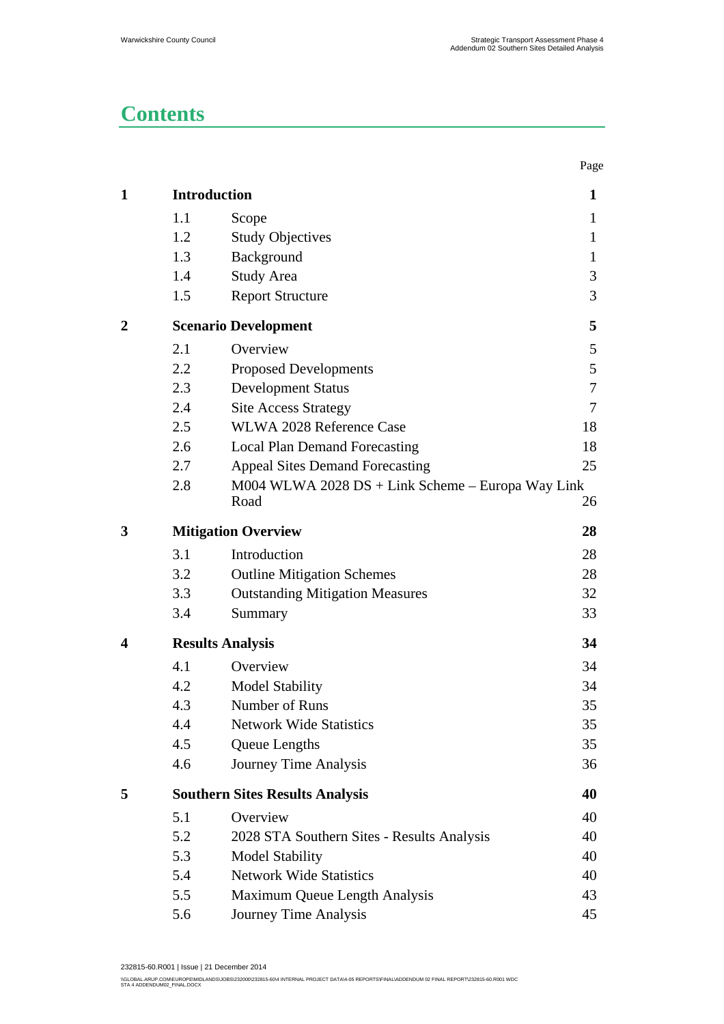# **Contents**

|                |     |                                                             | Page         |
|----------------|-----|-------------------------------------------------------------|--------------|
| $\mathbf{1}$   |     | <b>Introduction</b>                                         | 1            |
|                | 1.1 | Scope                                                       | $\mathbf{1}$ |
|                | 1.2 | <b>Study Objectives</b>                                     | $\mathbf{1}$ |
|                | 1.3 | Background                                                  | $\mathbf{1}$ |
|                | 1.4 | <b>Study Area</b>                                           | 3            |
|                | 1.5 | <b>Report Structure</b>                                     | 3            |
| $\overline{2}$ |     | <b>Scenario Development</b>                                 | 5            |
|                | 2.1 | Overview                                                    | 5            |
|                | 2.2 | <b>Proposed Developments</b>                                | 5            |
|                | 2.3 | <b>Development Status</b>                                   | 7            |
|                | 2.4 | <b>Site Access Strategy</b>                                 | 7            |
|                | 2.5 | WLWA 2028 Reference Case                                    | 18           |
|                | 2.6 | <b>Local Plan Demand Forecasting</b>                        | 18           |
|                | 2.7 | <b>Appeal Sites Demand Forecasting</b>                      | 25           |
|                | 2.8 | $M004$ WLWA 2028 DS + Link Scheme – Europa Way Link<br>Road | 26           |
| 3              |     | <b>Mitigation Overview</b>                                  | 28           |
|                | 3.1 | Introduction                                                | 28           |
|                | 3.2 | <b>Outline Mitigation Schemes</b>                           | 28           |
|                | 3.3 | <b>Outstanding Mitigation Measures</b>                      | 32           |
|                | 3.4 | Summary                                                     | 33           |
| 4              |     | <b>Results Analysis</b>                                     | 34           |
|                | 4.1 | Overview                                                    | 34           |
|                | 4.2 | <b>Model Stability</b>                                      | 34           |
|                | 4.3 | Number of Runs                                              | 35           |
|                | 4.4 | <b>Network Wide Statistics</b>                              | 35           |
|                | 4.5 | Queue Lengths                                               | 35           |
|                | 4.6 | Journey Time Analysis                                       | 36           |
| 5              |     | <b>Southern Sites Results Analysis</b>                      | 40           |
|                | 5.1 | Overview                                                    | 40           |
|                | 5.2 | 2028 STA Southern Sites - Results Analysis                  | 40           |
|                | 5.3 | <b>Model Stability</b>                                      | 40           |
|                | 5.4 | <b>Network Wide Statistics</b>                              | 40           |
|                | 5.5 | Maximum Queue Length Analysis                               | 43           |
|                | 5.6 | Journey Time Analysis                                       | 45           |
|                |     |                                                             |              |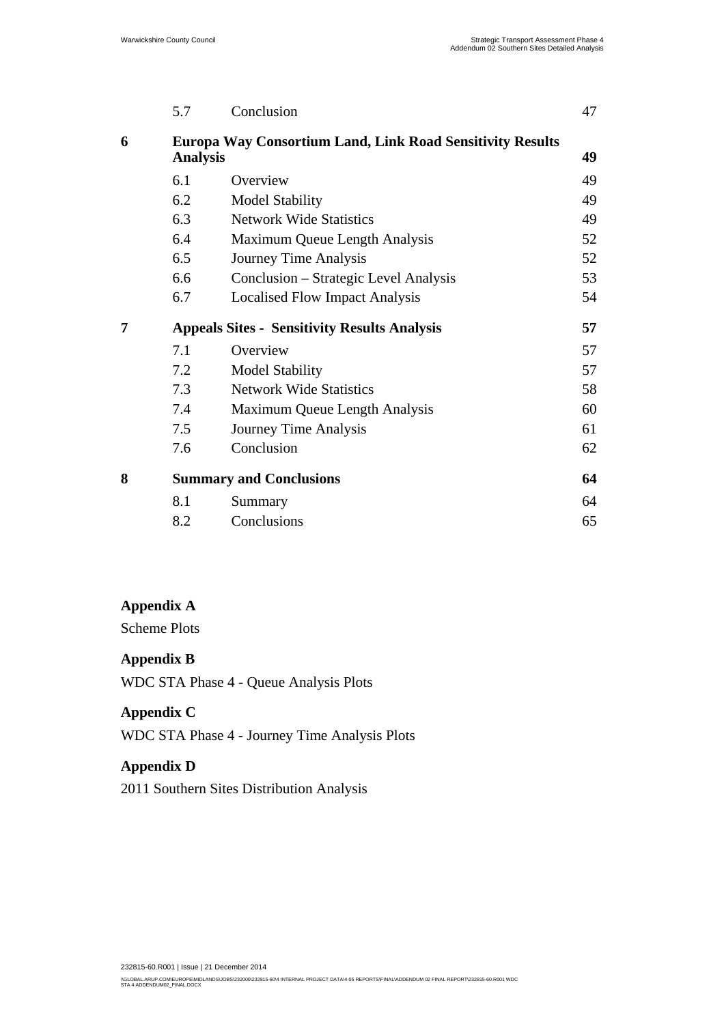|   | 5.7             | Conclusion                                                       | 47 |
|---|-----------------|------------------------------------------------------------------|----|
| 6 |                 | <b>Europa Way Consortium Land, Link Road Sensitivity Results</b> |    |
|   | <b>Analysis</b> |                                                                  | 49 |
|   | 6.1             | Overview                                                         | 49 |
|   | 6.2             | <b>Model Stability</b>                                           | 49 |
|   | 6.3             | <b>Network Wide Statistics</b>                                   | 49 |
|   | 6.4             | Maximum Queue Length Analysis                                    | 52 |
|   | 6.5             | Journey Time Analysis                                            | 52 |
|   | 6.6             | Conclusion – Strategic Level Analysis                            | 53 |
|   | 6.7             | <b>Localised Flow Impact Analysis</b>                            | 54 |
| 7 |                 | <b>Appeals Sites - Sensitivity Results Analysis</b>              | 57 |
|   | 7.1             | Overview                                                         | 57 |
|   | 7.2             | <b>Model Stability</b>                                           | 57 |
|   | 7.3             | <b>Network Wide Statistics</b>                                   | 58 |
|   | 7.4             | Maximum Queue Length Analysis                                    | 60 |
|   | 7.5             | Journey Time Analysis                                            | 61 |
|   | 7.6             | Conclusion                                                       | 62 |
| 8 |                 | <b>Summary and Conclusions</b>                                   | 64 |
|   | 8.1             | Summary                                                          | 64 |
|   | 8.2             | Conclusions                                                      | 65 |

### **Appendix A**

Scheme Plots

### **Appendix B**

WDC STA Phase 4 - Queue Analysis Plots

### **Appendix C**

WDC STA Phase 4 - Journey Time Analysis Plots

### **Appendix D**

2011 Southern Sites Distribution Analysis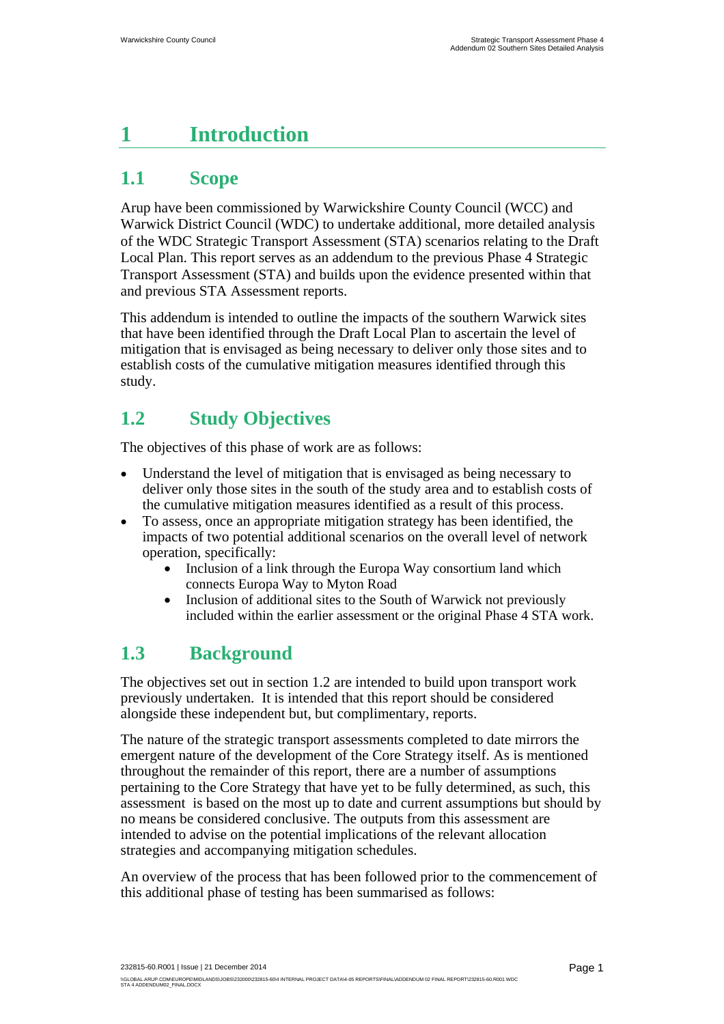# **1 Introduction**

# **1.1 Scope**

Arup have been commissioned by Warwickshire County Council (WCC) and Warwick District Council (WDC) to undertake additional, more detailed analysis of the WDC Strategic Transport Assessment (STA) scenarios relating to the Draft Local Plan. This report serves as an addendum to the previous Phase 4 Strategic Transport Assessment (STA) and builds upon the evidence presented within that and previous STA Assessment reports.

This addendum is intended to outline the impacts of the southern Warwick sites that have been identified through the Draft Local Plan to ascertain the level of mitigation that is envisaged as being necessary to deliver only those sites and to establish costs of the cumulative mitigation measures identified through this study.

# **1.2 Study Objectives**

The objectives of this phase of work are as follows:

- Understand the level of mitigation that is envisaged as being necessary to deliver only those sites in the south of the study area and to establish costs of the cumulative mitigation measures identified as a result of this process.
- To assess, once an appropriate mitigation strategy has been identified, the impacts of two potential additional scenarios on the overall level of network operation, specifically:
	- Inclusion of a link through the Europa Way consortium land which connects Europa Way to Myton Road
	- Inclusion of additional sites to the South of Warwick not previously included within the earlier assessment or the original Phase 4 STA work.

# **1.3 Background**

The objectives set out in section 1.2 are intended to build upon transport work previously undertaken. It is intended that this report should be considered alongside these independent but, but complimentary, reports.

The nature of the strategic transport assessments completed to date mirrors the emergent nature of the development of the Core Strategy itself. As is mentioned throughout the remainder of this report, there are a number of assumptions pertaining to the Core Strategy that have yet to be fully determined, as such, this assessment is based on the most up to date and current assumptions but should by no means be considered conclusive. The outputs from this assessment are intended to advise on the potential implications of the relevant allocation strategies and accompanying mitigation schedules.

An overview of the process that has been followed prior to the commencement of this additional phase of testing has been summarised as follows: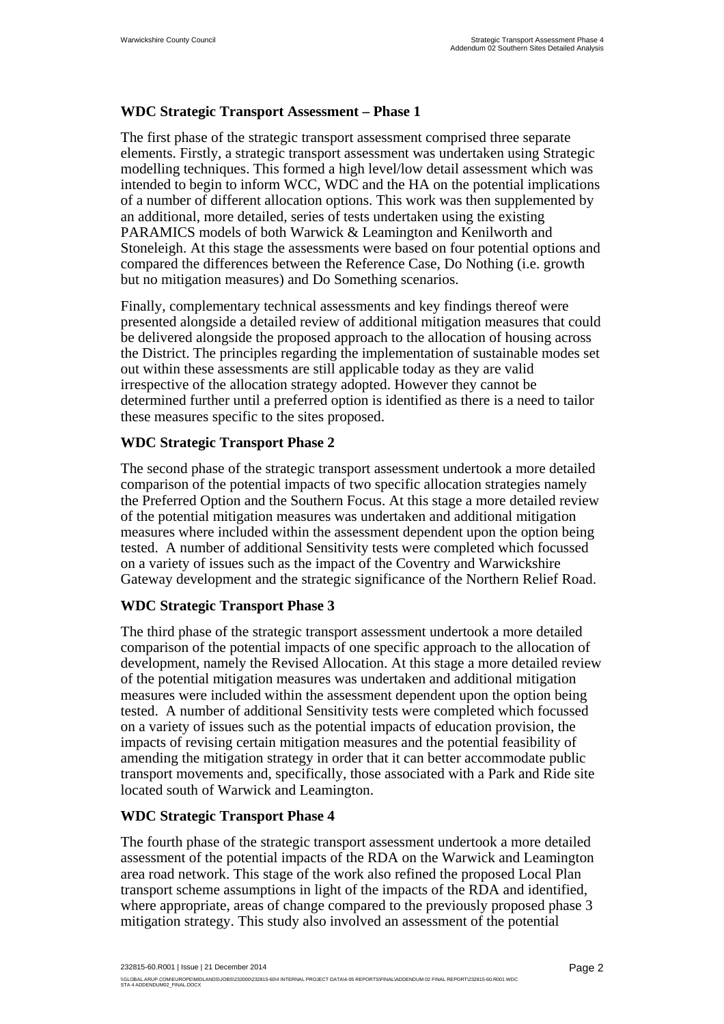### **WDC Strategic Transport Assessment – Phase 1**

The first phase of the strategic transport assessment comprised three separate elements. Firstly, a strategic transport assessment was undertaken using Strategic modelling techniques. This formed a high level/low detail assessment which was intended to begin to inform WCC, WDC and the HA on the potential implications of a number of different allocation options. This work was then supplemented by an additional, more detailed, series of tests undertaken using the existing PARAMICS models of both Warwick & Leamington and Kenilworth and Stoneleigh. At this stage the assessments were based on four potential options and compared the differences between the Reference Case, Do Nothing (i.e. growth but no mitigation measures) and Do Something scenarios.

Finally, complementary technical assessments and key findings thereof were presented alongside a detailed review of additional mitigation measures that could be delivered alongside the proposed approach to the allocation of housing across the District. The principles regarding the implementation of sustainable modes set out within these assessments are still applicable today as they are valid irrespective of the allocation strategy adopted. However they cannot be determined further until a preferred option is identified as there is a need to tailor these measures specific to the sites proposed.

### **WDC Strategic Transport Phase 2**

The second phase of the strategic transport assessment undertook a more detailed comparison of the potential impacts of two specific allocation strategies namely the Preferred Option and the Southern Focus. At this stage a more detailed review of the potential mitigation measures was undertaken and additional mitigation measures where included within the assessment dependent upon the option being tested. A number of additional Sensitivity tests were completed which focussed on a variety of issues such as the impact of the Coventry and Warwickshire Gateway development and the strategic significance of the Northern Relief Road.

### **WDC Strategic Transport Phase 3**

The third phase of the strategic transport assessment undertook a more detailed comparison of the potential impacts of one specific approach to the allocation of development, namely the Revised Allocation. At this stage a more detailed review of the potential mitigation measures was undertaken and additional mitigation measures were included within the assessment dependent upon the option being tested. A number of additional Sensitivity tests were completed which focussed on a variety of issues such as the potential impacts of education provision, the impacts of revising certain mitigation measures and the potential feasibility of amending the mitigation strategy in order that it can better accommodate public transport movements and, specifically, those associated with a Park and Ride site located south of Warwick and Leamington.

### **WDC Strategic Transport Phase 4**

The fourth phase of the strategic transport assessment undertook a more detailed assessment of the potential impacts of the RDA on the Warwick and Leamington area road network. This stage of the work also refined the proposed Local Plan transport scheme assumptions in light of the impacts of the RDA and identified, where appropriate, areas of change compared to the previously proposed phase 3 mitigation strategy. This study also involved an assessment of the potential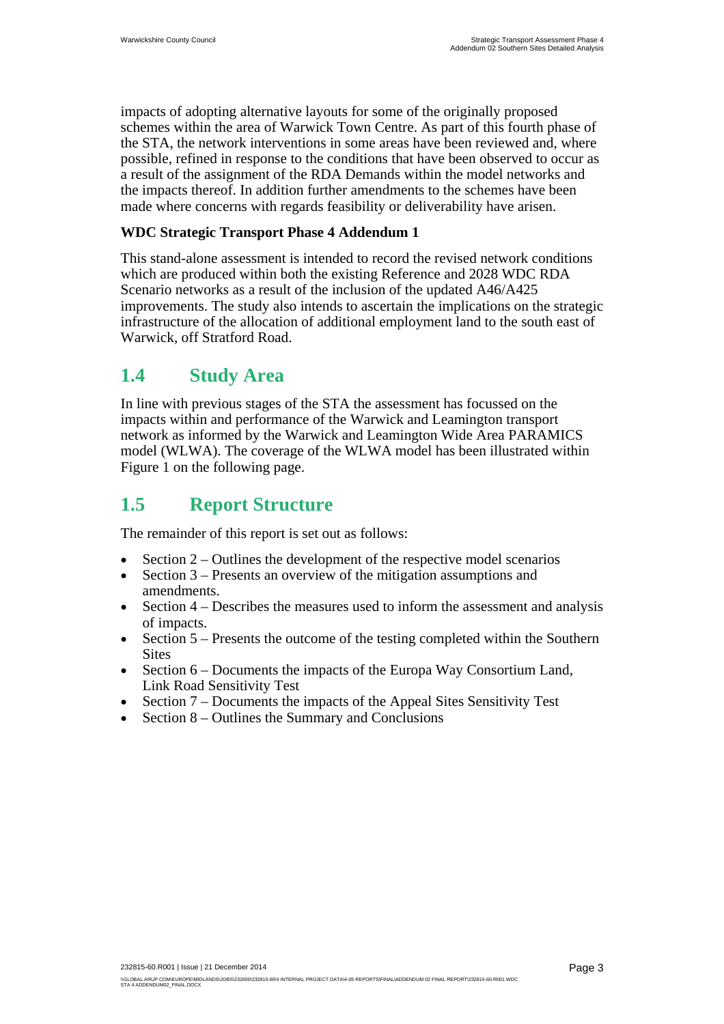impacts of adopting alternative layouts for some of the originally proposed schemes within the area of Warwick Town Centre. As part of this fourth phase of the STA, the network interventions in some areas have been reviewed and, where possible, refined in response to the conditions that have been observed to occur as a result of the assignment of the RDA Demands within the model networks and the impacts thereof. In addition further amendments to the schemes have been made where concerns with regards feasibility or deliverability have arisen.

### **WDC Strategic Transport Phase 4 Addendum 1**

This stand-alone assessment is intended to record the revised network conditions which are produced within both the existing Reference and 2028 WDC RDA Scenario networks as a result of the inclusion of the updated A46/A425 improvements. The study also intends to ascertain the implications on the strategic infrastructure of the allocation of additional employment land to the south east of Warwick, off Stratford Road.

## **1.4 Study Area**

In line with previous stages of the STA the assessment has focussed on the impacts within and performance of the Warwick and Leamington transport network as informed by the Warwick and Leamington Wide Area PARAMICS model (WLWA). The coverage of the WLWA model has been illustrated within Figure 1 on the following page.

# **1.5 Report Structure**

The remainder of this report is set out as follows:

- Section 2 Outlines the development of the respective model scenarios
- Section 3 Presents an overview of the mitigation assumptions and amendments.
- Section 4 Describes the measures used to inform the assessment and analysis of impacts.
- Section 5 Presents the outcome of the testing completed within the Southern Sites
- Section 6 Documents the impacts of the Europa Way Consortium Land, Link Road Sensitivity Test
- Section 7 Documents the impacts of the Appeal Sites Sensitivity Test
- Section 8 Outlines the Summary and Conclusions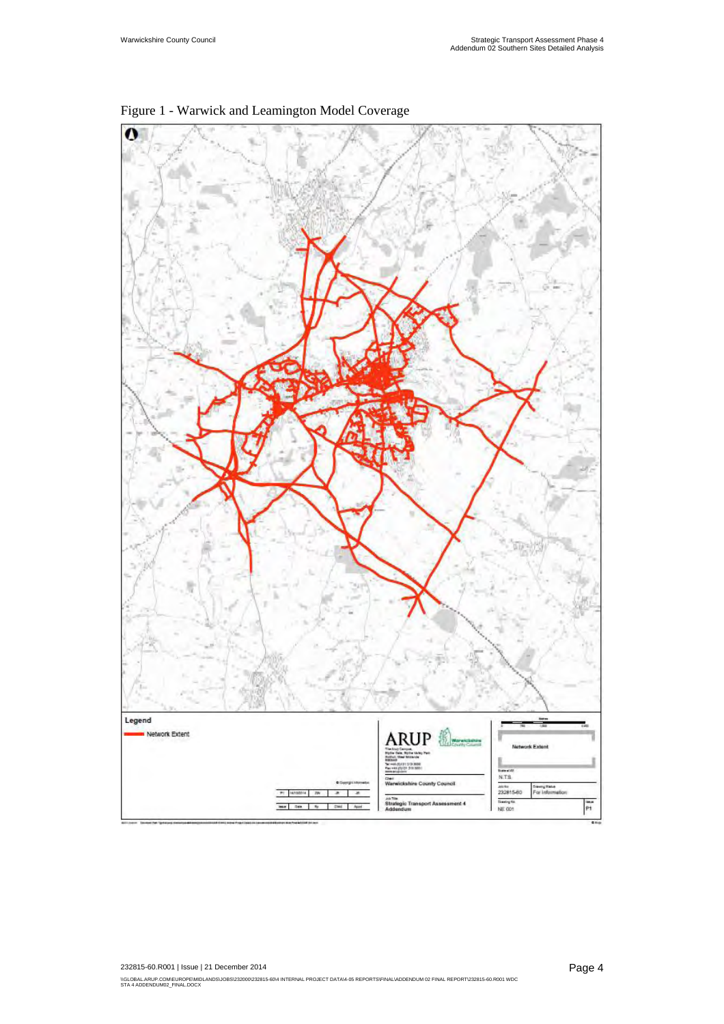

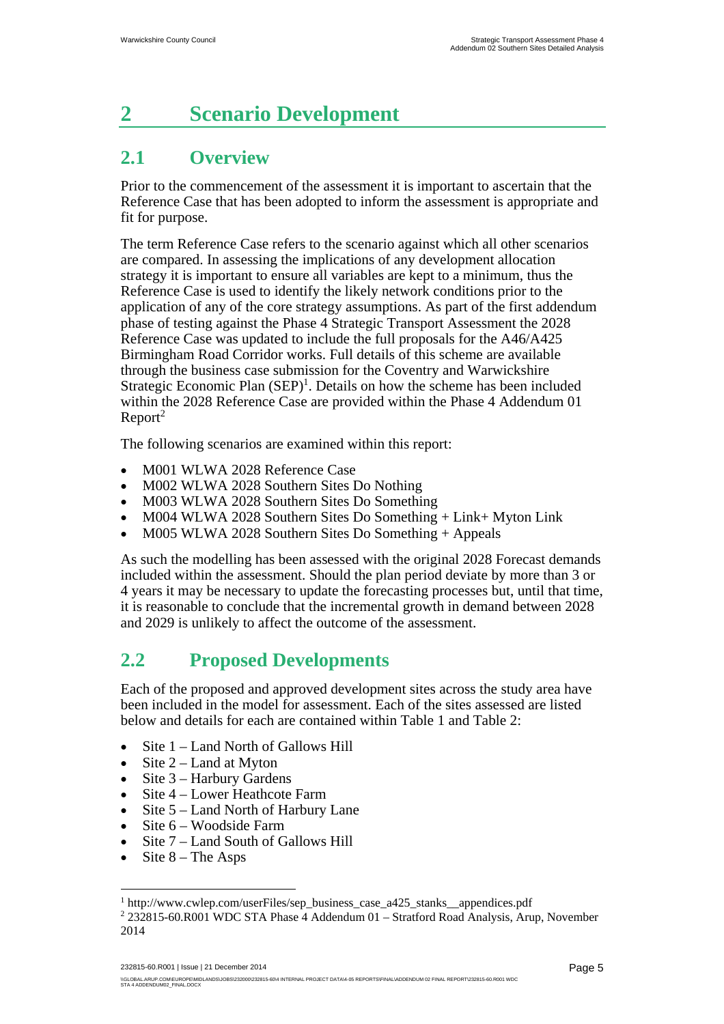# **2 Scenario Development**

# **2.1 Overview**

Prior to the commencement of the assessment it is important to ascertain that the Reference Case that has been adopted to inform the assessment is appropriate and fit for purpose.

The term Reference Case refers to the scenario against which all other scenarios are compared. In assessing the implications of any development allocation strategy it is important to ensure all variables are kept to a minimum, thus the Reference Case is used to identify the likely network conditions prior to the application of any of the core strategy assumptions. As part of the first addendum phase of testing against the Phase 4 Strategic Transport Assessment the 2028 Reference Case was updated to include the full proposals for the A46/A425 Birmingham Road Corridor works. Full details of this scheme are available through the business case submission for the Coventry and Warwickshire Strategic Economic Plan  $(SEP)^1$ . Details on how the scheme has been included within the 2028 Reference Case are provided within the Phase 4 Addendum 01  $Report<sup>2</sup>$ 

The following scenarios are examined within this report:

- M001 WLWA 2028 Reference Case
- M002 WLWA 2028 Southern Sites Do Nothing
- M003 WLWA 2028 Southern Sites Do Something
- M004 WLWA 2028 Southern Sites Do Something + Link+ Myton Link
- M005 WLWA 2028 Southern Sites Do Something + Appeals

As such the modelling has been assessed with the original 2028 Forecast demands included within the assessment. Should the plan period deviate by more than 3 or 4 years it may be necessary to update the forecasting processes but, until that time, it is reasonable to conclude that the incremental growth in demand between 2028 and 2029 is unlikely to affect the outcome of the assessment.

# **2.2 Proposed Developments**

Each of the proposed and approved development sites across the study area have been included in the model for assessment. Each of the sites assessed are listed below and details for each are contained within Table 1 and Table 2:

- Site 1 Land North of Gallows Hill
- Site  $2 -$  Land at Myton
- Site 3 Harbury Gardens
- Site 4 Lower Heathcote Farm
- $\bullet$  Site 5 Land North of Harbury Lane
- Site 6 Woodside Farm
- Site 7 Land South of Gallows Hill
- Site 8 The Asps

 $\overline{a}$ 

232815-60.R001 | Issue | 21 December 2014

<sup>1</sup> http://www.cwlep.com/userFiles/sep\_business\_case\_a425\_stanks\_\_appendices.pdf 2

<sup>&</sup>lt;sup>2</sup> 232815-60.R001 WDC STA Phase 4 Addendum 01 - Stratford Road Analysis, Arup, November 2014

<sup>\\</sup>GLOBAL.ARUP.COM\EUROPE\MIDLANDS\JOBS\232000\232815-60\4 INTERNAL PROJECT DATA\4-05 REPORTSIFINAL\ADDENDUM 02 FINAL REPORT\232815-60.R001 WDC<br>STA 4 ADDENDUM02\_FINAL.DOCX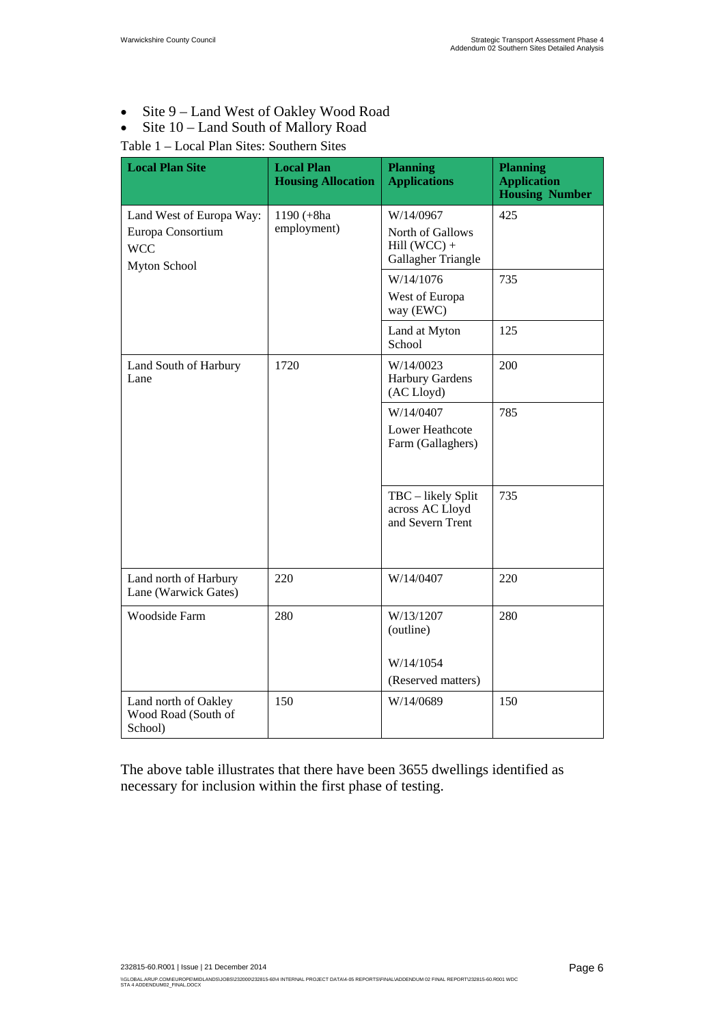- Site 9 Land West of Oakley Wood Road
- Site 10 Land South of Mallory Road

### Table 1 – Local Plan Sites: Southern Sites

| <b>Local Plan Site</b>                                                                                          | <b>Local Plan</b><br><b>Housing Allocation</b> | <b>Planning</b><br><b>Applications</b>                                | <b>Planning</b><br><b>Application</b><br><b>Housing Number</b> |
|-----------------------------------------------------------------------------------------------------------------|------------------------------------------------|-----------------------------------------------------------------------|----------------------------------------------------------------|
| Land West of Europa Way:<br>1190 (+8ha<br>employment)<br>Europa Consortium<br><b>WCC</b><br><b>Myton School</b> |                                                | W/14/0967<br>North of Gallows<br>$Hill (WCC) +$<br>Gallagher Triangle | 425                                                            |
|                                                                                                                 |                                                | W/14/1076<br>West of Europa<br>way (EWC)                              | 735                                                            |
|                                                                                                                 |                                                | Land at Myton<br>School                                               | 125                                                            |
| Land South of Harbury<br>Lane                                                                                   | 1720                                           | W/14/0023<br><b>Harbury Gardens</b><br>(AC Lloyd)                     | 200                                                            |
|                                                                                                                 |                                                | W/14/0407<br>Lower Heathcote<br>Farm (Gallaghers)                     | 785                                                            |
|                                                                                                                 |                                                | TBC - likely Split<br>across AC Lloyd<br>and Severn Trent             | 735                                                            |
| Land north of Harbury<br>Lane (Warwick Gates)                                                                   | 220                                            | W/14/0407                                                             | 220                                                            |
| Woodside Farm                                                                                                   | 280                                            | W/13/1207<br>(outline)<br>W/14/1054                                   | 280                                                            |
|                                                                                                                 |                                                | (Reserved matters)                                                    |                                                                |
| Land north of Oakley<br>Wood Road (South of<br>School)                                                          | 150                                            | W/14/0689                                                             | 150                                                            |

The above table illustrates that there have been 3655 dwellings identified as necessary for inclusion within the first phase of testing.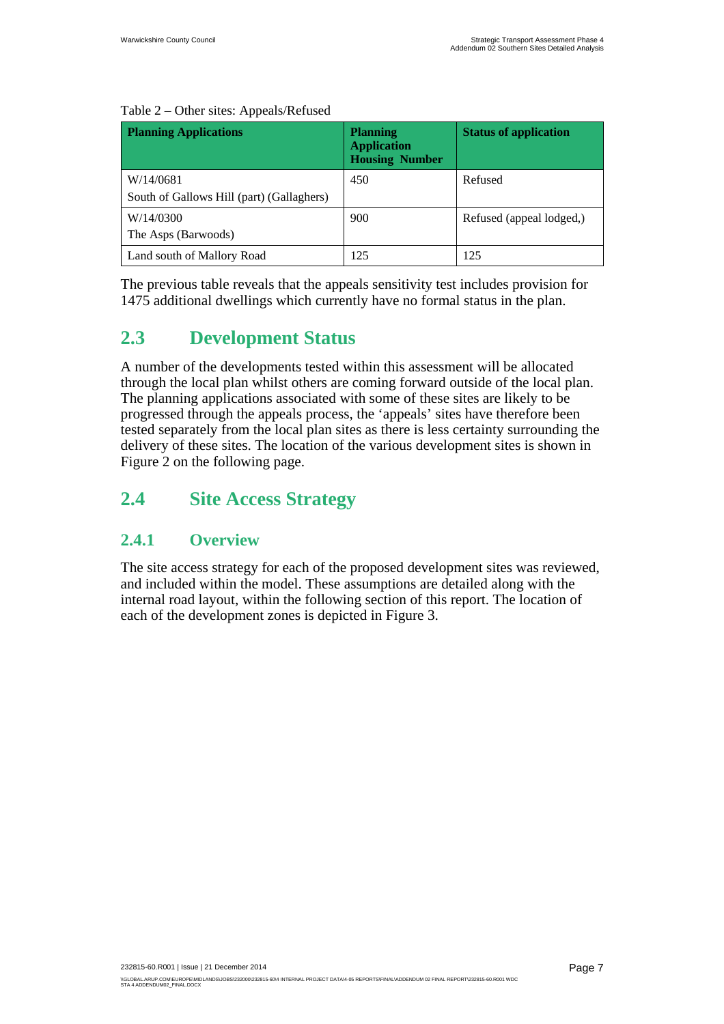| <b>Planning Applications</b>                           | <b>Planning</b><br><b>Application</b><br><b>Housing Number</b> | <b>Status of application</b> |
|--------------------------------------------------------|----------------------------------------------------------------|------------------------------|
| W/14/0681<br>South of Gallows Hill (part) (Gallaghers) | 450                                                            | Refused                      |
| W/14/0300<br>The Asps (Barwoods)                       | 900                                                            | Refused (appeal lodged,)     |
| Land south of Mallory Road                             | 125                                                            | 125                          |

#### Table 2 – Other sites: Appeals/Refused

The previous table reveals that the appeals sensitivity test includes provision for 1475 additional dwellings which currently have no formal status in the plan.

## **2.3 Development Status**

A number of the developments tested within this assessment will be allocated through the local plan whilst others are coming forward outside of the local plan. The planning applications associated with some of these sites are likely to be progressed through the appeals process, the 'appeals' sites have therefore been tested separately from the local plan sites as there is less certainty surrounding the delivery of these sites. The location of the various development sites is shown in Figure 2 on the following page.

## **2.4 Site Access Strategy**

### **2.4.1 Overview**

The site access strategy for each of the proposed development sites was reviewed, and included within the model. These assumptions are detailed along with the internal road layout, within the following section of this report. The location of each of the development zones is depicted in Figure 3.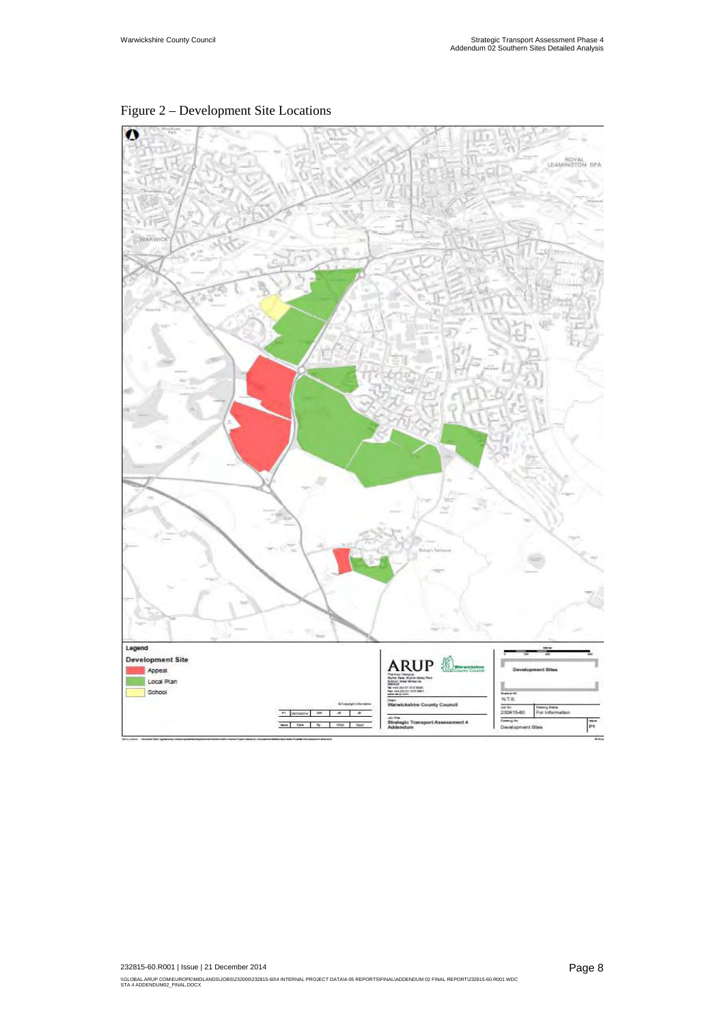

Figure 2 – Development Site Locations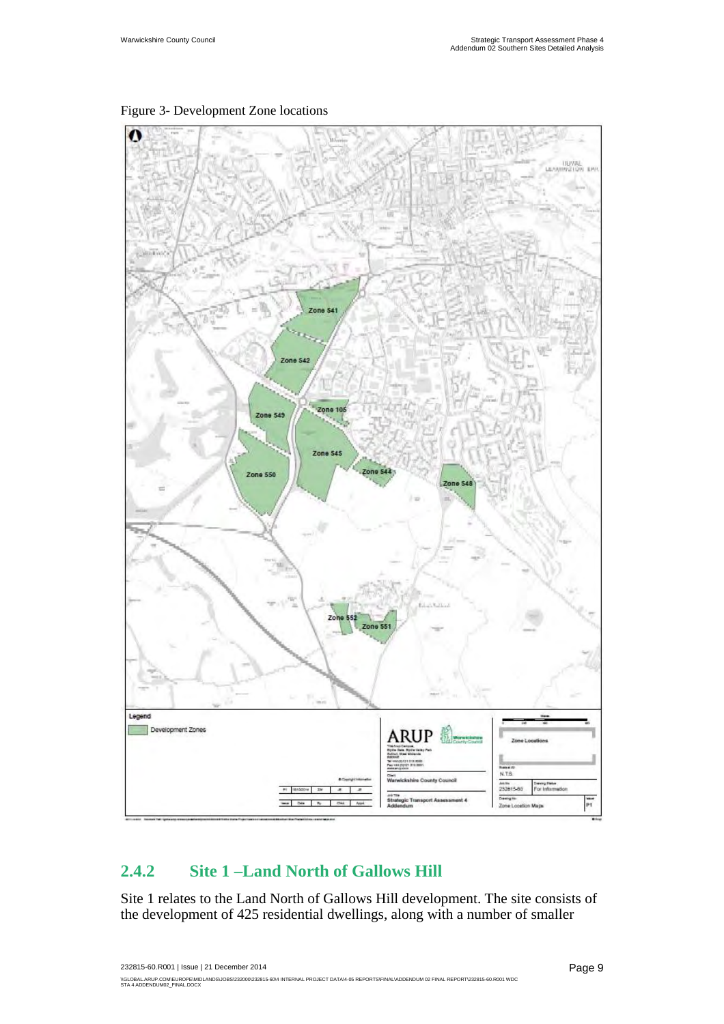

Figure 3- Development Zone locations

## **2.4.2 Site 1 –Land North of Gallows Hill**

Site 1 relates to the Land North of Gallows Hill development. The site consists of the development of 425 residential dwellings, along with a number of smaller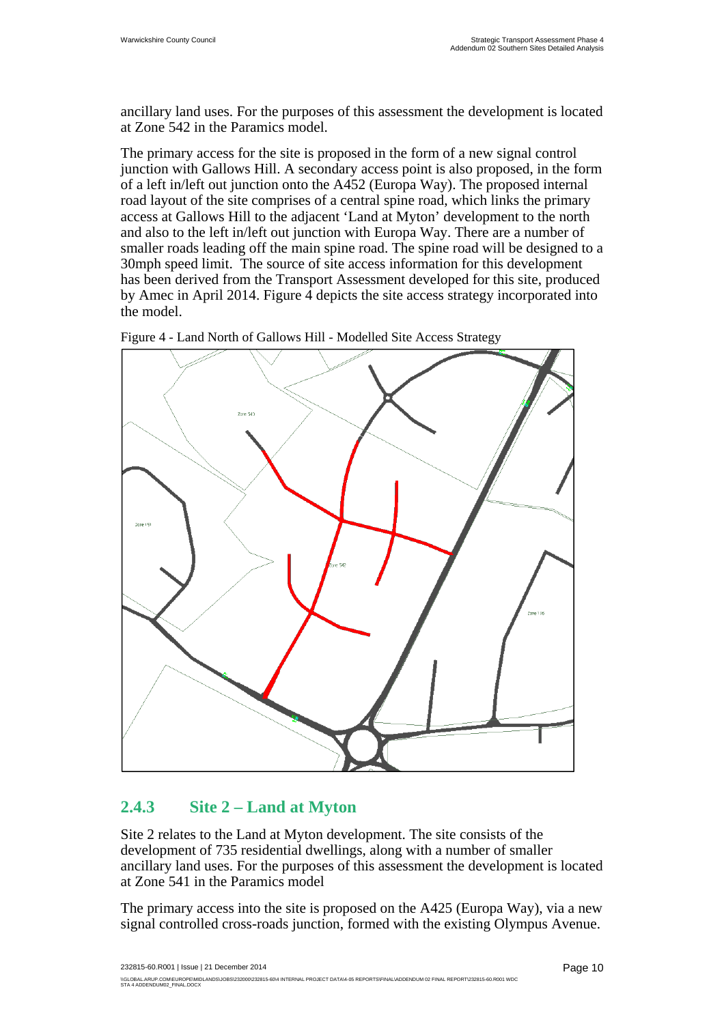ancillary land uses. For the purposes of this assessment the development is located at Zone 542 in the Paramics model.

The primary access for the site is proposed in the form of a new signal control junction with Gallows Hill. A secondary access point is also proposed, in the form of a left in/left out junction onto the A452 (Europa Way). The proposed internal road layout of the site comprises of a central spine road, which links the primary access at Gallows Hill to the adjacent 'Land at Myton' development to the north and also to the left in/left out junction with Europa Way. There are a number of smaller roads leading off the main spine road. The spine road will be designed to a 30mph speed limit. The source of site access information for this development has been derived from the Transport Assessment developed for this site, produced by Amec in April 2014. Figure 4 depicts the site access strategy incorporated into the model.



Figure 4 - Land North of Gallows Hill - Modelled Site Access Strategy

### **2.4.3 Site 2 – Land at Myton**

Site 2 relates to the Land at Myton development. The site consists of the development of 735 residential dwellings, along with a number of smaller ancillary land uses. For the purposes of this assessment the development is located at Zone 541 in the Paramics model

The primary access into the site is proposed on the A425 (Europa Way), via a new signal controlled cross-roads junction, formed with the existing Olympus Avenue.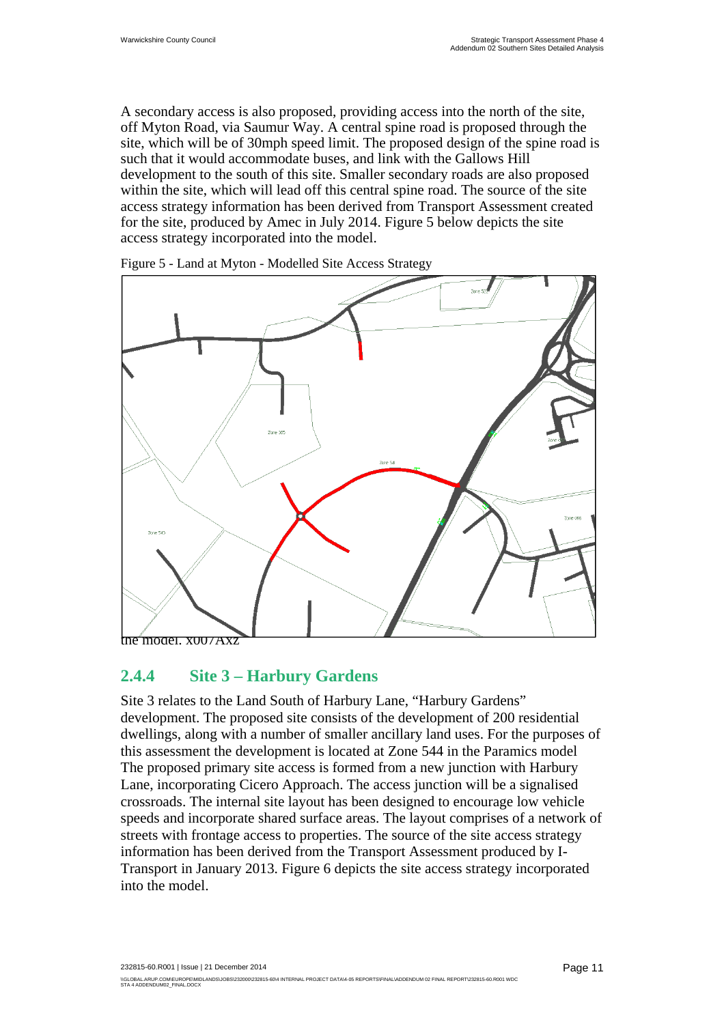A secondary access is also proposed, providing access into the north of the site, off Myton Road, via Saumur Way. A central spine road is proposed through the site, which will be of 30mph speed limit. The proposed design of the spine road is such that it would accommodate buses, and link with the Gallows Hill development to the south of this site. Smaller secondary roads are also proposed within the site, which will lead off this central spine road. The source of the site access strategy information has been derived from Transport Assessment created for the site, produced by Amec in July 2014. Figure 5 below depicts the site access strategy incorporated into the model.



Figure 5 - Land at Myton - Modelled Site Access Strategy

### **2.4.4 Site 3 – Harbury Gardens**

Site 3 relates to the Land South of Harbury Lane, "Harbury Gardens" development. The proposed site consists of the development of 200 residential dwellings, along with a number of smaller ancillary land uses. For the purposes of this assessment the development is located at Zone 544 in the Paramics model The proposed primary site access is formed from a new junction with Harbury Lane, incorporating Cicero Approach. The access junction will be a signalised crossroads. The internal site layout has been designed to encourage low vehicle speeds and incorporate shared surface areas. The layout comprises of a network of streets with frontage access to properties. The source of the site access strategy information has been derived from the Transport Assessment produced by I-Transport in January 2013. Figure 6 depicts the site access strategy incorporated into the model.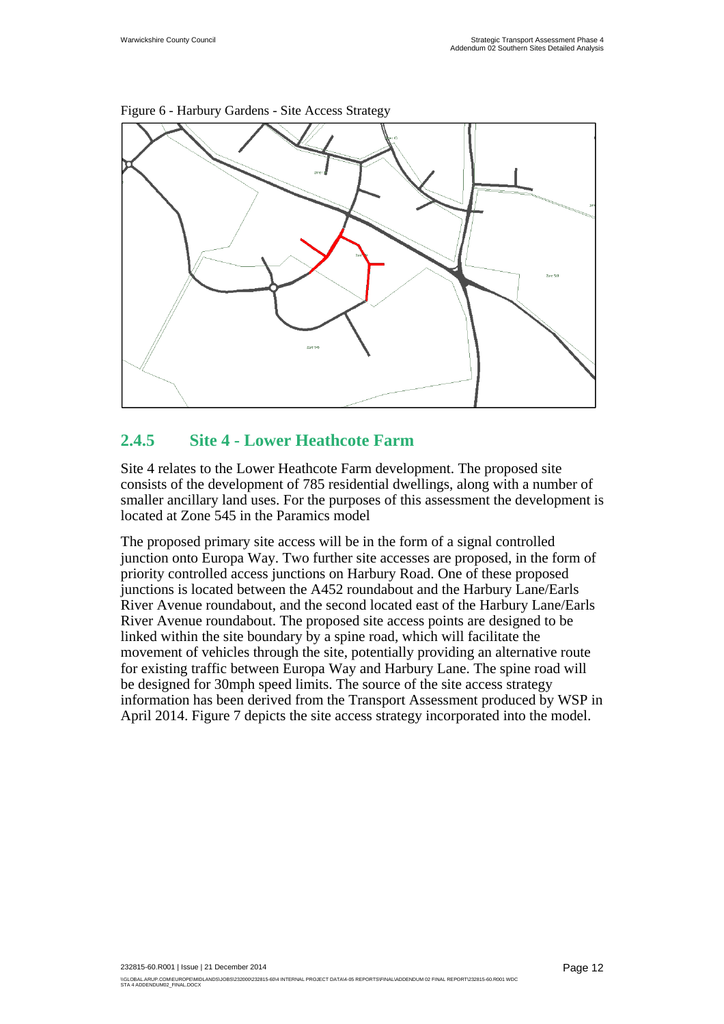

Figure 6 - Harbury Gardens - Site Access Strategy

### **2.4.5 Site 4 - Lower Heathcote Farm**

Site 4 relates to the Lower Heathcote Farm development. The proposed site consists of the development of 785 residential dwellings, along with a number of smaller ancillary land uses. For the purposes of this assessment the development is located at Zone 545 in the Paramics model

The proposed primary site access will be in the form of a signal controlled junction onto Europa Way. Two further site accesses are proposed, in the form of priority controlled access junctions on Harbury Road. One of these proposed junctions is located between the A452 roundabout and the Harbury Lane/Earls River Avenue roundabout, and the second located east of the Harbury Lane/Earls River Avenue roundabout. The proposed site access points are designed to be linked within the site boundary by a spine road, which will facilitate the movement of vehicles through the site, potentially providing an alternative route for existing traffic between Europa Way and Harbury Lane. The spine road will be designed for 30mph speed limits. The source of the site access strategy information has been derived from the Transport Assessment produced by WSP in April 2014. Figure 7 depicts the site access strategy incorporated into the model.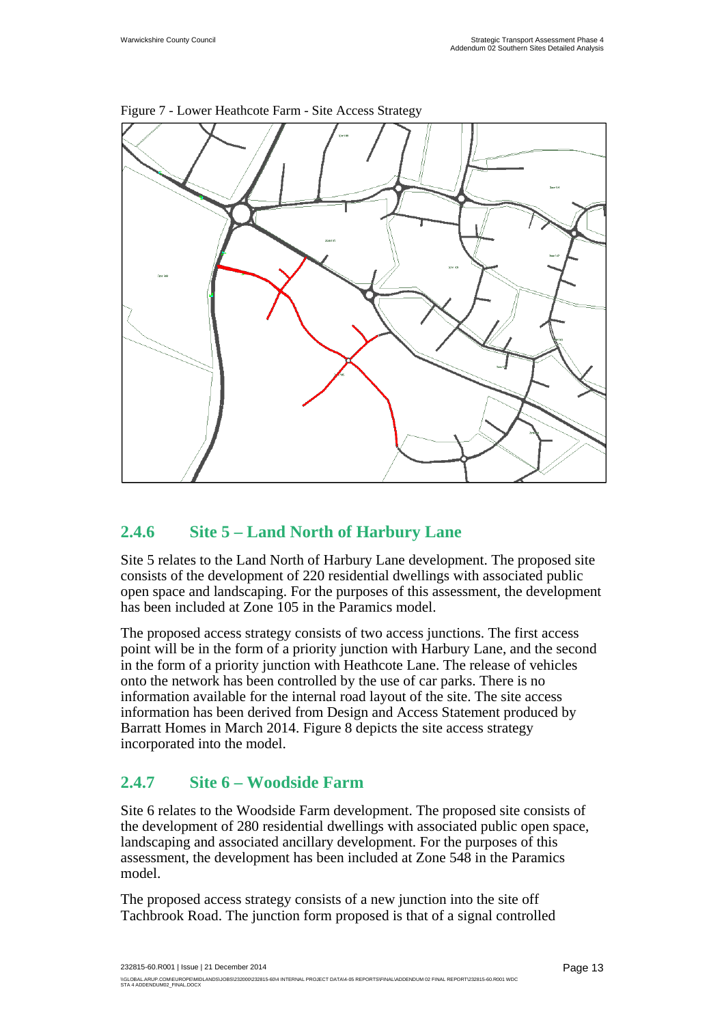

Figure 7 - Lower Heathcote Farm - Site Access Strategy

## **2.4.6 Site 5 – Land North of Harbury Lane**

Site 5 relates to the Land North of Harbury Lane development. The proposed site consists of the development of 220 residential dwellings with associated public open space and landscaping. For the purposes of this assessment, the development has been included at Zone 105 in the Paramics model.

The proposed access strategy consists of two access junctions. The first access point will be in the form of a priority junction with Harbury Lane, and the second in the form of a priority junction with Heathcote Lane. The release of vehicles onto the network has been controlled by the use of car parks. There is no information available for the internal road layout of the site. The site access information has been derived from Design and Access Statement produced by Barratt Homes in March 2014. Figure 8 depicts the site access strategy incorporated into the model.

### **2.4.7 Site 6 – Woodside Farm**

Site 6 relates to the Woodside Farm development. The proposed site consists of the development of 280 residential dwellings with associated public open space, landscaping and associated ancillary development. For the purposes of this assessment, the development has been included at Zone 548 in the Paramics model.

The proposed access strategy consists of a new junction into the site off Tachbrook Road. The junction form proposed is that of a signal controlled

232815-60.R001 | Issue | 21 December 2014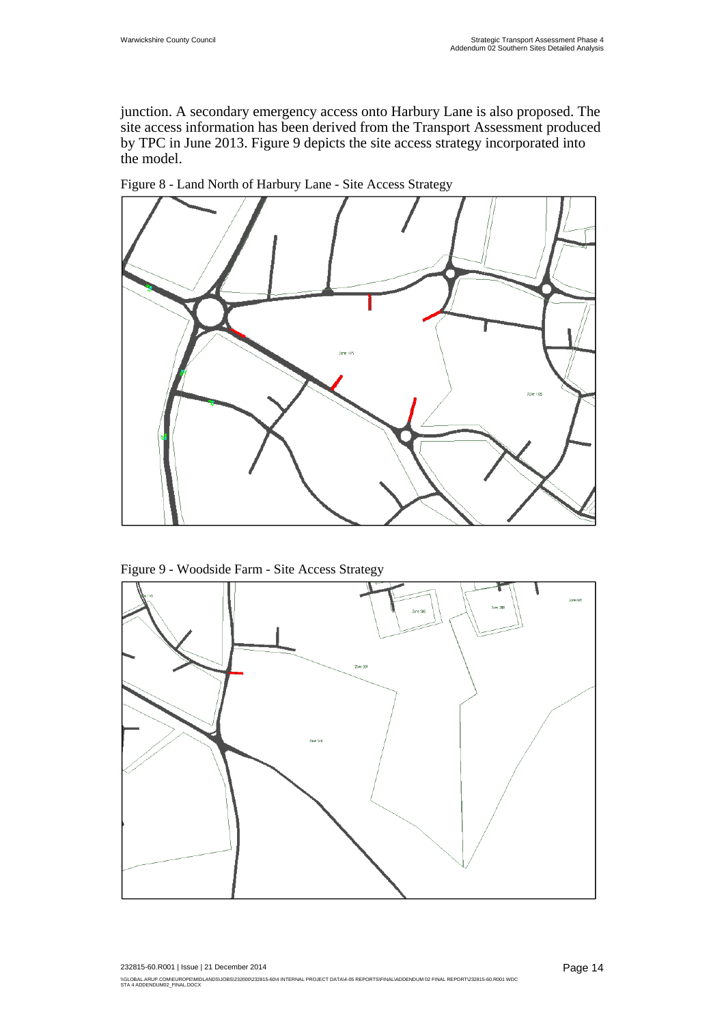junction. A secondary emergency access onto Harbury Lane is also proposed. The site access information has been derived from the Transport Assessment produced by TPC in June 2013. Figure 9 depicts the site access strategy incorporated into the model.



Figure 8 - Land North of Harbury Lane - Site Access Strategy



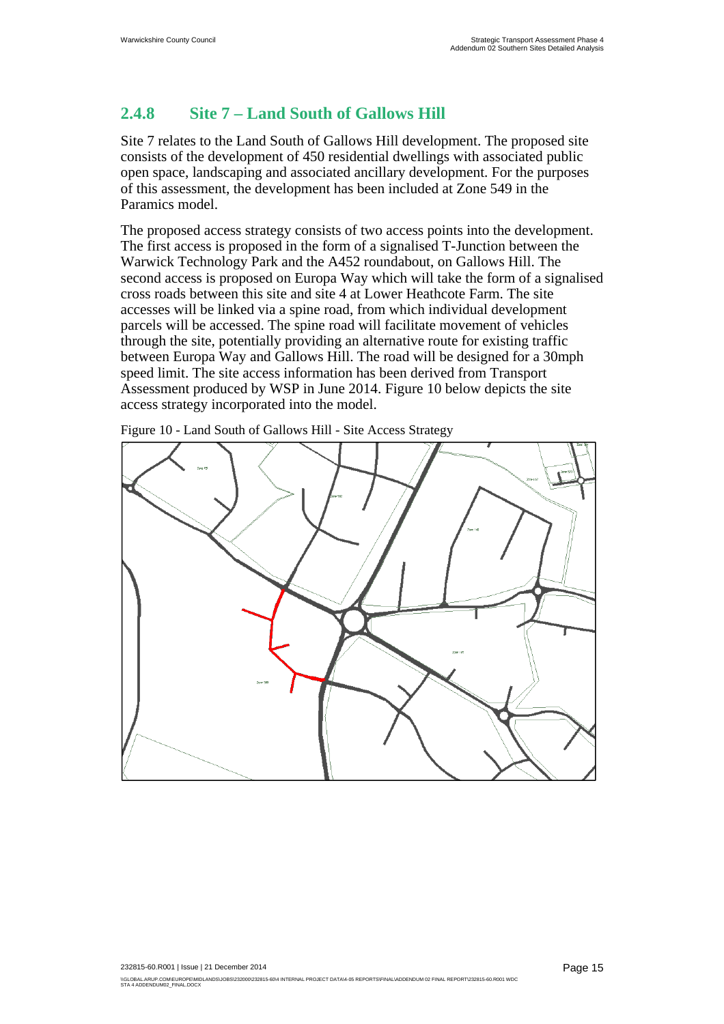### **2.4.8 Site 7 – Land South of Gallows Hill**

Site 7 relates to the Land South of Gallows Hill development. The proposed site consists of the development of 450 residential dwellings with associated public open space, landscaping and associated ancillary development. For the purposes of this assessment, the development has been included at Zone 549 in the Paramics model.

The proposed access strategy consists of two access points into the development. The first access is proposed in the form of a signalised T-Junction between the Warwick Technology Park and the A452 roundabout, on Gallows Hill. The second access is proposed on Europa Way which will take the form of a signalised cross roads between this site and site 4 at Lower Heathcote Farm. The site accesses will be linked via a spine road, from which individual development parcels will be accessed. The spine road will facilitate movement of vehicles through the site, potentially providing an alternative route for existing traffic between Europa Way and Gallows Hill. The road will be designed for a 30mph speed limit. The site access information has been derived from Transport Assessment produced by WSP in June 2014. Figure 10 below depicts the site access strategy incorporated into the model.

Figure 10 - Land South of Gallows Hill - Site Access Strategy

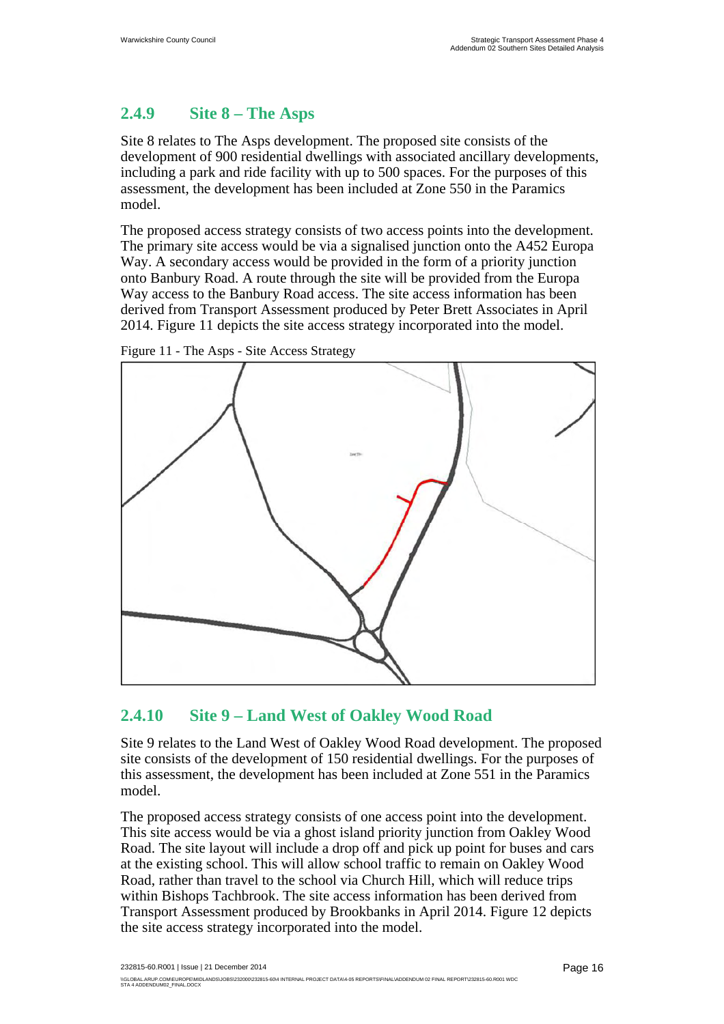## **2.4.9 Site 8 – The Asps**

Site 8 relates to The Asps development. The proposed site consists of the development of 900 residential dwellings with associated ancillary developments, including a park and ride facility with up to 500 spaces. For the purposes of this assessment, the development has been included at Zone 550 in the Paramics model.

The proposed access strategy consists of two access points into the development. The primary site access would be via a signalised junction onto the A452 Europa Way. A secondary access would be provided in the form of a priority junction onto Banbury Road. A route through the site will be provided from the Europa Way access to the Banbury Road access. The site access information has been derived from Transport Assessment produced by Peter Brett Associates in April 2014. Figure 11 depicts the site access strategy incorporated into the model.



Figure 11 - The Asps - Site Access Strategy

# **2.4.10 Site 9 – Land West of Oakley Wood Road**

Site 9 relates to the Land West of Oakley Wood Road development. The proposed site consists of the development of 150 residential dwellings. For the purposes of this assessment, the development has been included at Zone 551 in the Paramics model.

The proposed access strategy consists of one access point into the development. This site access would be via a ghost island priority junction from Oakley Wood Road. The site layout will include a drop off and pick up point for buses and cars at the existing school. This will allow school traffic to remain on Oakley Wood Road, rather than travel to the school via Church Hill, which will reduce trips within Bishops Tachbrook. The site access information has been derived from Transport Assessment produced by Brookbanks in April 2014. Figure 12 depicts the site access strategy incorporated into the model.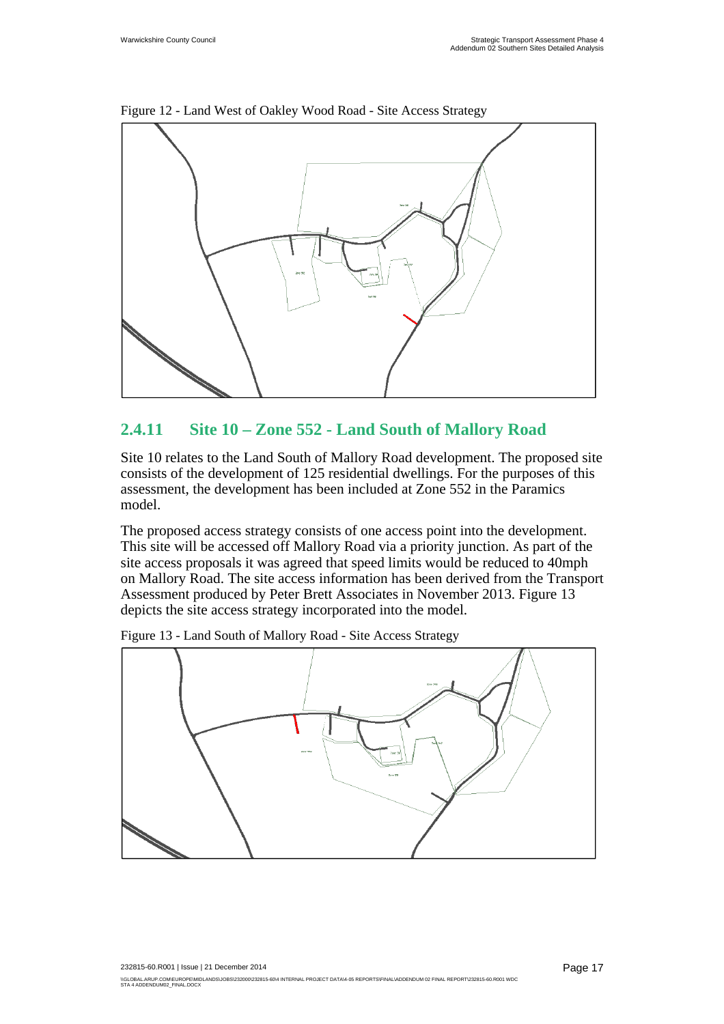

Figure 12 - Land West of Oakley Wood Road - Site Access Strategy

### **2.4.11 Site 10 – Zone 552 - Land South of Mallory Road**

Site 10 relates to the Land South of Mallory Road development. The proposed site consists of the development of 125 residential dwellings. For the purposes of this assessment, the development has been included at Zone 552 in the Paramics model.

The proposed access strategy consists of one access point into the development. This site will be accessed off Mallory Road via a priority junction. As part of the site access proposals it was agreed that speed limits would be reduced to 40mph on Mallory Road. The site access information has been derived from the Transport Assessment produced by Peter Brett Associates in November 2013. Figure 13 depicts the site access strategy incorporated into the model.



Figure 13 - Land South of Mallory Road - Site Access Strategy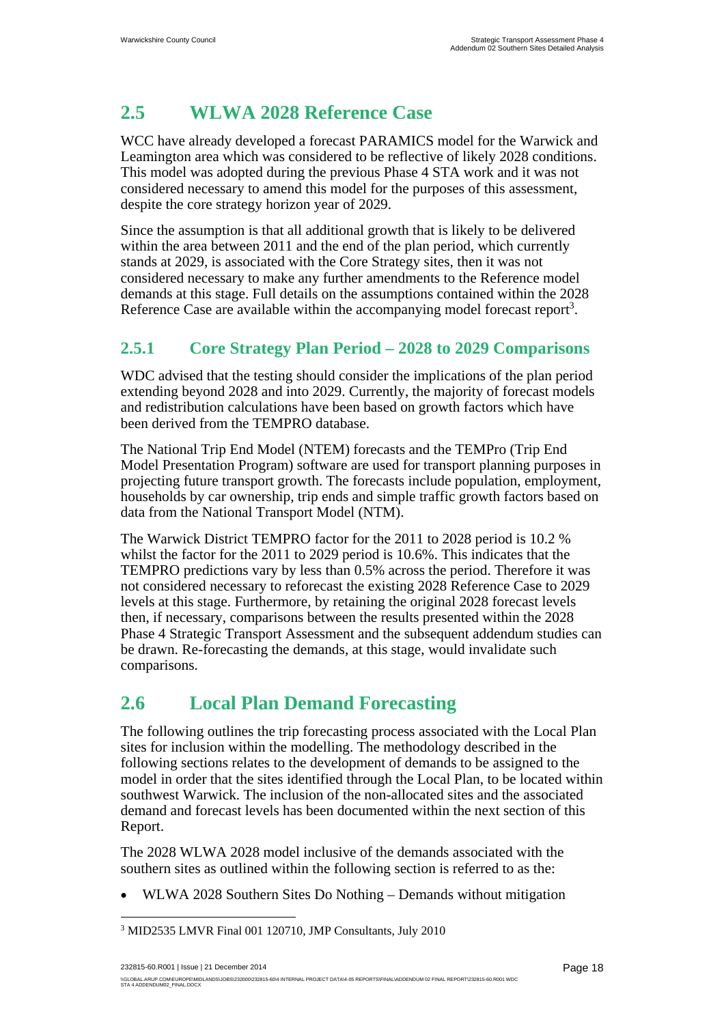# **2.5 WLWA 2028 Reference Case**

WCC have already developed a forecast PARAMICS model for the Warwick and Leamington area which was considered to be reflective of likely 2028 conditions. This model was adopted during the previous Phase 4 STA work and it was not considered necessary to amend this model for the purposes of this assessment, despite the core strategy horizon year of 2029.

Since the assumption is that all additional growth that is likely to be delivered within the area between 2011 and the end of the plan period, which currently stands at 2029, is associated with the Core Strategy sites, then it was not considered necessary to make any further amendments to the Reference model demands at this stage. Full details on the assumptions contained within the 2028 Reference Case are available within the accompanying model forecast report<sup>3</sup>.

### **2.5.1 Core Strategy Plan Period – 2028 to 2029 Comparisons**

WDC advised that the testing should consider the implications of the plan period extending beyond 2028 and into 2029. Currently, the majority of forecast models and redistribution calculations have been based on growth factors which have been derived from the TEMPRO database.

The National Trip End Model (NTEM) forecasts and the TEMPro (Trip End Model Presentation Program) software are used for transport planning purposes in projecting future transport growth. The forecasts include population, employment, households by car ownership, trip ends and simple traffic growth factors based on data from the National Transport Model (NTM).

The Warwick District TEMPRO factor for the 2011 to 2028 period is 10.2 % whilst the factor for the 2011 to 2029 period is 10.6%. This indicates that the TEMPRO predictions vary by less than 0.5% across the period. Therefore it was not considered necessary to reforecast the existing 2028 Reference Case to 2029 levels at this stage. Furthermore, by retaining the original 2028 forecast levels then, if necessary, comparisons between the results presented within the 2028 Phase 4 Strategic Transport Assessment and the subsequent addendum studies can be drawn. Re-forecasting the demands, at this stage, would invalidate such comparisons.

# **2.6 Local Plan Demand Forecasting**

The following outlines the trip forecasting process associated with the Local Plan sites for inclusion within the modelling. The methodology described in the following sections relates to the development of demands to be assigned to the model in order that the sites identified through the Local Plan, to be located within southwest Warwick. The inclusion of the non-allocated sites and the associated demand and forecast levels has been documented within the next section of this Report.

The 2028 WLWA 2028 model inclusive of the demands associated with the southern sites as outlined within the following section is referred to as the:

WLWA 2028 Southern Sites Do Nothing – Demands without mitigation

 $\overline{a}$ 

<sup>&</sup>lt;sup>3</sup> MID2535 LMVR Final 001 120710, JMP Consultants, July 2010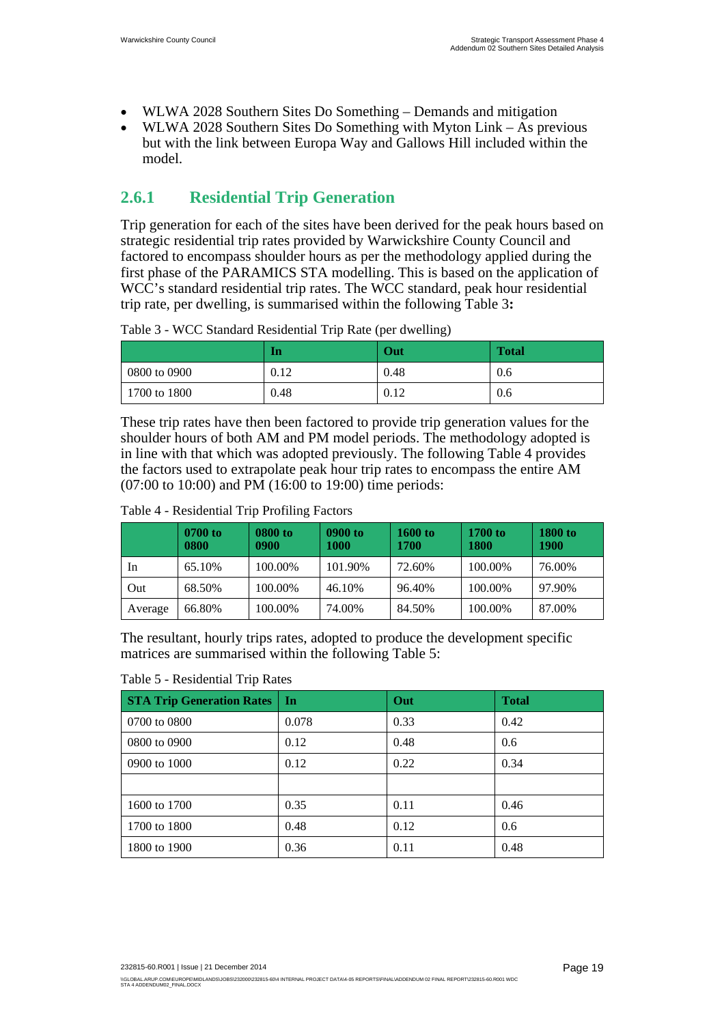- WLWA 2028 Southern Sites Do Something Demands and mitigation
- WLWA 2028 Southern Sites Do Something with Myton Link As previous but with the link between Europa Way and Gallows Hill included within the model.

## **2.6.1 Residential Trip Generation**

Trip generation for each of the sites have been derived for the peak hours based on strategic residential trip rates provided by Warwickshire County Council and factored to encompass shoulder hours as per the methodology applied during the first phase of the PARAMICS STA modelling. This is based on the application of WCC's standard residential trip rates. The WCC standard, peak hour residential trip rate, per dwelling, is summarised within the following Table 3**:**

|              | In   | Out  | <b>Total</b> |
|--------------|------|------|--------------|
| 0800 to 0900 | 0.12 | 0.48 | 0.6          |
| 1700 to 1800 | 0.48 | 0.12 | 0.6          |

Table 3 - WCC Standard Residential Trip Rate (per dwelling)

These trip rates have then been factored to provide trip generation values for the shoulder hours of both AM and PM model periods. The methodology adopted is in line with that which was adopted previously. The following Table 4 provides the factors used to extrapolate peak hour trip rates to encompass the entire AM (07:00 to 10:00) and PM (16:00 to 19:00) time periods:

### Table 4 - Residential Trip Profiling Factors

|         | 0700 to<br>0800 | 0800 to<br>0900 | 0900 to<br>1000 | <b>1600 to</b><br>1700 | 1700 to<br>1800 | <b>1800 to</b><br>1900 |
|---------|-----------------|-----------------|-----------------|------------------------|-----------------|------------------------|
| In      | 65.10%          | 100.00%         | 101.90%         | 72.60%                 | 100.00%         | 76.00%                 |
| Out     | 68.50%          | 100.00%         | 46.10%          | 96.40%                 | 100.00%         | 97.90%                 |
| Average | 66.80%          | 100.00%         | 74.00%          | 84.50%                 | 100.00%         | 87.00%                 |

The resultant, hourly trips rates, adopted to produce the development specific matrices are summarised within the following Table 5:

### Table 5 - Residential Trip Rates

| <b>STA Trip Generation Rates</b> | In    | Out  | <b>Total</b> |
|----------------------------------|-------|------|--------------|
| 0700 to 0800                     | 0.078 | 0.33 | 0.42         |
| 0800 to 0900                     | 0.12  | 0.48 | 0.6          |
| 0900 to 1000                     | 0.12  | 0.22 | 0.34         |
|                                  |       |      |              |
| 1600 to 1700                     | 0.35  | 0.11 | 0.46         |
| 1700 to 1800                     | 0.48  | 0.12 | 0.6          |
| 1800 to 1900                     | 0.36  | 0.11 | 0.48         |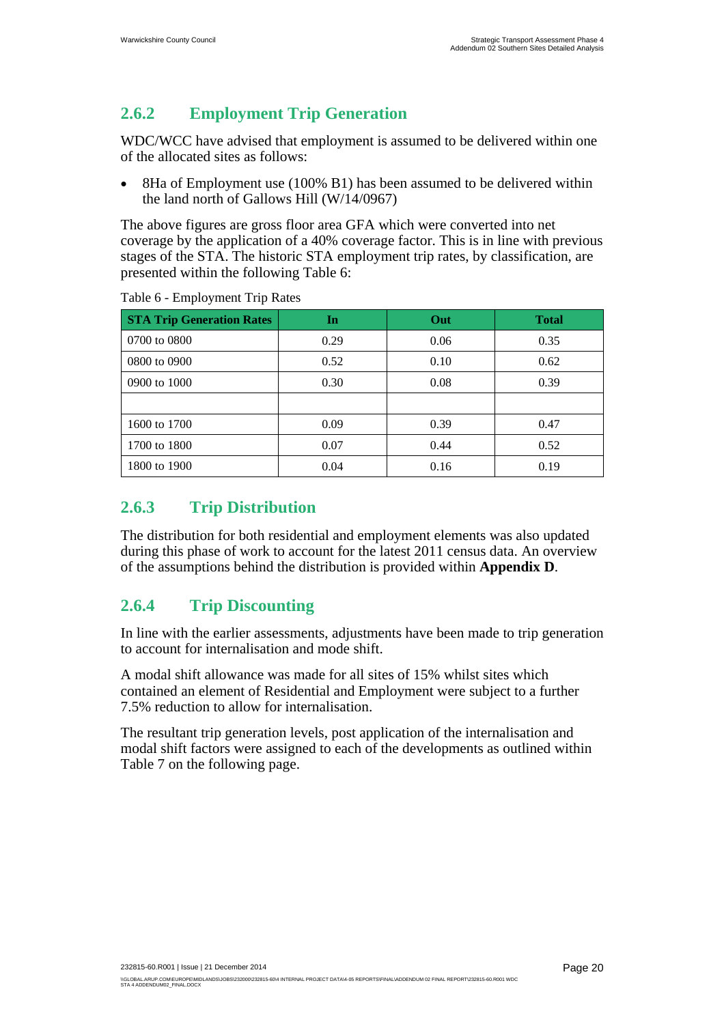## **2.6.2 Employment Trip Generation**

WDC/WCC have advised that employment is assumed to be delivered within one of the allocated sites as follows:

 8Ha of Employment use (100% B1) has been assumed to be delivered within the land north of Gallows Hill (W/14/0967)

The above figures are gross floor area GFA which were converted into net coverage by the application of a 40% coverage factor. This is in line with previous stages of the STA. The historic STA employment trip rates, by classification, are presented within the following Table 6:

| <b>STA Trip Generation Rates</b> | In   | Out  | <b>Total</b> |
|----------------------------------|------|------|--------------|
| 0700 to 0800                     | 0.29 | 0.06 | 0.35         |
| 0800 to 0900                     | 0.52 | 0.10 | 0.62         |
| 0900 to 1000                     | 0.30 | 0.08 | 0.39         |
|                                  |      |      |              |
| 1600 to 1700                     | 0.09 | 0.39 | 0.47         |
| 1700 to 1800                     | 0.07 | 0.44 | 0.52         |
| 1800 to 1900                     | 0.04 | 0.16 | 0.19         |

Table 6 - Employment Trip Rates

## **2.6.3 Trip Distribution**

The distribution for both residential and employment elements was also updated during this phase of work to account for the latest 2011 census data. An overview of the assumptions behind the distribution is provided within **Appendix D**.

## **2.6.4 Trip Discounting**

In line with the earlier assessments, adjustments have been made to trip generation to account for internalisation and mode shift.

A modal shift allowance was made for all sites of 15% whilst sites which contained an element of Residential and Employment were subject to a further 7.5% reduction to allow for internalisation.

The resultant trip generation levels, post application of the internalisation and modal shift factors were assigned to each of the developments as outlined within Table 7 on the following page.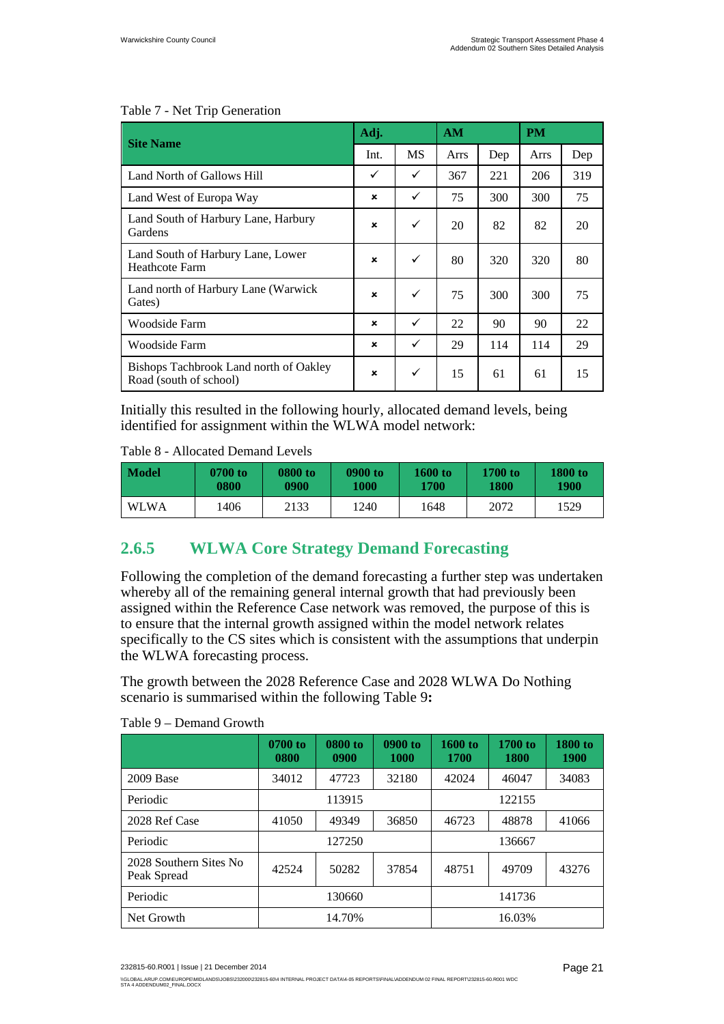| <b>Site Name</b>                                                 |                           | Adj. |      | AM  |      | <b>PM</b> |  |
|------------------------------------------------------------------|---------------------------|------|------|-----|------|-----------|--|
|                                                                  |                           | MS   | Arrs | Dep | Arrs | Dep       |  |
| Land North of Gallows Hill                                       | ✓                         | ✓    | 367  | 221 | 206  | 319       |  |
| Land West of Europa Way                                          | $\boldsymbol{\mathsf{x}}$ | ✓    | 75   | 300 | 300  | 75        |  |
| Land South of Harbury Lane, Harbury<br>Gardens                   | $\mathbf x$               | ✓    | 20   | 82  | 82   | 20        |  |
| Land South of Harbury Lane, Lower<br><b>Heathcote Farm</b>       | $\boldsymbol{\mathsf{x}}$ | ✓    | 80   | 320 | 320  | 80        |  |
| Land north of Harbury Lane (Warwick<br>Gates)                    | $\boldsymbol{\mathsf{x}}$ | ✓    | 75   | 300 | 300  | 75        |  |
| Woodside Farm                                                    | $\mathbf x$               | ✓    | 22   | 90  | 90   | 22        |  |
| Woodside Farm                                                    | $\boldsymbol{\mathsf{x}}$ | ✓    | 29   | 114 | 114  | 29        |  |
| Bishops Tachbrook Land north of Oakley<br>Road (south of school) | $\mathbf x$               | ✓    | 15   | 61  | 61   | 15        |  |

#### Table 7 - Net Trip Generation

Initially this resulted in the following hourly, allocated demand levels, being identified for assignment within the WLWA model network:

Table 8 - Allocated Demand Levels

| <b>Model</b> | 0700 to | 0800 to | 0900 to | <b>1600 to</b> | 1700 to | 1800 to |
|--------------|---------|---------|---------|----------------|---------|---------|
|              | 0800    | 0900    | 1000    | <b>1700</b>    | 1800    | 1900    |
| <b>WLWA</b>  | 1406    | 2133    | 1240    | 1648           | 2072    | 1529    |

## **2.6.5 WLWA Core Strategy Demand Forecasting**

Following the completion of the demand forecasting a further step was undertaken whereby all of the remaining general internal growth that had previously been assigned within the Reference Case network was removed, the purpose of this is to ensure that the internal growth assigned within the model network relates specifically to the CS sites which is consistent with the assumptions that underpin the WLWA forecasting process.

The growth between the 2028 Reference Case and 2028 WLWA Do Nothing scenario is summarised within the following Table 9**:** 

|                                       | 0700 to<br>0800 | 0800 to<br>0900 | 0900 to<br><b>1000</b> | 1600 to<br>1700 | 1700 to<br>1800 | 1800 to<br>1900 |
|---------------------------------------|-----------------|-----------------|------------------------|-----------------|-----------------|-----------------|
| 2009 Base                             | 34012           | 47723           | 32180                  | 42024           | 46047           | 34083           |
| Periodic                              | 113915          |                 |                        | 122155          |                 |                 |
| 2028 Ref Case                         | 41050           | 49349           | 36850                  | 46723           | 48878           | 41066           |
| Periodic                              | 127250          |                 |                        | 136667          |                 |                 |
| 2028 Southern Sites No<br>Peak Spread | 42524           | 50282           | 37854                  | 48751           | 49709           | 43276           |
| Periodic                              | 130660          |                 |                        | 141736          |                 |                 |
| Net Growth                            | 14.70%          |                 |                        | 16.03%          |                 |                 |

#### Table 9 – Demand Growth

<sup>\\</sup>GLOBAL.ARUP.COM\EUROPE\MIDLANDS\JOBS\232000\232815-60\4 INTERNAL PROJECT DATA\4-05 REPORTSIFINAL\ADDENDUM 02 FINAL REPORT\232815-60.R001 WDC<br>STA 4 ADDENDUM02\_FINAL.DOCX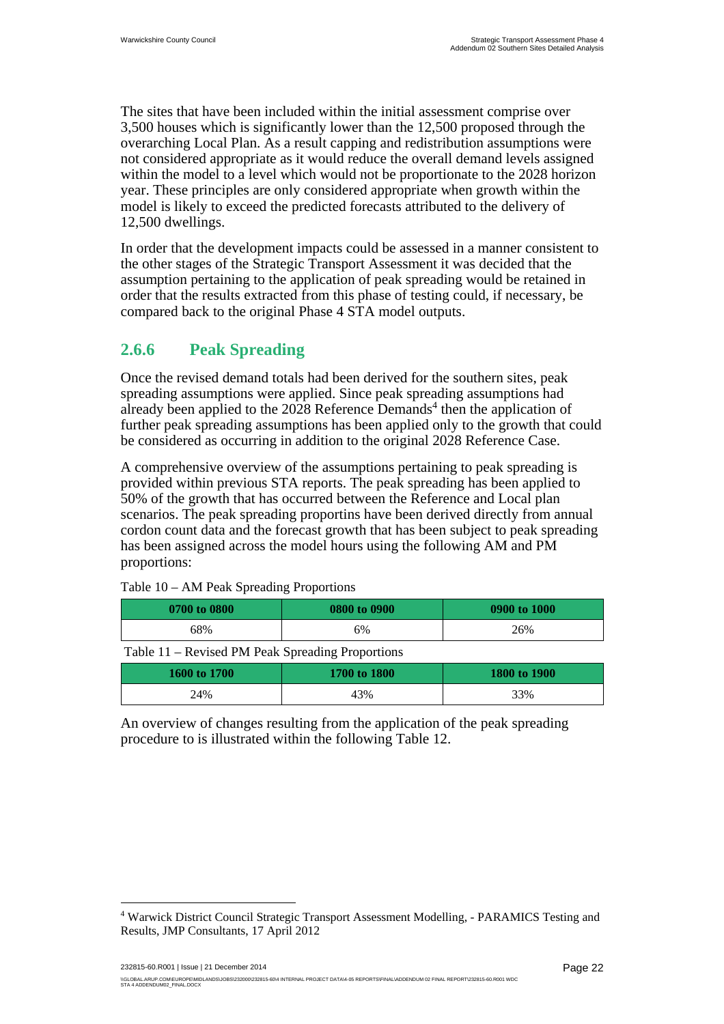The sites that have been included within the initial assessment comprise over 3,500 houses which is significantly lower than the 12,500 proposed through the overarching Local Plan. As a result capping and redistribution assumptions were not considered appropriate as it would reduce the overall demand levels assigned within the model to a level which would not be proportionate to the 2028 horizon year. These principles are only considered appropriate when growth within the model is likely to exceed the predicted forecasts attributed to the delivery of 12,500 dwellings.

In order that the development impacts could be assessed in a manner consistent to the other stages of the Strategic Transport Assessment it was decided that the assumption pertaining to the application of peak spreading would be retained in order that the results extracted from this phase of testing could, if necessary, be compared back to the original Phase 4 STA model outputs.

### **2.6.6 Peak Spreading**

Once the revised demand totals had been derived for the southern sites, peak spreading assumptions were applied. Since peak spreading assumptions had already been applied to the 2028 Reference Demands<sup>4</sup> then the application of further peak spreading assumptions has been applied only to the growth that could be considered as occurring in addition to the original 2028 Reference Case.

A comprehensive overview of the assumptions pertaining to peak spreading is provided within previous STA reports. The peak spreading has been applied to 50% of the growth that has occurred between the Reference and Local plan scenarios. The peak spreading proportins have been derived directly from annual cordon count data and the forecast growth that has been subject to peak spreading has been assigned across the model hours using the following AM and PM proportions:

| 0700 to 0800 | 0800 to 0900 | 0900 to 1000 |
|--------------|--------------|--------------|
| 68%          | 6%           | 26%          |

Table 10 – AM Peak Spreading Proportions

Table 11 – Revised PM Peak Spreading Proportions

| 1600 to 1700 | 1700 to 1800 | 1800 to 1900 |
|--------------|--------------|--------------|
| 24%          | 43%          | 33%          |

An overview of changes resulting from the application of the peak spreading procedure to is illustrated within the following Table 12.

 $\overline{a}$ 

<sup>&</sup>lt;sup>4</sup> Warwick District Council Strategic Transport Assessment Modelling, - PARAMICS Testing and Results, JMP Consultants, 17 April 2012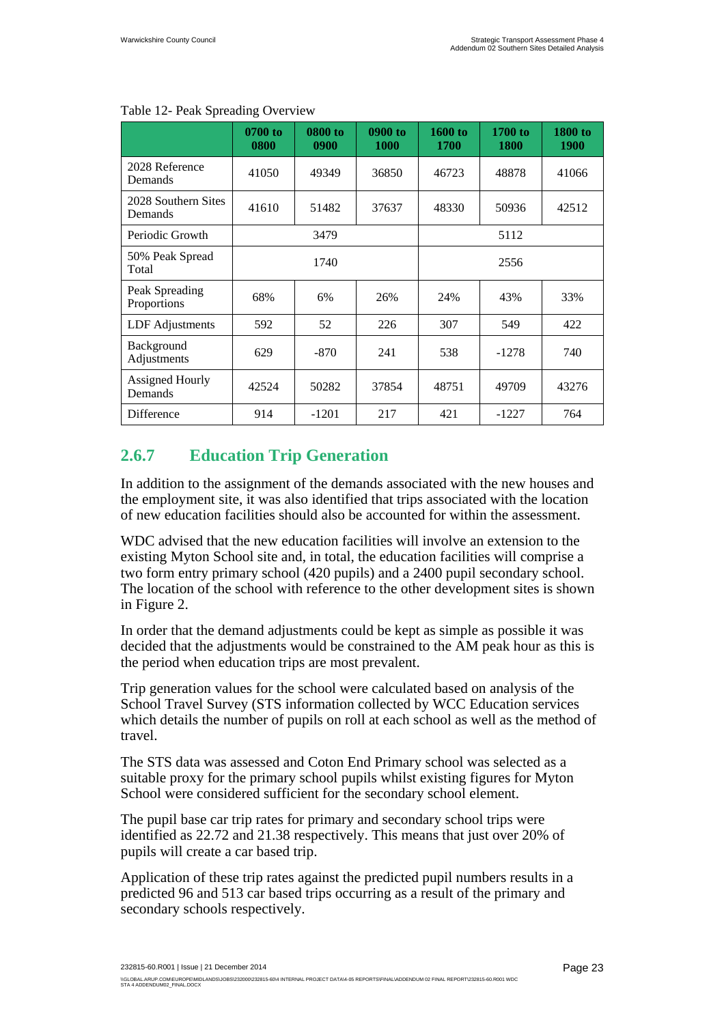|                                | 0700 to<br>0800 | 0800 to<br>0900 | 0900 to<br>1000 | 1600 to<br><b>1700</b> | 1700 to<br>1800 | <b>1800 to</b><br><b>1900</b> |  |
|--------------------------------|-----------------|-----------------|-----------------|------------------------|-----------------|-------------------------------|--|
| 2028 Reference<br>Demands      | 41050           | 49349           | 36850           | 46723                  | 48878           | 41066                         |  |
| 2028 Southern Sites<br>Demands | 41610           | 51482           | 37637           | 48330                  | 50936           | 42512                         |  |
| Periodic Growth                |                 | 3479            |                 | 5112                   |                 |                               |  |
| 50% Peak Spread<br>Total       |                 | 1740            |                 |                        | 2556            |                               |  |
| Peak Spreading<br>Proportions  | 68%             | 6%              | 26%             | 24%                    | 43%             | 33%                           |  |
| LDF Adjustments                | 592             | 52              | 226             | 307                    | 549             | 422                           |  |
| Background<br>Adjustments      | 629             | $-870$          | 241             | 538                    | $-1278$         | 740                           |  |
| Assigned Hourly<br>Demands     | 42524           | 50282           | 37854           | 48751                  | 49709           | 43276                         |  |
| Difference                     | 914             | $-1201$         | 217             | 421                    | $-1227$         | 764                           |  |

#### Table 12- Peak Spreading Overview

## **2.6.7 Education Trip Generation**

In addition to the assignment of the demands associated with the new houses and the employment site, it was also identified that trips associated with the location of new education facilities should also be accounted for within the assessment.

WDC advised that the new education facilities will involve an extension to the existing Myton School site and, in total, the education facilities will comprise a two form entry primary school (420 pupils) and a 2400 pupil secondary school. The location of the school with reference to the other development sites is shown in Figure 2.

In order that the demand adjustments could be kept as simple as possible it was decided that the adjustments would be constrained to the AM peak hour as this is the period when education trips are most prevalent.

Trip generation values for the school were calculated based on analysis of the School Travel Survey (STS information collected by WCC Education services which details the number of pupils on roll at each school as well as the method of travel.

The STS data was assessed and Coton End Primary school was selected as a suitable proxy for the primary school pupils whilst existing figures for Myton School were considered sufficient for the secondary school element.

The pupil base car trip rates for primary and secondary school trips were identified as 22.72 and 21.38 respectively. This means that just over 20% of pupils will create a car based trip.

Application of these trip rates against the predicted pupil numbers results in a predicted 96 and 513 car based trips occurring as a result of the primary and secondary schools respectively.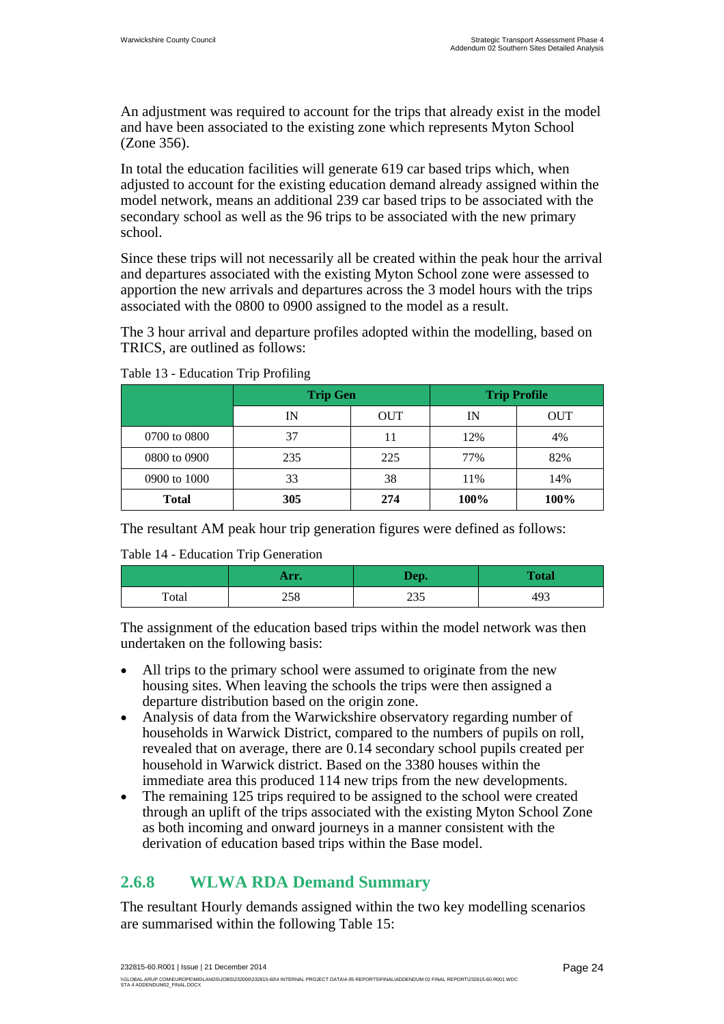An adjustment was required to account for the trips that already exist in the model and have been associated to the existing zone which represents Myton School (Zone 356).

In total the education facilities will generate 619 car based trips which, when adjusted to account for the existing education demand already assigned within the model network, means an additional 239 car based trips to be associated with the secondary school as well as the 96 trips to be associated with the new primary school.

Since these trips will not necessarily all be created within the peak hour the arrival and departures associated with the existing Myton School zone were assessed to apportion the new arrivals and departures across the 3 model hours with the trips associated with the 0800 to 0900 assigned to the model as a result.

The 3 hour arrival and departure profiles adopted within the modelling, based on TRICS, are outlined as follows:

|              | <b>Trip Gen</b> |            | <b>Trip Profile</b> |            |  |
|--------------|-----------------|------------|---------------------|------------|--|
|              | IN              | <b>OUT</b> | IN                  | <b>OUT</b> |  |
| 0700 to 0800 | 37              | 11         | 12%                 | 4%         |  |
| 0800 to 0900 | 235             | 225        | 77%                 | 82%        |  |
| 0900 to 1000 | 33              | 38         | 11%                 | 14%        |  |
| <b>Total</b> | 305             | 274        | 100%                | 100%       |  |

Table 13 - Education Trip Profiling

The resultant AM peak hour trip generation figures were defined as follows:

Table 14 - Education Trip Generation

|       | Arr. | Dep.        | <b>Total</b> |
|-------|------|-------------|--------------|
| Total | 258  | າາເ<br>ر ر∠ | 493          |

The assignment of the education based trips within the model network was then undertaken on the following basis:

- All trips to the primary school were assumed to originate from the new housing sites. When leaving the schools the trips were then assigned a departure distribution based on the origin zone.
- Analysis of data from the Warwickshire observatory regarding number of households in Warwick District, compared to the numbers of pupils on roll, revealed that on average, there are 0.14 secondary school pupils created per household in Warwick district. Based on the 3380 houses within the immediate area this produced 114 new trips from the new developments.
- The remaining 125 trips required to be assigned to the school were created through an uplift of the trips associated with the existing Myton School Zone as both incoming and onward journeys in a manner consistent with the derivation of education based trips within the Base model.

### **2.6.8 WLWA RDA Demand Summary**

The resultant Hourly demands assigned within the two key modelling scenarios are summarised within the following Table 15: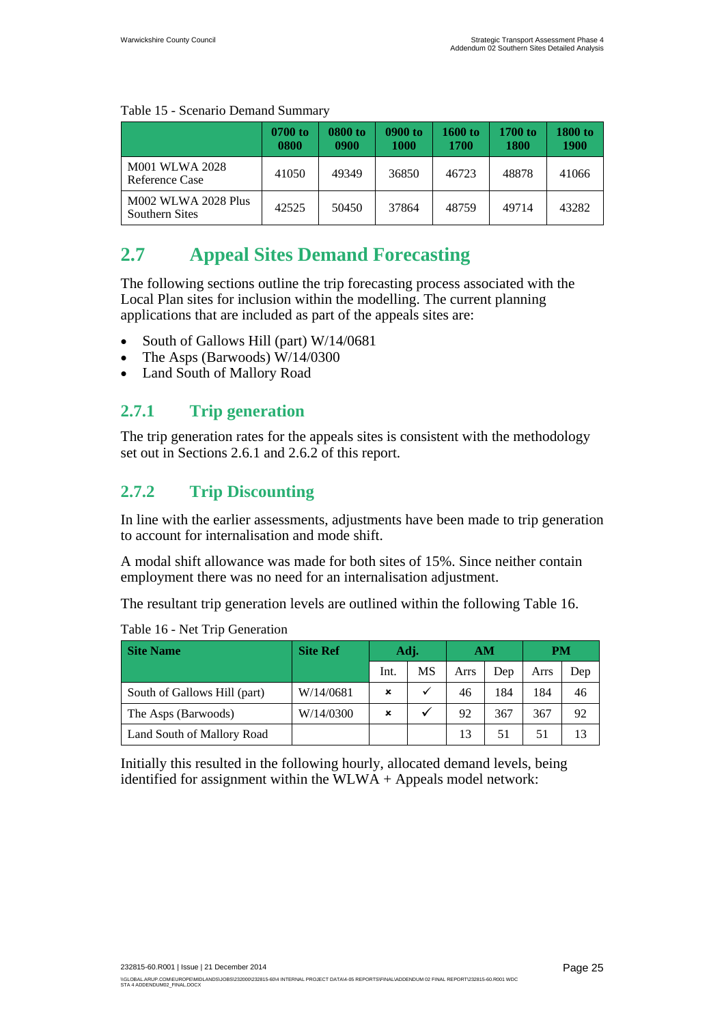|                                                     | 0700 to<br>0800 | 0800 to<br>0900 | 0900 to<br>1000 | 1600 to<br>1700 | 1700 to<br>1800 | 1800 to<br>1900 |
|-----------------------------------------------------|-----------------|-----------------|-----------------|-----------------|-----------------|-----------------|
| M001 WLWA 2028<br>Reference Case                    | 41050           | 49349           | 36850           | 46723           | 48878           | 41066           |
| <b>M002 WLWA 2028 Plus</b><br><b>Southern Sites</b> | 42525           | 50450           | 37864           | 48759           | 49714           | 43282           |

#### Table 15 - Scenario Demand Summary

# **2.7 Appeal Sites Demand Forecasting**

The following sections outline the trip forecasting process associated with the Local Plan sites for inclusion within the modelling. The current planning applications that are included as part of the appeals sites are:

- South of Gallows Hill (part) W/14/0681
- The Asps (Barwoods) W/14/0300
- Land South of Mallory Road

### **2.7.1 Trip generation**

The trip generation rates for the appeals sites is consistent with the methodology set out in Sections 2.6.1 and 2.6.2 of this report.

### **2.7.2 Trip Discounting**

In line with the earlier assessments, adjustments have been made to trip generation to account for internalisation and mode shift.

A modal shift allowance was made for both sites of 15%. Since neither contain employment there was no need for an internalisation adjustment.

The resultant trip generation levels are outlined within the following Table 16.

| <b>Site Name</b>             | <b>Site Ref</b> | Adj. |    | AМ   |     | <b>PM</b> |     |
|------------------------------|-----------------|------|----|------|-----|-----------|-----|
|                              |                 | Int. | MS | Arrs | Dep | Arrs      | Dep |
| South of Gallows Hill (part) | W/14/0681       | ×    |    | 46   | 184 | 184       | 46  |
| The Asps (Barwoods)          | W/14/0300       | ×    |    | 92   | 367 | 367       | 92  |
| Land South of Mallory Road   |                 |      |    | 13   | 51  | 51        | 13  |

Table 16 - Net Trip Generation

Initially this resulted in the following hourly, allocated demand levels, being identified for assignment within the  $WLWA + Appeals$  model network: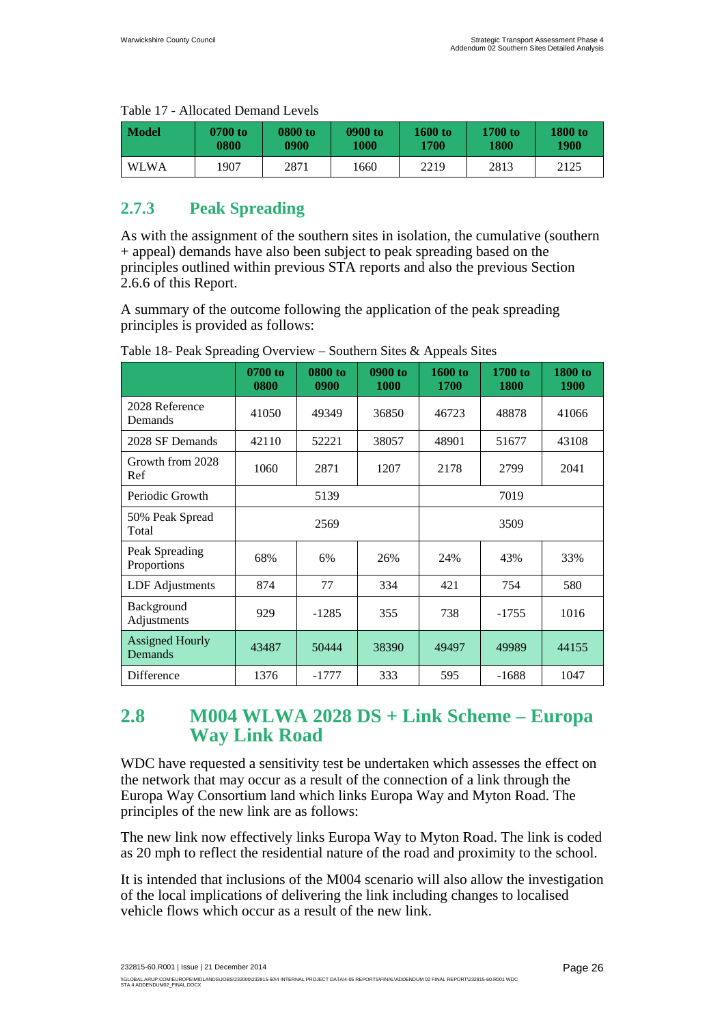| Model       | 0700 to | 0800 to | 0900 to | $1600$ to | 1700 to | 1800 to |
|-------------|---------|---------|---------|-----------|---------|---------|
|             | 0800    | 0900    | 1000    | 1700      | 1800    | 1900    |
| <b>WLWA</b> | 1907    | 2871    | 1660    | 2219      | 2813    | 2125    |

#### Table 17 - Allocated Demand Levels

### **2.7.3 Peak Spreading**

As with the assignment of the southern sites in isolation, the cumulative (southern + appeal) demands have also been subject to peak spreading based on the principles outlined within previous STA reports and also the previous Section 2.6.6 of this Report.

A summary of the outcome following the application of the peak spreading principles is provided as follows:

|                                   | 0700 to<br>0800 | 0800 to<br>0900 | 0900 to<br>1000 | 1600 to<br><b>1700</b> | 1700 to<br>1800 | 1800 to<br><b>1900</b> |
|-----------------------------------|-----------------|-----------------|-----------------|------------------------|-----------------|------------------------|
| 2028 Reference<br>Demands         | 41050           | 49349           | 36850           | 46723                  | 48878           | 41066                  |
| 2028 SF Demands                   | 42110           | 52221           | 38057           | 48901                  | 51677           | 43108                  |
| Growth from 2028<br>Ref           | 1060            | 2871            | 1207            | 2178                   | 2799            | 2041                   |
| Periodic Growth                   |                 | 5139            |                 | 7019                   |                 |                        |
| 50% Peak Spread<br>Total          |                 | 2569            |                 |                        | 3509            |                        |
| Peak Spreading<br>Proportions     | 68%             | 6%              | 26%             | 24%                    | 43%             | 33%                    |
| <b>LDF</b> Adjustments            | 874             | 77              | 334             | 421                    | 754             | 580                    |
| Background<br>Adjustments         | 929             | $-1285$         | 355             | 738                    | $-1755$         | 1016                   |
| <b>Assigned Hourly</b><br>Demands | 43487           | 50444           | 38390           | 49497                  | 49989           | 44155                  |
| Difference                        | 1376            | $-1777$         | 333             | 595                    | $-1688$         | 1047                   |

Table 18- Peak Spreading Overview – Southern Sites & Appeals Sites

## **2.8 M004 WLWA 2028 DS + Link Scheme – Europa Way Link Road**

WDC have requested a sensitivity test be undertaken which assesses the effect on the network that may occur as a result of the connection of a link through the Europa Way Consortium land which links Europa Way and Myton Road. The principles of the new link are as follows:

The new link now effectively links Europa Way to Myton Road. The link is coded as 20 mph to reflect the residential nature of the road and proximity to the school.

It is intended that inclusions of the M004 scenario will also allow the investigation of the local implications of delivering the link including changes to localised vehicle flows which occur as a result of the new link.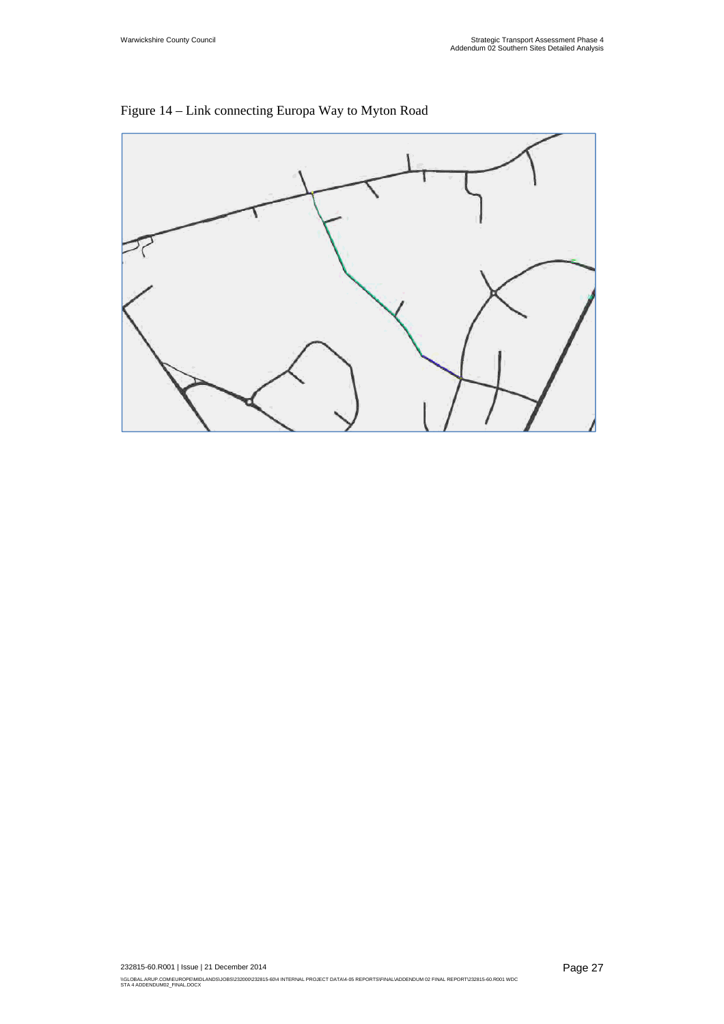

Figure 14 – Link connecting Europa Way to Myton Road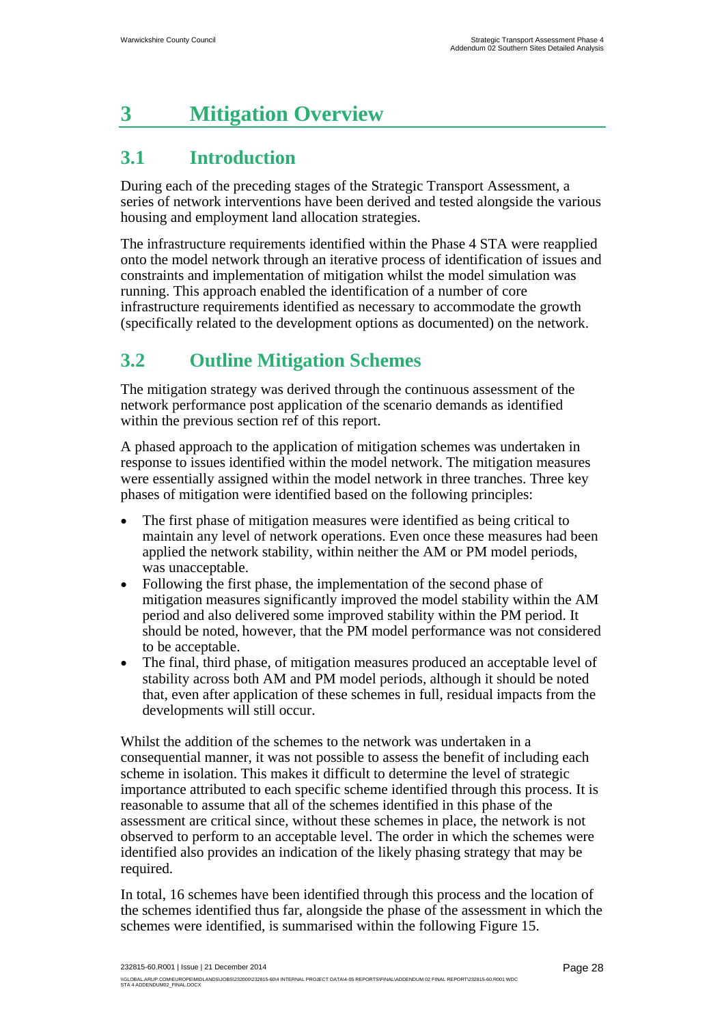# **3 Mitigation Overview**

# **3.1 Introduction**

During each of the preceding stages of the Strategic Transport Assessment, a series of network interventions have been derived and tested alongside the various housing and employment land allocation strategies.

The infrastructure requirements identified within the Phase 4 STA were reapplied onto the model network through an iterative process of identification of issues and constraints and implementation of mitigation whilst the model simulation was running. This approach enabled the identification of a number of core infrastructure requirements identified as necessary to accommodate the growth (specifically related to the development options as documented) on the network.

# **3.2 Outline Mitigation Schemes**

The mitigation strategy was derived through the continuous assessment of the network performance post application of the scenario demands as identified within the previous section ref of this report.

A phased approach to the application of mitigation schemes was undertaken in response to issues identified within the model network. The mitigation measures were essentially assigned within the model network in three tranches. Three key phases of mitigation were identified based on the following principles:

- The first phase of mitigation measures were identified as being critical to maintain any level of network operations. Even once these measures had been applied the network stability, within neither the AM or PM model periods, was unacceptable.
- Following the first phase, the implementation of the second phase of mitigation measures significantly improved the model stability within the AM period and also delivered some improved stability within the PM period. It should be noted, however, that the PM model performance was not considered to be acceptable.
- The final, third phase, of mitigation measures produced an acceptable level of stability across both AM and PM model periods, although it should be noted that, even after application of these schemes in full, residual impacts from the developments will still occur.

Whilst the addition of the schemes to the network was undertaken in a consequential manner, it was not possible to assess the benefit of including each scheme in isolation. This makes it difficult to determine the level of strategic importance attributed to each specific scheme identified through this process. It is reasonable to assume that all of the schemes identified in this phase of the assessment are critical since, without these schemes in place, the network is not observed to perform to an acceptable level. The order in which the schemes were identified also provides an indication of the likely phasing strategy that may be required.

In total, 16 schemes have been identified through this process and the location of the schemes identified thus far, alongside the phase of the assessment in which the schemes were identified, is summarised within the following Figure 15.

232815-60.R001 | Issue | 21 December 2014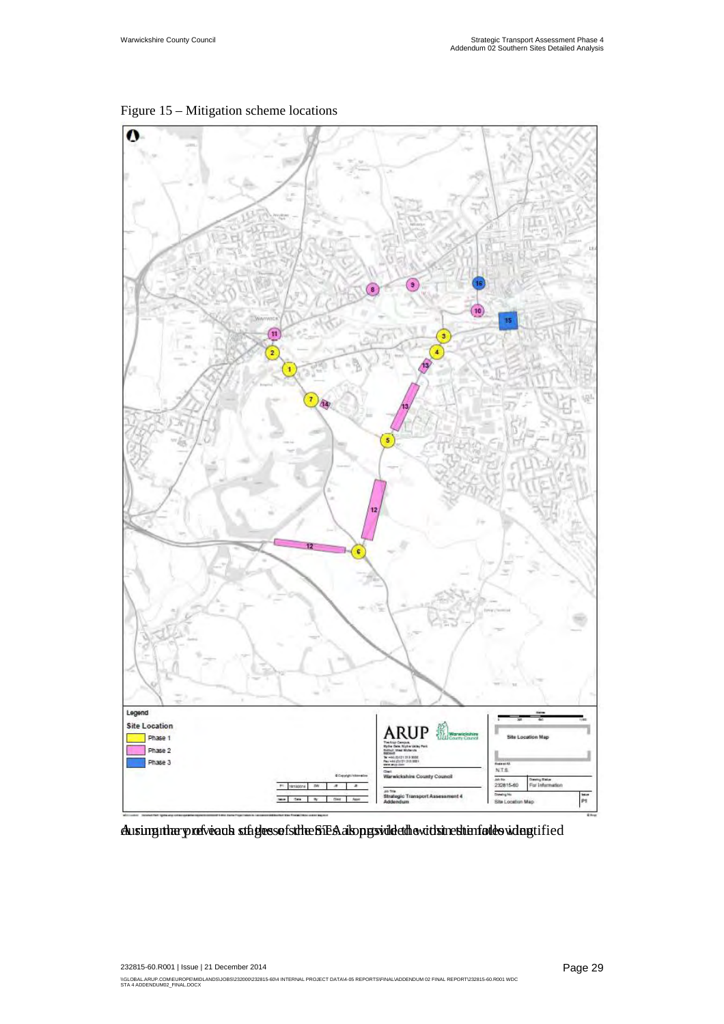

Figure 15 – Mitigation scheme locations

Ausing nhary refveaus stages sof sthe STEA also pes vide during the models with provided the cost estimates identified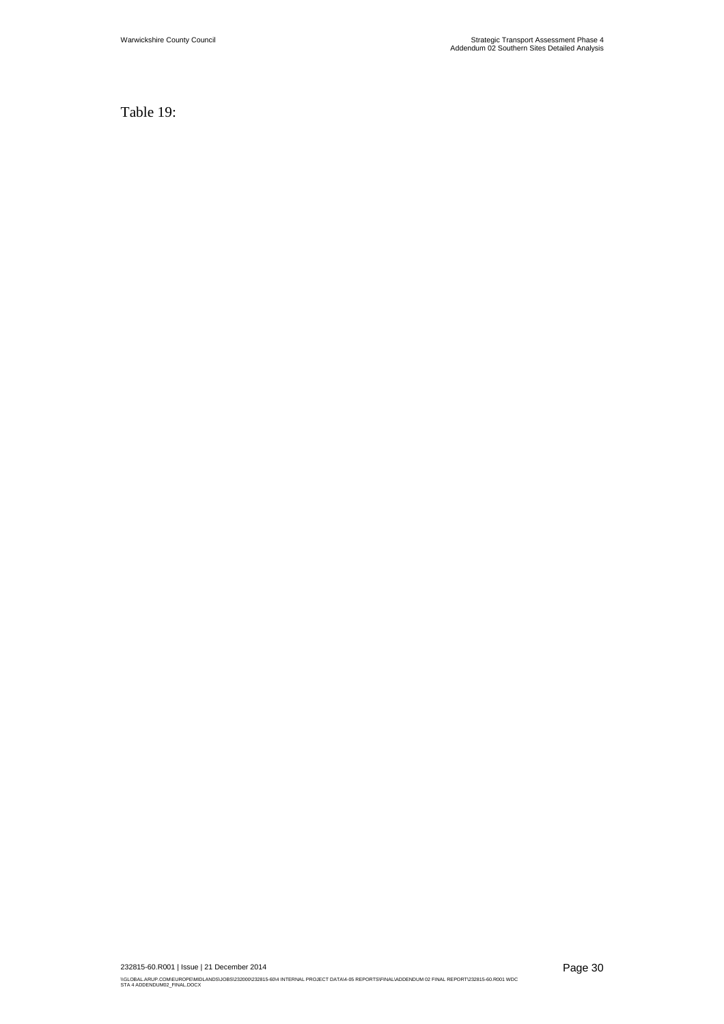Table 19: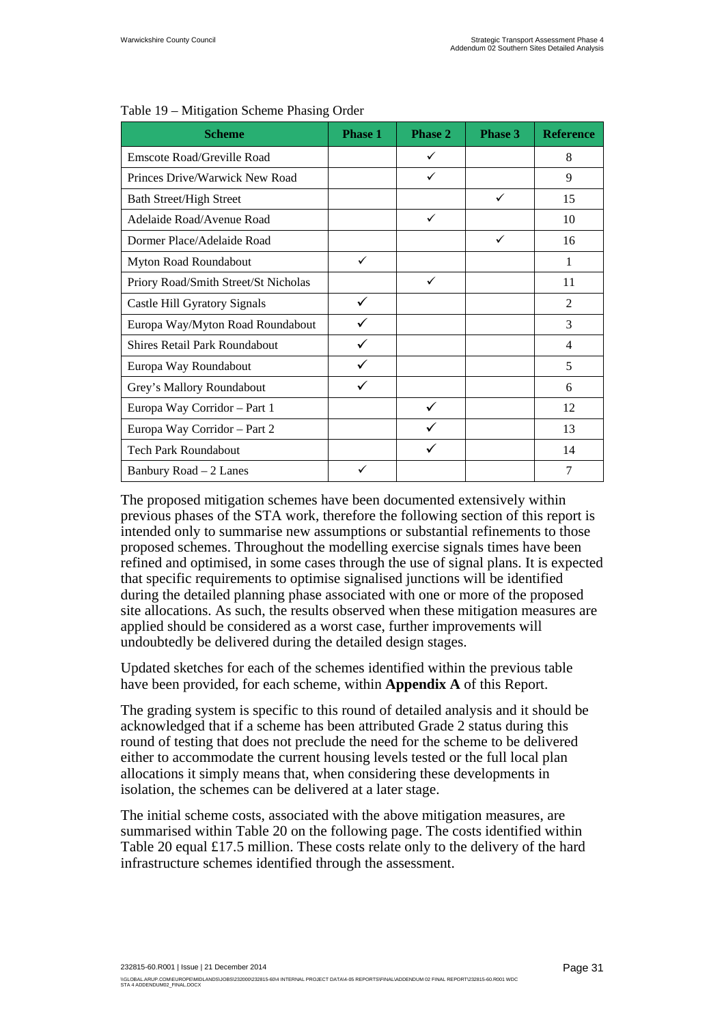| <b>Scheme</b>                        | <b>Phase 1</b> | Phase 2 | Phase 3      | <b>Reference</b> |
|--------------------------------------|----------------|---------|--------------|------------------|
| <b>Emscote Road/Greville Road</b>    |                | ✓       |              | 8                |
| Princes Drive/Warwick New Road       |                | ✓       |              | 9                |
| <b>Bath Street/High Street</b>       |                |         | ✓            | 15               |
| Adelaide Road/Avenue Road            |                | ✓       |              | 10               |
| Dormer Place/Adelaide Road           |                |         | $\checkmark$ | 16               |
| Myton Road Roundabout                | ✓              |         |              | 1                |
| Priory Road/Smith Street/St Nicholas |                | ✓       |              | 11               |
| Castle Hill Gyratory Signals         | ✓              |         |              | 2                |
| Europa Way/Myton Road Roundabout     |                |         |              | 3                |
| <b>Shires Retail Park Roundabout</b> | ✓              |         |              | $\overline{4}$   |
| Europa Way Roundabout                |                |         |              | 5                |
| Grey's Mallory Roundabout            |                |         |              | 6                |
| Europa Way Corridor - Part 1         |                | ✓       |              | 12               |
| Europa Way Corridor - Part 2         |                |         |              | 13               |
| <b>Tech Park Roundabout</b>          |                | ✓       |              | 14               |
| Banbury Road $-2$ Lanes              | ✓              |         |              | 7                |

#### Table 19 – Mitigation Scheme Phasing Order

The proposed mitigation schemes have been documented extensively within previous phases of the STA work, therefore the following section of this report is intended only to summarise new assumptions or substantial refinements to those proposed schemes. Throughout the modelling exercise signals times have been refined and optimised, in some cases through the use of signal plans. It is expected that specific requirements to optimise signalised junctions will be identified during the detailed planning phase associated with one or more of the proposed site allocations. As such, the results observed when these mitigation measures are applied should be considered as a worst case, further improvements will undoubtedly be delivered during the detailed design stages.

Updated sketches for each of the schemes identified within the previous table have been provided, for each scheme, within **Appendix A** of this Report.

The grading system is specific to this round of detailed analysis and it should be acknowledged that if a scheme has been attributed Grade 2 status during this round of testing that does not preclude the need for the scheme to be delivered either to accommodate the current housing levels tested or the full local plan allocations it simply means that, when considering these developments in isolation, the schemes can be delivered at a later stage.

The initial scheme costs, associated with the above mitigation measures, are summarised within Table 20 on the following page. The costs identified within Table 20 equal £17.5 million. These costs relate only to the delivery of the hard infrastructure schemes identified through the assessment.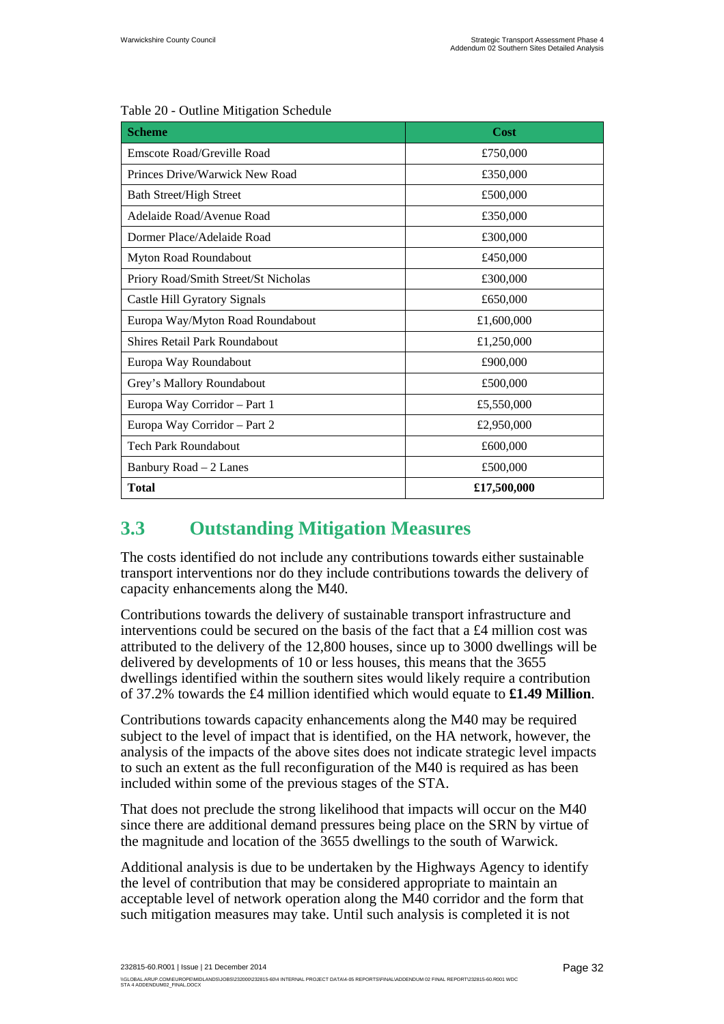| <b>Scheme</b>                        | Cost        |  |  |
|--------------------------------------|-------------|--|--|
| Emscote Road/Greville Road           | £750,000    |  |  |
| Princes Drive/Warwick New Road       | £350,000    |  |  |
| <b>Bath Street/High Street</b>       | £500,000    |  |  |
| Adelaide Road/Avenue Road            | £350,000    |  |  |
| Dormer Place/Adelaide Road           | £300,000    |  |  |
| Myton Road Roundabout                | £450,000    |  |  |
| Priory Road/Smith Street/St Nicholas | £300,000    |  |  |
| Castle Hill Gyratory Signals         | £650,000    |  |  |
| Europa Way/Myton Road Roundabout     | £1,600,000  |  |  |
| <b>Shires Retail Park Roundabout</b> | £1,250,000  |  |  |
| Europa Way Roundabout                | £900,000    |  |  |
| Grey's Mallory Roundabout            | £500,000    |  |  |
| Europa Way Corridor - Part 1         | £5,550,000  |  |  |
| Europa Way Corridor - Part 2         | £2,950,000  |  |  |
| Tech Park Roundabout                 | £600,000    |  |  |
| Banbury Road – 2 Lanes               | £500,000    |  |  |
| <b>Total</b>                         | £17,500,000 |  |  |

#### Table 20 - Outline Mitigation Schedule

# **3.3 Outstanding Mitigation Measures**

The costs identified do not include any contributions towards either sustainable transport interventions nor do they include contributions towards the delivery of capacity enhancements along the M40.

Contributions towards the delivery of sustainable transport infrastructure and interventions could be secured on the basis of the fact that a £4 million cost was attributed to the delivery of the 12,800 houses, since up to 3000 dwellings will be delivered by developments of 10 or less houses, this means that the 3655 dwellings identified within the southern sites would likely require a contribution of 37.2% towards the £4 million identified which would equate to **£1.49 Million**.

Contributions towards capacity enhancements along the M40 may be required subject to the level of impact that is identified, on the HA network, however, the analysis of the impacts of the above sites does not indicate strategic level impacts to such an extent as the full reconfiguration of the M40 is required as has been included within some of the previous stages of the STA.

That does not preclude the strong likelihood that impacts will occur on the M40 since there are additional demand pressures being place on the SRN by virtue of the magnitude and location of the 3655 dwellings to the south of Warwick.

Additional analysis is due to be undertaken by the Highways Agency to identify the level of contribution that may be considered appropriate to maintain an acceptable level of network operation along the M40 corridor and the form that such mitigation measures may take. Until such analysis is completed it is not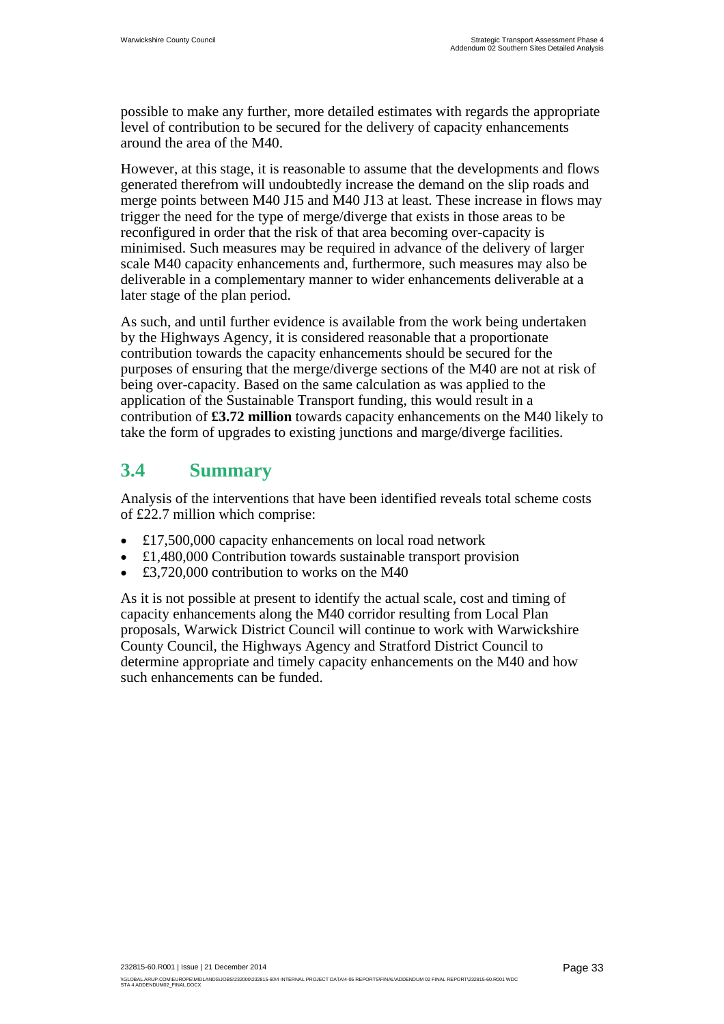possible to make any further, more detailed estimates with regards the appropriate level of contribution to be secured for the delivery of capacity enhancements around the area of the M40.

However, at this stage, it is reasonable to assume that the developments and flows generated therefrom will undoubtedly increase the demand on the slip roads and merge points between M40 J15 and M40 J13 at least. These increase in flows may trigger the need for the type of merge/diverge that exists in those areas to be reconfigured in order that the risk of that area becoming over-capacity is minimised. Such measures may be required in advance of the delivery of larger scale M40 capacity enhancements and, furthermore, such measures may also be deliverable in a complementary manner to wider enhancements deliverable at a later stage of the plan period.

As such, and until further evidence is available from the work being undertaken by the Highways Agency, it is considered reasonable that a proportionate contribution towards the capacity enhancements should be secured for the purposes of ensuring that the merge/diverge sections of the M40 are not at risk of being over-capacity. Based on the same calculation as was applied to the application of the Sustainable Transport funding, this would result in a contribution of **£3.72 million** towards capacity enhancements on the M40 likely to take the form of upgrades to existing junctions and marge/diverge facilities.

## **3.4 Summary**

Analysis of the interventions that have been identified reveals total scheme costs of £22.7 million which comprise:

- £17,500,000 capacity enhancements on local road network
- £1,480,000 Contribution towards sustainable transport provision
- £3,720,000 contribution to works on the M40

As it is not possible at present to identify the actual scale, cost and timing of capacity enhancements along the M40 corridor resulting from Local Plan proposals, Warwick District Council will continue to work with Warwickshire County Council, the Highways Agency and Stratford District Council to determine appropriate and timely capacity enhancements on the M40 and how such enhancements can be funded.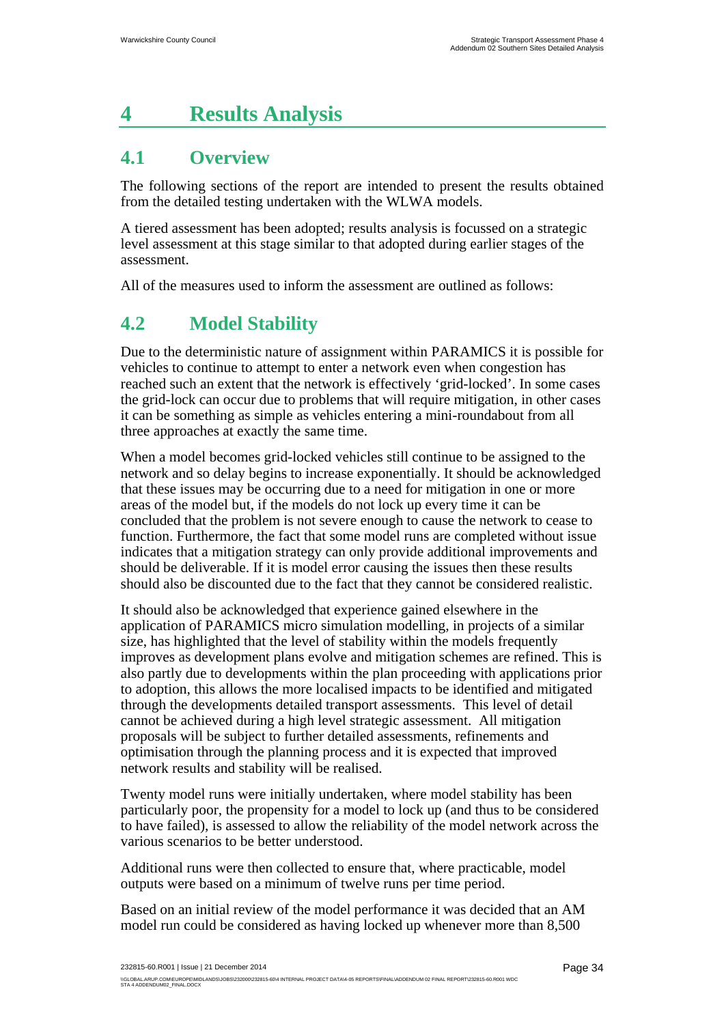# **4 Results Analysis**

# **4.1 Overview**

The following sections of the report are intended to present the results obtained from the detailed testing undertaken with the WLWA models.

A tiered assessment has been adopted; results analysis is focussed on a strategic level assessment at this stage similar to that adopted during earlier stages of the assessment.

All of the measures used to inform the assessment are outlined as follows:

# **4.2 Model Stability**

Due to the deterministic nature of assignment within PARAMICS it is possible for vehicles to continue to attempt to enter a network even when congestion has reached such an extent that the network is effectively 'grid-locked'. In some cases the grid-lock can occur due to problems that will require mitigation, in other cases it can be something as simple as vehicles entering a mini-roundabout from all three approaches at exactly the same time.

When a model becomes grid-locked vehicles still continue to be assigned to the network and so delay begins to increase exponentially. It should be acknowledged that these issues may be occurring due to a need for mitigation in one or more areas of the model but, if the models do not lock up every time it can be concluded that the problem is not severe enough to cause the network to cease to function. Furthermore, the fact that some model runs are completed without issue indicates that a mitigation strategy can only provide additional improvements and should be deliverable. If it is model error causing the issues then these results should also be discounted due to the fact that they cannot be considered realistic.

It should also be acknowledged that experience gained elsewhere in the application of PARAMICS micro simulation modelling, in projects of a similar size, has highlighted that the level of stability within the models frequently improves as development plans evolve and mitigation schemes are refined. This is also partly due to developments within the plan proceeding with applications prior to adoption, this allows the more localised impacts to be identified and mitigated through the developments detailed transport assessments. This level of detail cannot be achieved during a high level strategic assessment. All mitigation proposals will be subject to further detailed assessments, refinements and optimisation through the planning process and it is expected that improved network results and stability will be realised.

Twenty model runs were initially undertaken, where model stability has been particularly poor, the propensity for a model to lock up (and thus to be considered to have failed), is assessed to allow the reliability of the model network across the various scenarios to be better understood.

Additional runs were then collected to ensure that, where practicable, model outputs were based on a minimum of twelve runs per time period.

Based on an initial review of the model performance it was decided that an AM model run could be considered as having locked up whenever more than 8,500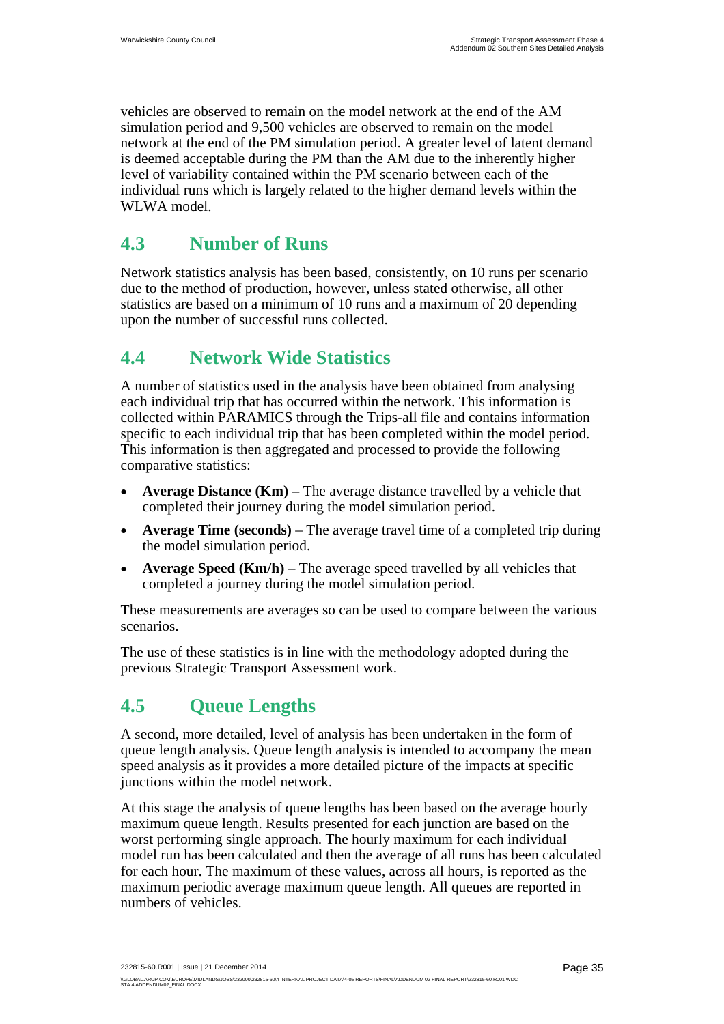vehicles are observed to remain on the model network at the end of the AM simulation period and 9,500 vehicles are observed to remain on the model network at the end of the PM simulation period. A greater level of latent demand is deemed acceptable during the PM than the AM due to the inherently higher level of variability contained within the PM scenario between each of the individual runs which is largely related to the higher demand levels within the WLWA model.

# **4.3 Number of Runs**

Network statistics analysis has been based, consistently, on 10 runs per scenario due to the method of production, however, unless stated otherwise, all other statistics are based on a minimum of 10 runs and a maximum of 20 depending upon the number of successful runs collected.

# **4.4 Network Wide Statistics**

A number of statistics used in the analysis have been obtained from analysing each individual trip that has occurred within the network. This information is collected within PARAMICS through the Trips-all file and contains information specific to each individual trip that has been completed within the model period. This information is then aggregated and processed to provide the following comparative statistics:

- **Average Distance (Km)** The average distance travelled by a vehicle that completed their journey during the model simulation period.
- **Average Time (seconds)** The average travel time of a completed trip during the model simulation period.
- **Average Speed (Km/h)** The average speed travelled by all vehicles that completed a journey during the model simulation period.

These measurements are averages so can be used to compare between the various scenarios.

The use of these statistics is in line with the methodology adopted during the previous Strategic Transport Assessment work.

# **4.5 Queue Lengths**

A second, more detailed, level of analysis has been undertaken in the form of queue length analysis. Queue length analysis is intended to accompany the mean speed analysis as it provides a more detailed picture of the impacts at specific junctions within the model network.

At this stage the analysis of queue lengths has been based on the average hourly maximum queue length. Results presented for each junction are based on the worst performing single approach. The hourly maximum for each individual model run has been calculated and then the average of all runs has been calculated for each hour. The maximum of these values, across all hours, is reported as the maximum periodic average maximum queue length. All queues are reported in numbers of vehicles.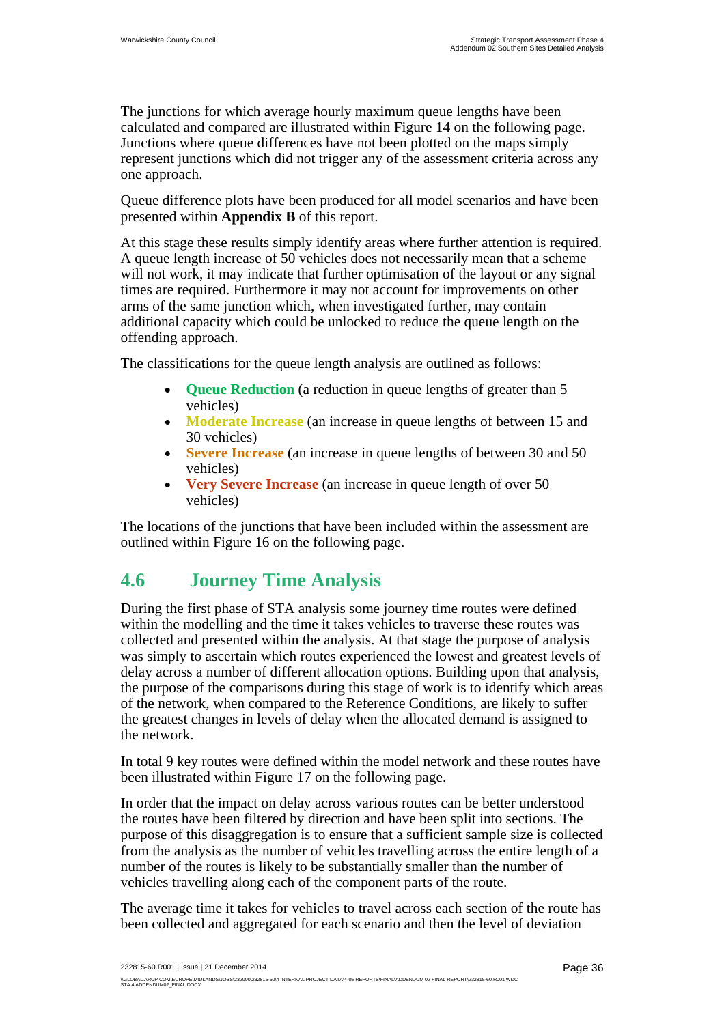The junctions for which average hourly maximum queue lengths have been calculated and compared are illustrated within Figure 14 on the following page. Junctions where queue differences have not been plotted on the maps simply represent junctions which did not trigger any of the assessment criteria across any one approach.

Queue difference plots have been produced for all model scenarios and have been presented within **Appendix B** of this report.

At this stage these results simply identify areas where further attention is required. A queue length increase of 50 vehicles does not necessarily mean that a scheme will not work, it may indicate that further optimisation of the layout or any signal times are required. Furthermore it may not account for improvements on other arms of the same junction which, when investigated further, may contain additional capacity which could be unlocked to reduce the queue length on the offending approach.

The classifications for the queue length analysis are outlined as follows:

- **Queue Reduction** (a reduction in queue lengths of greater than 5 vehicles)
- **Moderate Increase** (an increase in queue lengths of between 15 and 30 vehicles)
- **Severe Increase** (an increase in queue lengths of between 30 and 50 vehicles)
- **Very Severe Increase** (an increase in queue length of over 50 vehicles)

The locations of the junctions that have been included within the assessment are outlined within Figure 16 on the following page.

# **4.6 Journey Time Analysis**

During the first phase of STA analysis some journey time routes were defined within the modelling and the time it takes vehicles to traverse these routes was collected and presented within the analysis. At that stage the purpose of analysis was simply to ascertain which routes experienced the lowest and greatest levels of delay across a number of different allocation options. Building upon that analysis, the purpose of the comparisons during this stage of work is to identify which areas of the network, when compared to the Reference Conditions, are likely to suffer the greatest changes in levels of delay when the allocated demand is assigned to the network.

In total 9 key routes were defined within the model network and these routes have been illustrated within Figure 17 on the following page.

In order that the impact on delay across various routes can be better understood the routes have been filtered by direction and have been split into sections. The purpose of this disaggregation is to ensure that a sufficient sample size is collected from the analysis as the number of vehicles travelling across the entire length of a number of the routes is likely to be substantially smaller than the number of vehicles travelling along each of the component parts of the route.

The average time it takes for vehicles to travel across each section of the route has been collected and aggregated for each scenario and then the level of deviation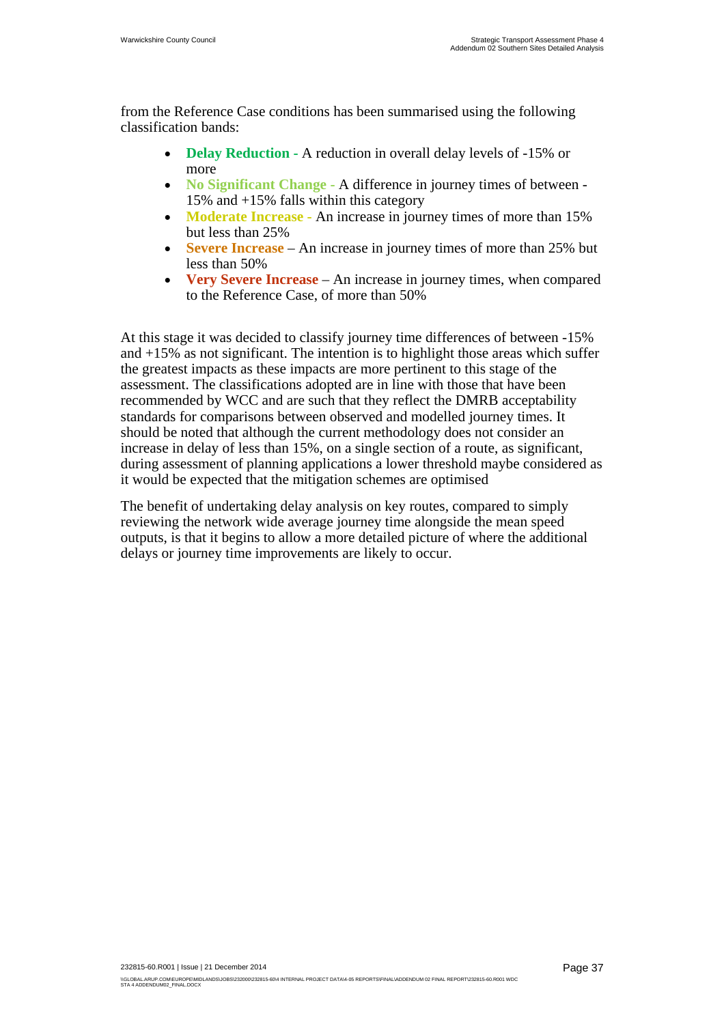from the Reference Case conditions has been summarised using the following classification bands:

- **Delay Reduction A reduction in overall delay levels of -15% or** more
- **No Significant Change** A difference in journey times of between 15% and +15% falls within this category
- **Moderate Increase** An increase in journey times of more than 15% but less than 25%
- **Severe Increase** An increase in journey times of more than 25% but less than 50%
- **Very Severe Increase** An increase in journey times, when compared to the Reference Case, of more than 50%

At this stage it was decided to classify journey time differences of between -15% and +15% as not significant. The intention is to highlight those areas which suffer the greatest impacts as these impacts are more pertinent to this stage of the assessment. The classifications adopted are in line with those that have been recommended by WCC and are such that they reflect the DMRB acceptability standards for comparisons between observed and modelled journey times. It should be noted that although the current methodology does not consider an increase in delay of less than 15%, on a single section of a route, as significant, during assessment of planning applications a lower threshold maybe considered as it would be expected that the mitigation schemes are optimised

The benefit of undertaking delay analysis on key routes, compared to simply reviewing the network wide average journey time alongside the mean speed outputs, is that it begins to allow a more detailed picture of where the additional delays or journey time improvements are likely to occur.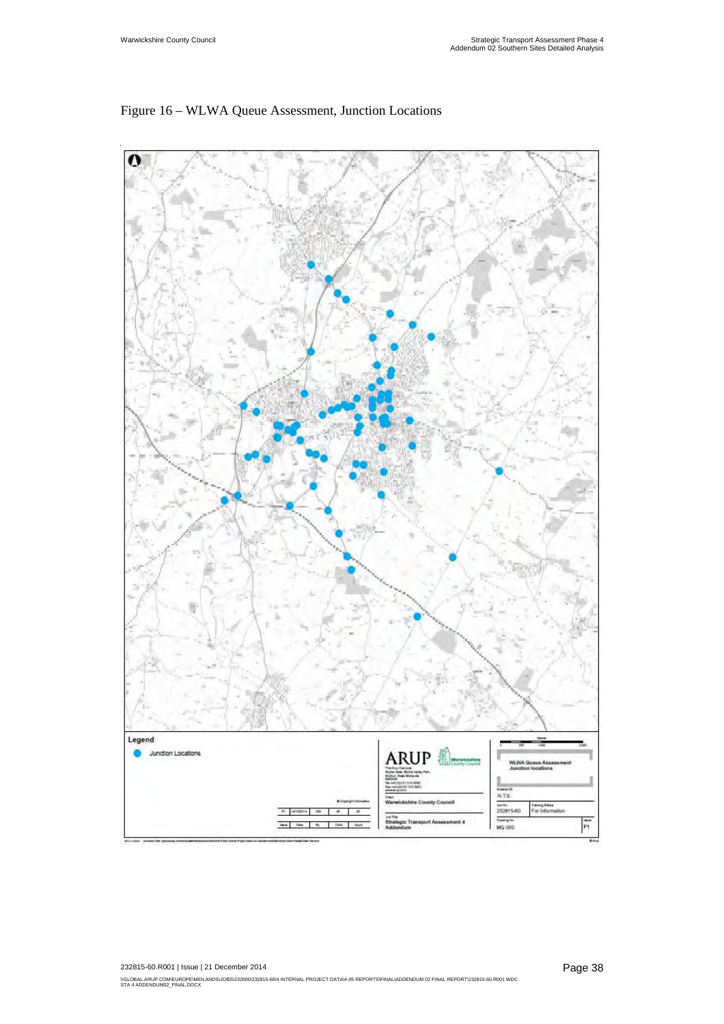

### Figure 16 – WLWA Queue Assessment, Junction Locations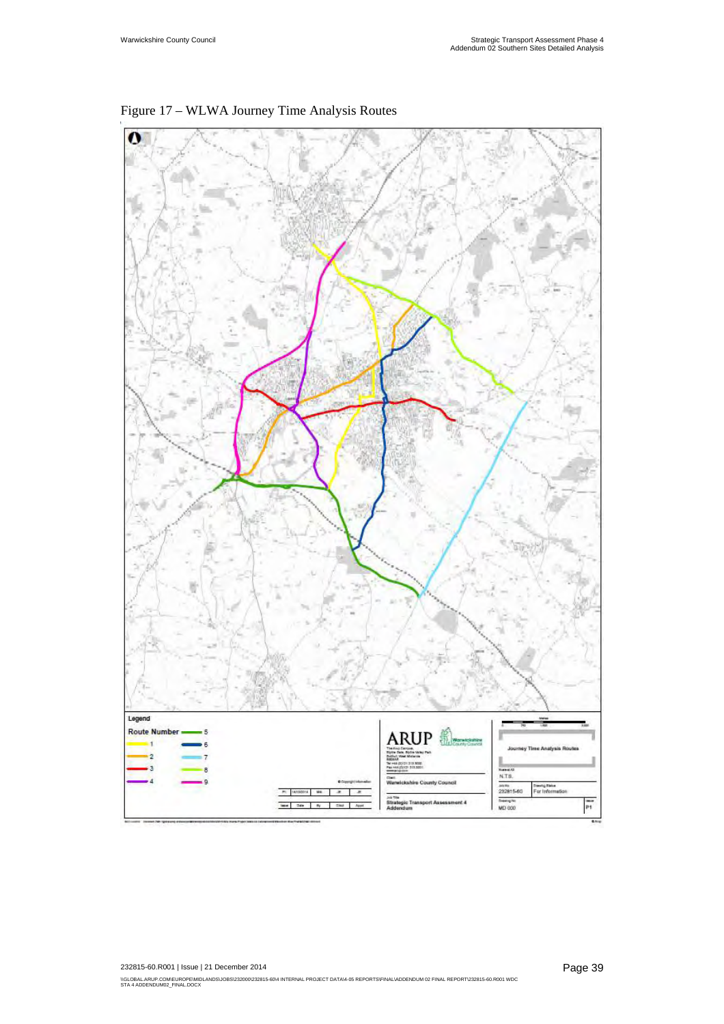

Figure 17 – WLWA Journey Time Analysis Routes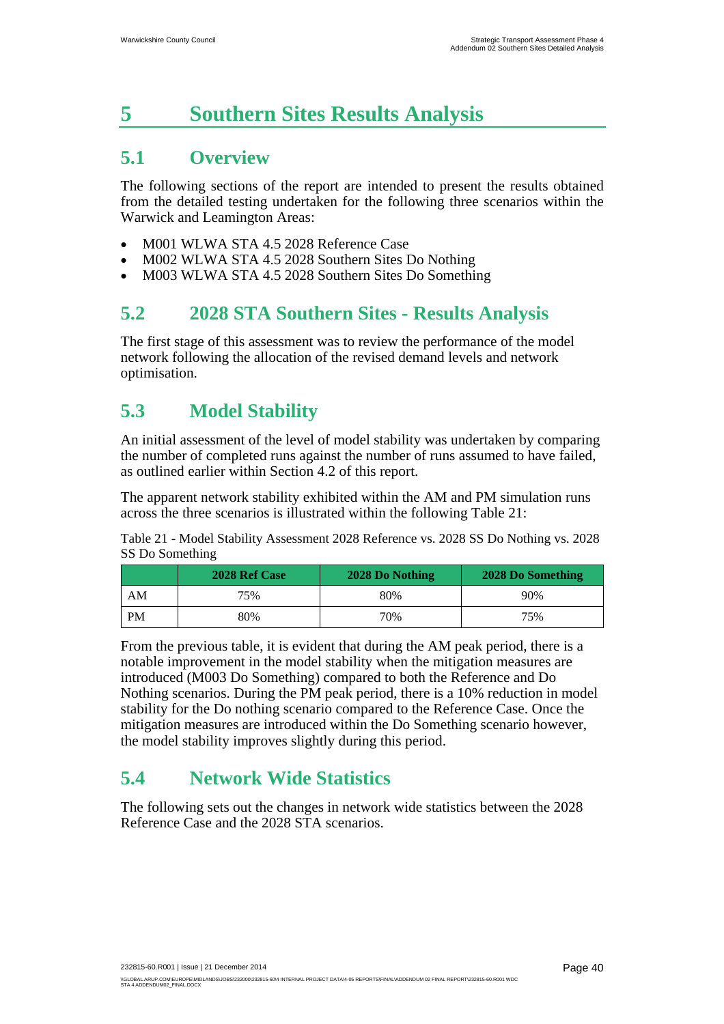# **5 Southern Sites Results Analysis**

# **5.1 Overview**

The following sections of the report are intended to present the results obtained from the detailed testing undertaken for the following three scenarios within the Warwick and Leamington Areas:

- M001 WLWA STA 4.5 2028 Reference Case
- M002 WLWA STA 4.5 2028 Southern Sites Do Nothing
- M003 WLWA STA 4.5 2028 Southern Sites Do Something

## **5.2 2028 STA Southern Sites - Results Analysis**

The first stage of this assessment was to review the performance of the model network following the allocation of the revised demand levels and network optimisation.

# **5.3 Model Stability**

An initial assessment of the level of model stability was undertaken by comparing the number of completed runs against the number of runs assumed to have failed, as outlined earlier within Section 4.2 of this report.

The apparent network stability exhibited within the AM and PM simulation runs across the three scenarios is illustrated within the following Table 21:

Table 21 - Model Stability Assessment 2028 Reference vs. 2028 SS Do Nothing vs. 2028 SS Do Something

|    | 2028 Ref Case | 2028 Do Nothing | 2028 Do Something |
|----|---------------|-----------------|-------------------|
| AΜ | 75%           | 80%             | 90%               |
| PM | 80%           | 70%             | 75%               |

From the previous table, it is evident that during the AM peak period, there is a notable improvement in the model stability when the mitigation measures are introduced (M003 Do Something) compared to both the Reference and Do Nothing scenarios. During the PM peak period, there is a 10% reduction in model stability for the Do nothing scenario compared to the Reference Case. Once the mitigation measures are introduced within the Do Something scenario however, the model stability improves slightly during this period.

# **5.4 Network Wide Statistics**

The following sets out the changes in network wide statistics between the 2028 Reference Case and the 2028 STA scenarios.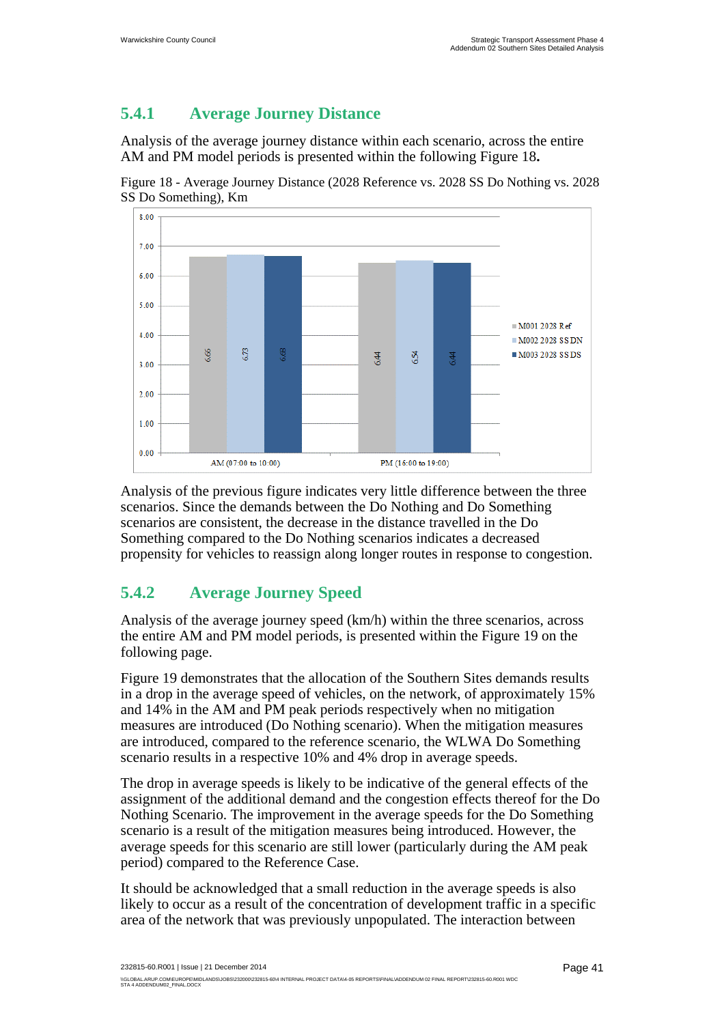## **5.4.1 Average Journey Distance**

Analysis of the average journey distance within each scenario, across the entire AM and PM model periods is presented within the following Figure 18**.** 

Figure 18 - Average Journey Distance (2028 Reference vs. 2028 SS Do Nothing vs. 2028 SS Do Something), Km



Analysis of the previous figure indicates very little difference between the three scenarios. Since the demands between the Do Nothing and Do Something scenarios are consistent, the decrease in the distance travelled in the Do Something compared to the Do Nothing scenarios indicates a decreased propensity for vehicles to reassign along longer routes in response to congestion.

## **5.4.2 Average Journey Speed**

Analysis of the average journey speed (km/h) within the three scenarios, across the entire AM and PM model periods, is presented within the Figure 19 on the following page.

Figure 19 demonstrates that the allocation of the Southern Sites demands results in a drop in the average speed of vehicles, on the network, of approximately 15% and 14% in the AM and PM peak periods respectively when no mitigation measures are introduced (Do Nothing scenario). When the mitigation measures are introduced, compared to the reference scenario, the WLWA Do Something scenario results in a respective 10% and 4% drop in average speeds.

The drop in average speeds is likely to be indicative of the general effects of the assignment of the additional demand and the congestion effects thereof for the Do Nothing Scenario. The improvement in the average speeds for the Do Something scenario is a result of the mitigation measures being introduced. However, the average speeds for this scenario are still lower (particularly during the AM peak period) compared to the Reference Case.

It should be acknowledged that a small reduction in the average speeds is also likely to occur as a result of the concentration of development traffic in a specific area of the network that was previously unpopulated. The interaction between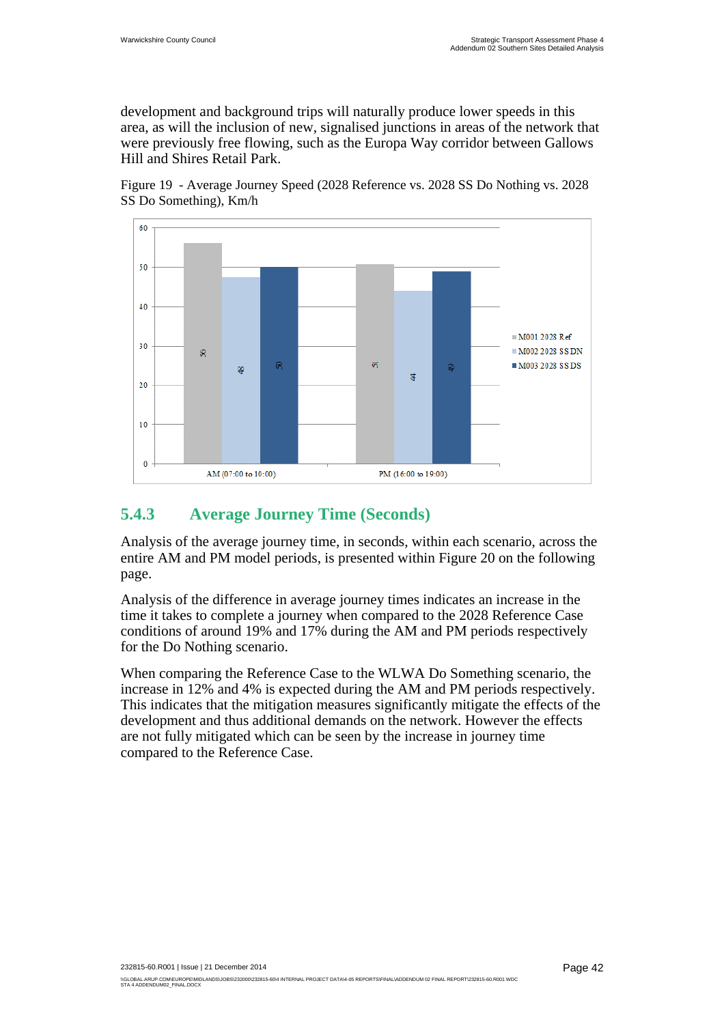development and background trips will naturally produce lower speeds in this area, as will the inclusion of new, signalised junctions in areas of the network that were previously free flowing, such as the Europa Way corridor between Gallows Hill and Shires Retail Park.





### **5.4.3 Average Journey Time (Seconds)**

Analysis of the average journey time, in seconds, within each scenario, across the entire AM and PM model periods, is presented within Figure 20 on the following page.

Analysis of the difference in average journey times indicates an increase in the time it takes to complete a journey when compared to the 2028 Reference Case conditions of around 19% and 17% during the AM and PM periods respectively for the Do Nothing scenario.

When comparing the Reference Case to the WLWA Do Something scenario, the increase in 12% and 4% is expected during the AM and PM periods respectively. This indicates that the mitigation measures significantly mitigate the effects of the development and thus additional demands on the network. However the effects are not fully mitigated which can be seen by the increase in journey time compared to the Reference Case.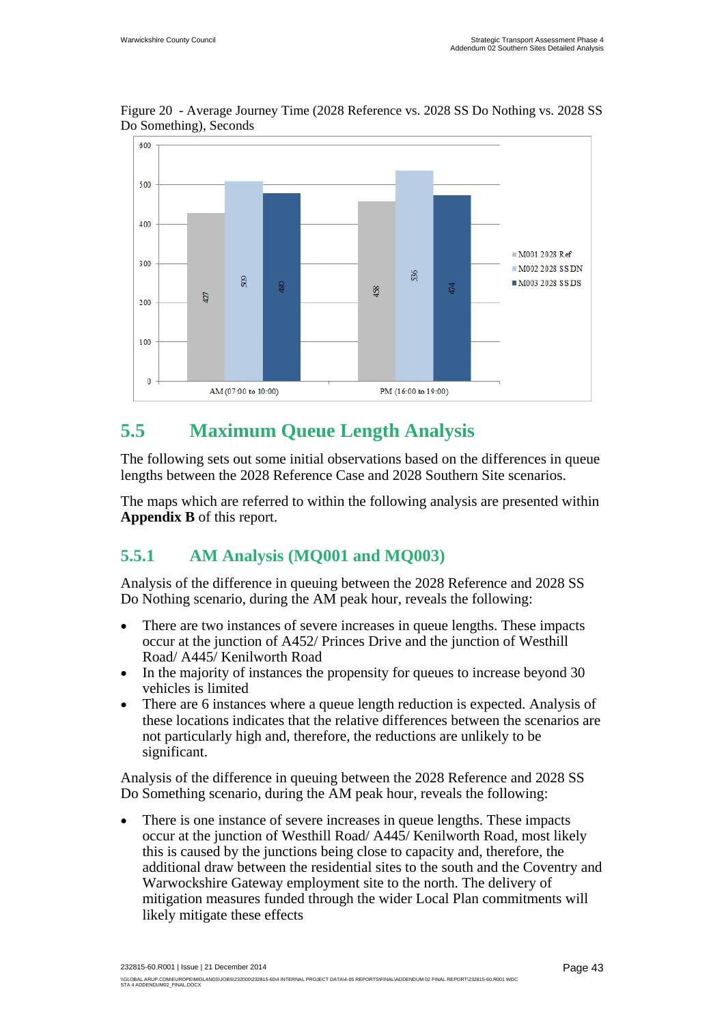

Figure 20 - Average Journey Time (2028 Reference vs. 2028 SS Do Nothing vs. 2028 SS Do Something), Seconds

# **5.5 Maximum Queue Length Analysis**

The following sets out some initial observations based on the differences in queue lengths between the 2028 Reference Case and 2028 Southern Site scenarios.

The maps which are referred to within the following analysis are presented within **Appendix B** of this report.

### **5.5.1 AM Analysis (MQ001 and MQ003)**

Analysis of the difference in queuing between the 2028 Reference and 2028 SS Do Nothing scenario, during the AM peak hour, reveals the following:

- There are two instances of severe increases in queue lengths. These impacts occur at the junction of A452/ Princes Drive and the junction of Westhill Road/ A445/ Kenilworth Road
- In the majority of instances the propensity for queues to increase beyond 30 vehicles is limited
- There are 6 instances where a queue length reduction is expected. Analysis of these locations indicates that the relative differences between the scenarios are not particularly high and, therefore, the reductions are unlikely to be significant.

Analysis of the difference in queuing between the 2028 Reference and 2028 SS Do Something scenario, during the AM peak hour, reveals the following:

• There is one instance of severe increases in queue lengths. These impacts occur at the junction of Westhill Road/ A445/ Kenilworth Road, most likely this is caused by the junctions being close to capacity and, therefore, the additional draw between the residential sites to the south and the Coventry and Warwockshire Gateway employment site to the north. The delivery of mitigation measures funded through the wider Local Plan commitments will likely mitigate these effects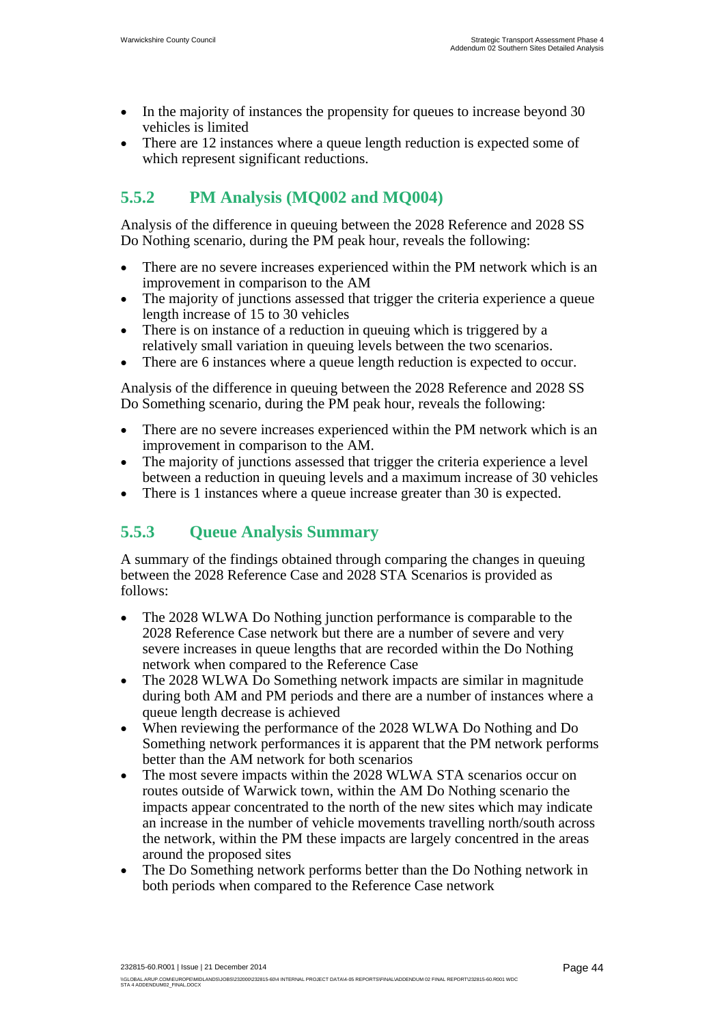- In the majority of instances the propensity for queues to increase beyond 30 vehicles is limited
- There are 12 instances where a queue length reduction is expected some of which represent significant reductions.

# **5.5.2 PM Analysis (MQ002 and MQ004)**

Analysis of the difference in queuing between the 2028 Reference and 2028 SS Do Nothing scenario, during the PM peak hour, reveals the following:

- There are no severe increases experienced within the PM network which is an improvement in comparison to the AM
- The majority of junctions assessed that trigger the criteria experience a queue length increase of 15 to 30 vehicles
- There is on instance of a reduction in queuing which is triggered by a relatively small variation in queuing levels between the two scenarios.
- There are 6 instances where a queue length reduction is expected to occur.

Analysis of the difference in queuing between the 2028 Reference and 2028 SS Do Something scenario, during the PM peak hour, reveals the following:

- There are no severe increases experienced within the PM network which is an improvement in comparison to the AM.
- The majority of junctions assessed that trigger the criteria experience a level between a reduction in queuing levels and a maximum increase of 30 vehicles
- There is 1 instances where a queue increase greater than 30 is expected.

## **5.5.3 Queue Analysis Summary**

A summary of the findings obtained through comparing the changes in queuing between the 2028 Reference Case and 2028 STA Scenarios is provided as follows:

- The 2028 WLWA Do Nothing junction performance is comparable to the 2028 Reference Case network but there are a number of severe and very severe increases in queue lengths that are recorded within the Do Nothing network when compared to the Reference Case
- The 2028 WLWA Do Something network impacts are similar in magnitude during both AM and PM periods and there are a number of instances where a queue length decrease is achieved
- When reviewing the performance of the 2028 WLWA Do Nothing and Do Something network performances it is apparent that the PM network performs better than the AM network for both scenarios
- The most severe impacts within the 2028 WLWA STA scenarios occur on routes outside of Warwick town, within the AM Do Nothing scenario the impacts appear concentrated to the north of the new sites which may indicate an increase in the number of vehicle movements travelling north/south across the network, within the PM these impacts are largely concentred in the areas around the proposed sites
- The Do Something network performs better than the Do Nothing network in both periods when compared to the Reference Case network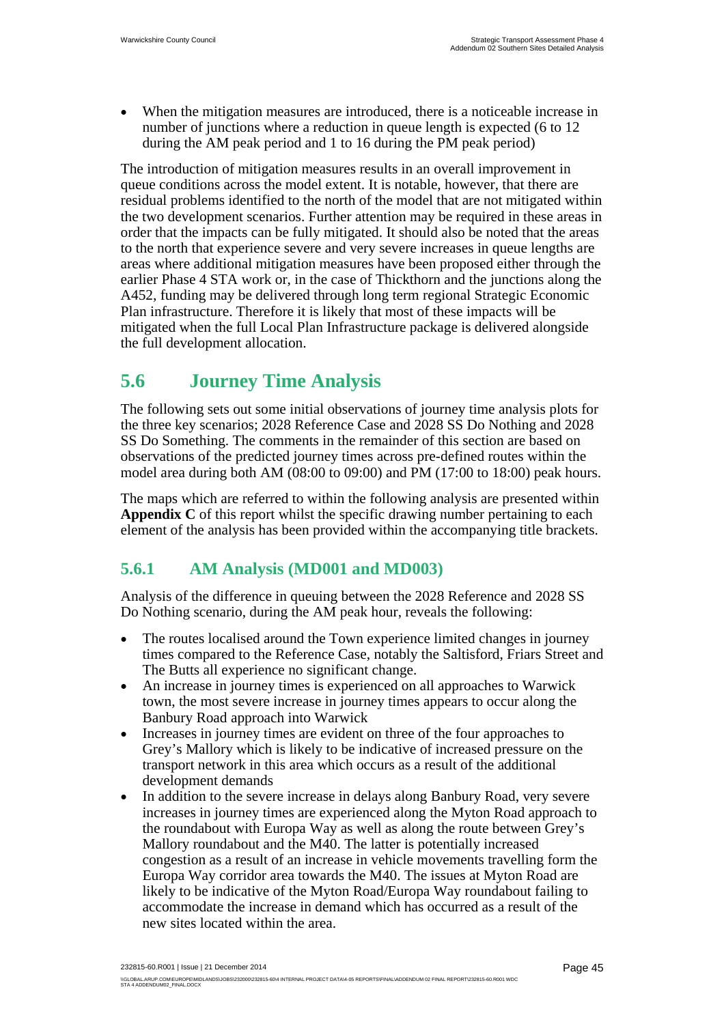When the mitigation measures are introduced, there is a noticeable increase in number of junctions where a reduction in queue length is expected (6 to 12 during the AM peak period and 1 to 16 during the PM peak period)

The introduction of mitigation measures results in an overall improvement in queue conditions across the model extent. It is notable, however, that there are residual problems identified to the north of the model that are not mitigated within the two development scenarios. Further attention may be required in these areas in order that the impacts can be fully mitigated. It should also be noted that the areas to the north that experience severe and very severe increases in queue lengths are areas where additional mitigation measures have been proposed either through the earlier Phase 4 STA work or, in the case of Thickthorn and the junctions along the A452, funding may be delivered through long term regional Strategic Economic Plan infrastructure. Therefore it is likely that most of these impacts will be mitigated when the full Local Plan Infrastructure package is delivered alongside the full development allocation.

# **5.6 Journey Time Analysis**

The following sets out some initial observations of journey time analysis plots for the three key scenarios; 2028 Reference Case and 2028 SS Do Nothing and 2028 SS Do Something. The comments in the remainder of this section are based on observations of the predicted journey times across pre-defined routes within the model area during both AM (08:00 to 09:00) and PM (17:00 to 18:00) peak hours.

The maps which are referred to within the following analysis are presented within **Appendix C** of this report whilst the specific drawing number pertaining to each element of the analysis has been provided within the accompanying title brackets.

## **5.6.1 AM Analysis (MD001 and MD003)**

Analysis of the difference in queuing between the 2028 Reference and 2028 SS Do Nothing scenario, during the AM peak hour, reveals the following:

- The routes localised around the Town experience limited changes in journey times compared to the Reference Case, notably the Saltisford, Friars Street and The Butts all experience no significant change.
- An increase in journey times is experienced on all approaches to Warwick town, the most severe increase in journey times appears to occur along the Banbury Road approach into Warwick
- Increases in journey times are evident on three of the four approaches to Grey's Mallory which is likely to be indicative of increased pressure on the transport network in this area which occurs as a result of the additional development demands
- In addition to the severe increase in delays along Banbury Road, very severe increases in journey times are experienced along the Myton Road approach to the roundabout with Europa Way as well as along the route between Grey's Mallory roundabout and the M40. The latter is potentially increased congestion as a result of an increase in vehicle movements travelling form the Europa Way corridor area towards the M40. The issues at Myton Road are likely to be indicative of the Myton Road/Europa Way roundabout failing to accommodate the increase in demand which has occurred as a result of the new sites located within the area.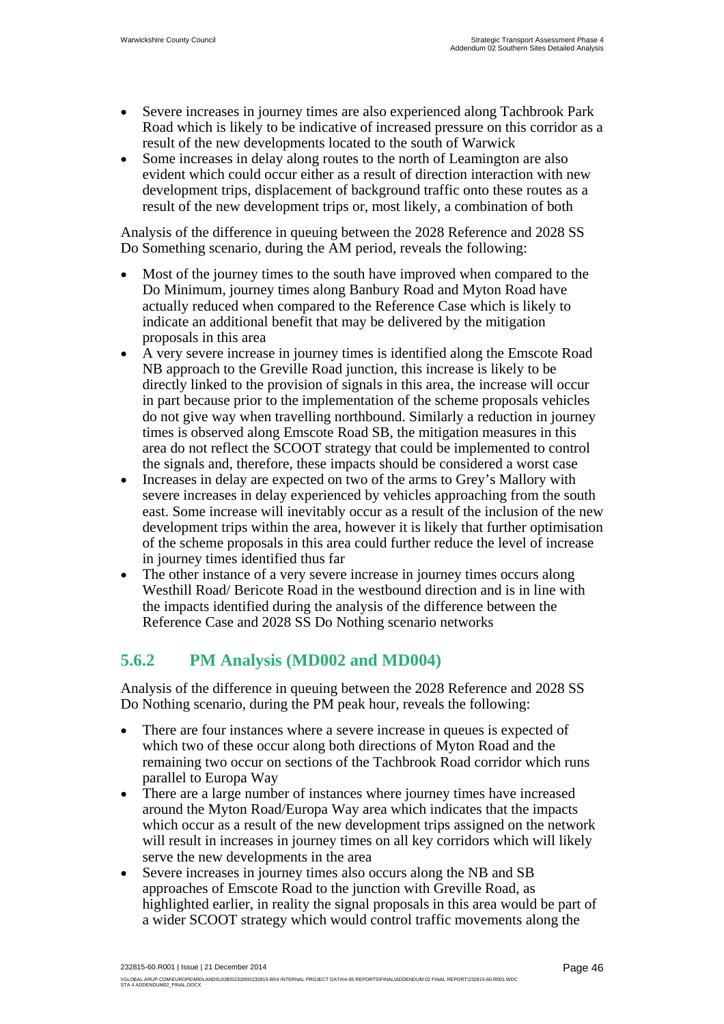- Severe increases in journey times are also experienced along Tachbrook Park Road which is likely to be indicative of increased pressure on this corridor as a result of the new developments located to the south of Warwick
- Some increases in delay along routes to the north of Leamington are also evident which could occur either as a result of direction interaction with new development trips, displacement of background traffic onto these routes as a result of the new development trips or, most likely, a combination of both

Analysis of the difference in queuing between the 2028 Reference and 2028 SS Do Something scenario, during the AM period, reveals the following:

- Most of the journey times to the south have improved when compared to the Do Minimum, journey times along Banbury Road and Myton Road have actually reduced when compared to the Reference Case which is likely to indicate an additional benefit that may be delivered by the mitigation proposals in this area
- A very severe increase in journey times is identified along the Emscote Road NB approach to the Greville Road junction, this increase is likely to be directly linked to the provision of signals in this area, the increase will occur in part because prior to the implementation of the scheme proposals vehicles do not give way when travelling northbound. Similarly a reduction in journey times is observed along Emscote Road SB, the mitigation measures in this area do not reflect the SCOOT strategy that could be implemented to control the signals and, therefore, these impacts should be considered a worst case
- Increases in delay are expected on two of the arms to Grey's Mallory with severe increases in delay experienced by vehicles approaching from the south east. Some increase will inevitably occur as a result of the inclusion of the new development trips within the area, however it is likely that further optimisation of the scheme proposals in this area could further reduce the level of increase in journey times identified thus far
- The other instance of a very severe increase in journey times occurs along Westhill Road/ Bericote Road in the westbound direction and is in line with the impacts identified during the analysis of the difference between the Reference Case and 2028 SS Do Nothing scenario networks

## **5.6.2 PM Analysis (MD002 and MD004)**

Analysis of the difference in queuing between the 2028 Reference and 2028 SS Do Nothing scenario, during the PM peak hour, reveals the following:

- There are four instances where a severe increase in queues is expected of which two of these occur along both directions of Myton Road and the remaining two occur on sections of the Tachbrook Road corridor which runs parallel to Europa Way
- There are a large number of instances where journey times have increased around the Myton Road/Europa Way area which indicates that the impacts which occur as a result of the new development trips assigned on the network will result in increases in journey times on all key corridors which will likely serve the new developments in the area
- Severe increases in journey times also occurs along the NB and SB approaches of Emscote Road to the junction with Greville Road, as highlighted earlier, in reality the signal proposals in this area would be part of a wider SCOOT strategy which would control traffic movements along the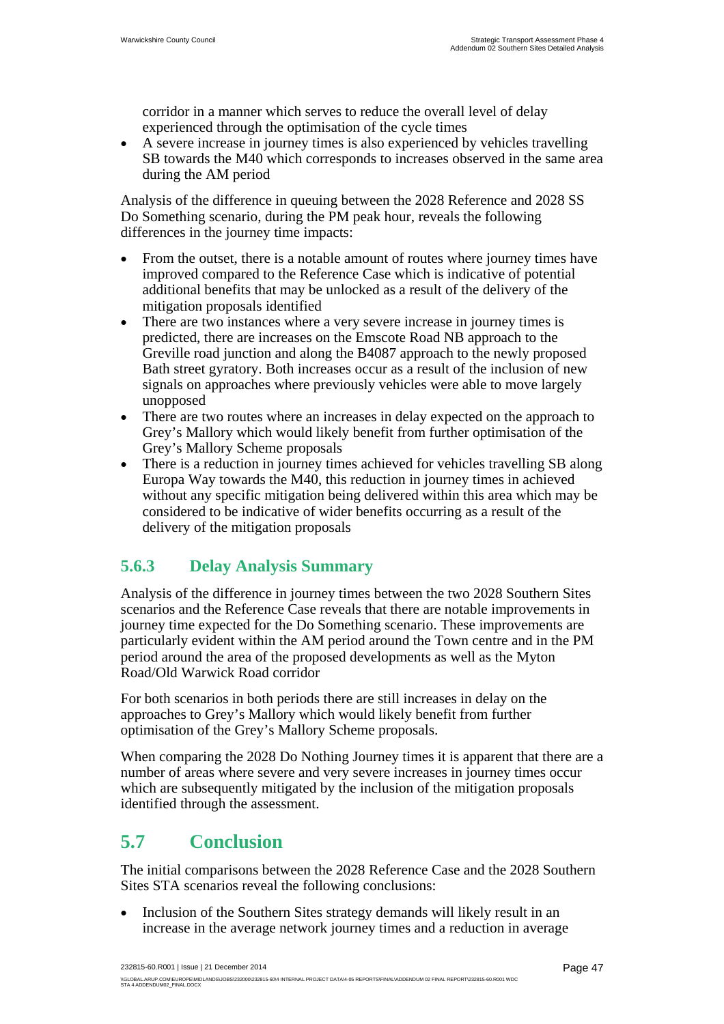corridor in a manner which serves to reduce the overall level of delay experienced through the optimisation of the cycle times

 A severe increase in journey times is also experienced by vehicles travelling SB towards the M40 which corresponds to increases observed in the same area during the AM period

Analysis of the difference in queuing between the 2028 Reference and 2028 SS Do Something scenario, during the PM peak hour, reveals the following differences in the journey time impacts:

- From the outset, there is a notable amount of routes where journey times have improved compared to the Reference Case which is indicative of potential additional benefits that may be unlocked as a result of the delivery of the mitigation proposals identified
- There are two instances where a very severe increase in journey times is predicted, there are increases on the Emscote Road NB approach to the Greville road junction and along the B4087 approach to the newly proposed Bath street gyratory. Both increases occur as a result of the inclusion of new signals on approaches where previously vehicles were able to move largely unopposed
- There are two routes where an increases in delay expected on the approach to Grey's Mallory which would likely benefit from further optimisation of the Grey's Mallory Scheme proposals
- There is a reduction in journey times achieved for vehicles travelling SB along Europa Way towards the M40, this reduction in journey times in achieved without any specific mitigation being delivered within this area which may be considered to be indicative of wider benefits occurring as a result of the delivery of the mitigation proposals

## **5.6.3 Delay Analysis Summary**

Analysis of the difference in journey times between the two 2028 Southern Sites scenarios and the Reference Case reveals that there are notable improvements in journey time expected for the Do Something scenario. These improvements are particularly evident within the AM period around the Town centre and in the PM period around the area of the proposed developments as well as the Myton Road/Old Warwick Road corridor

For both scenarios in both periods there are still increases in delay on the approaches to Grey's Mallory which would likely benefit from further optimisation of the Grey's Mallory Scheme proposals.

When comparing the 2028 Do Nothing Journey times it is apparent that there are a number of areas where severe and very severe increases in journey times occur which are subsequently mitigated by the inclusion of the mitigation proposals identified through the assessment.

# **5.7 Conclusion**

The initial comparisons between the 2028 Reference Case and the 2028 Southern Sites STA scenarios reveal the following conclusions:

• Inclusion of the Southern Sites strategy demands will likely result in an increase in the average network journey times and a reduction in average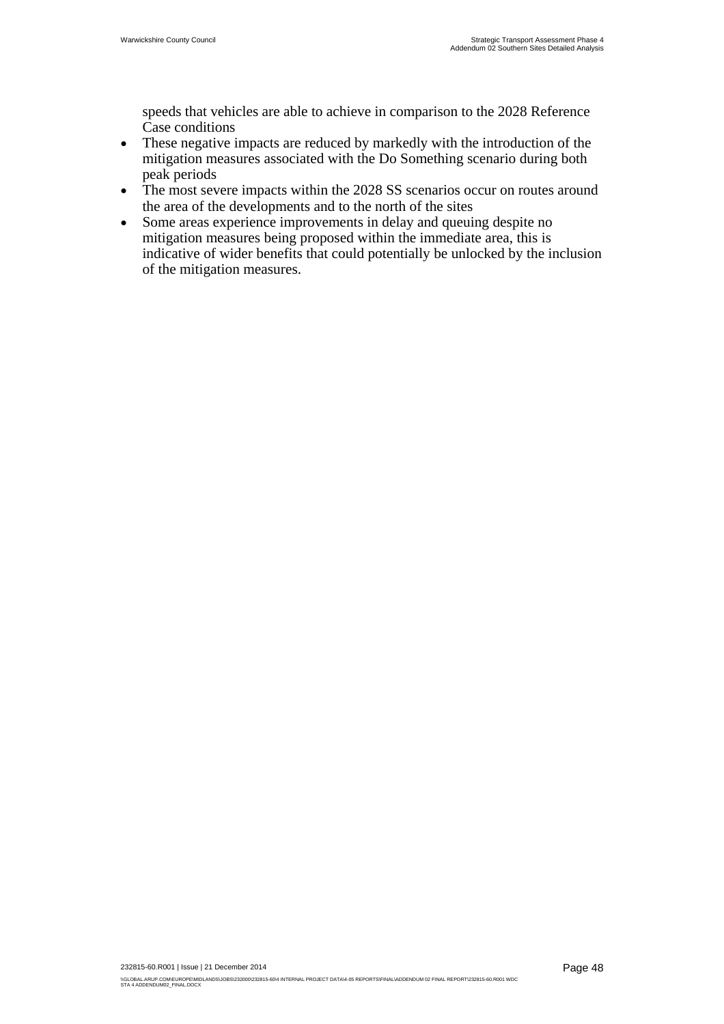speeds that vehicles are able to achieve in comparison to the 2028 Reference Case conditions

- These negative impacts are reduced by markedly with the introduction of the mitigation measures associated with the Do Something scenario during both peak periods
- The most severe impacts within the 2028 SS scenarios occur on routes around the area of the developments and to the north of the sites
- Some areas experience improvements in delay and queuing despite no mitigation measures being proposed within the immediate area, this is indicative of wider benefits that could potentially be unlocked by the inclusion of the mitigation measures.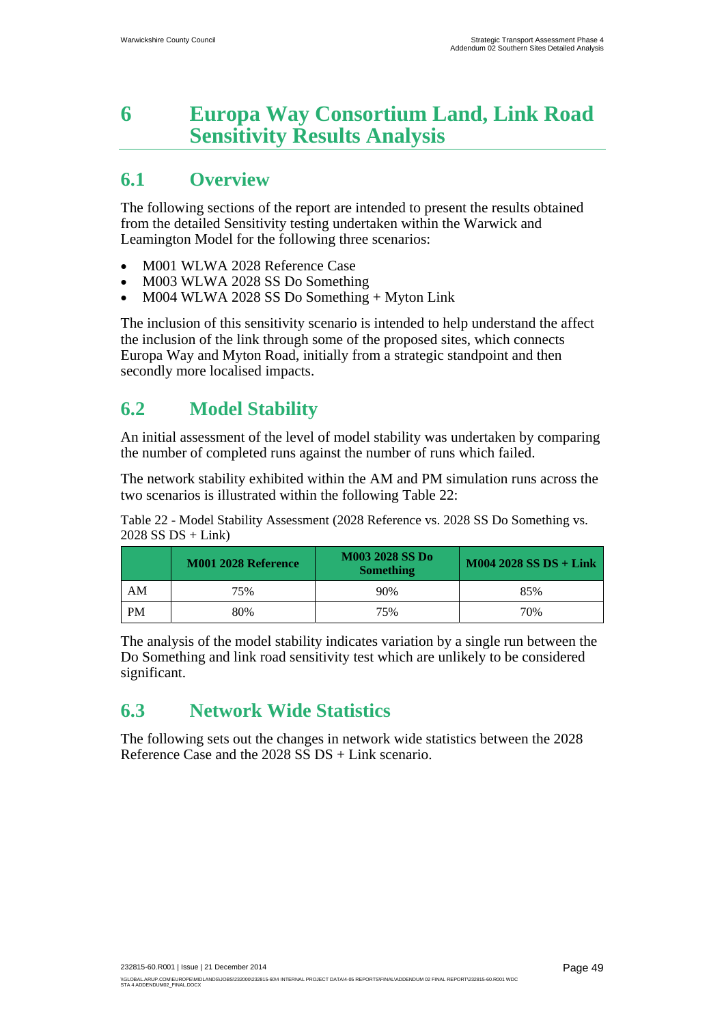# **6 Europa Way Consortium Land, Link Road Sensitivity Results Analysis**

# **6.1 Overview**

The following sections of the report are intended to present the results obtained from the detailed Sensitivity testing undertaken within the Warwick and Leamington Model for the following three scenarios:

- M001 WLWA 2028 Reference Case
- M003 WLWA 2028 SS Do Something
- M004 WLWA 2028 SS Do Something + Myton Link

The inclusion of this sensitivity scenario is intended to help understand the affect the inclusion of the link through some of the proposed sites, which connects Europa Way and Myton Road, initially from a strategic standpoint and then secondly more localised impacts.

# **6.2 Model Stability**

An initial assessment of the level of model stability was undertaken by comparing the number of completed runs against the number of runs which failed.

The network stability exhibited within the AM and PM simulation runs across the two scenarios is illustrated within the following Table 22:

Table 22 - Model Stability Assessment (2028 Reference vs. 2028 SS Do Something vs.  $2028$  SS DS + Link)

|           | <b>M001 2028 Reference</b> | <b>M003 2028 SS Do</b><br><b>Something</b> | $M004 2028 SS DS + Link$ |
|-----------|----------------------------|--------------------------------------------|--------------------------|
| AM        | 75%                        | 90%                                        | 85%                      |
| <b>PM</b> | 80%                        | 75%                                        | 70%                      |

The analysis of the model stability indicates variation by a single run between the Do Something and link road sensitivity test which are unlikely to be considered significant.

# **6.3 Network Wide Statistics**

The following sets out the changes in network wide statistics between the 2028 Reference Case and the 2028 SS DS + Link scenario.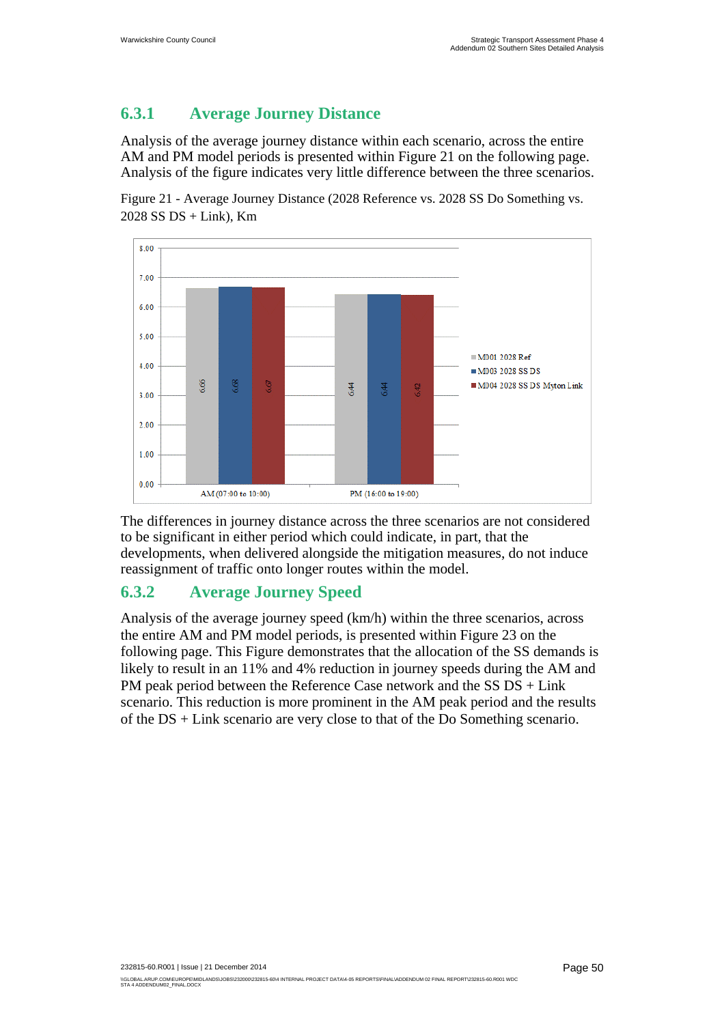## **6.3.1 Average Journey Distance**

Analysis of the average journey distance within each scenario, across the entire AM and PM model periods is presented within Figure 21 on the following page. Analysis of the figure indicates very little difference between the three scenarios.

Figure 21 - Average Journey Distance (2028 Reference vs. 2028 SS Do Something vs.  $2028$  SS DS + Link), Km



The differences in journey distance across the three scenarios are not considered to be significant in either period which could indicate, in part, that the developments, when delivered alongside the mitigation measures, do not induce reassignment of traffic onto longer routes within the model.

## **6.3.2 Average Journey Speed**

Analysis of the average journey speed (km/h) within the three scenarios, across the entire AM and PM model periods, is presented within Figure 23 on the following page. This Figure demonstrates that the allocation of the SS demands is likely to result in an 11% and 4% reduction in journey speeds during the AM and PM peak period between the Reference Case network and the SS DS + Link scenario. This reduction is more prominent in the AM peak period and the results of the DS + Link scenario are very close to that of the Do Something scenario.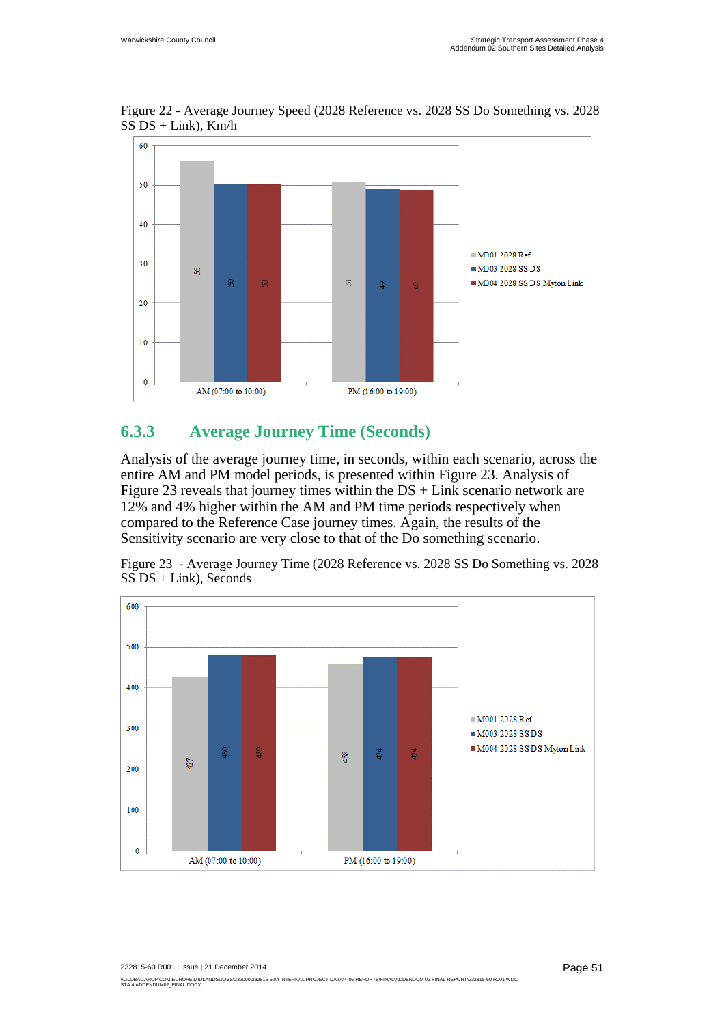

Figure 22 - Average Journey Speed (2028 Reference vs. 2028 SS Do Something vs. 2028  $SS\overline{DS}$  + Link), Km/h

### **6.3.3 Average Journey Time (Seconds)**

Analysis of the average journey time, in seconds, within each scenario, across the entire AM and PM model periods, is presented within Figure 23. Analysis of Figure 23 reveals that journey times within the  $DS + Link$  scenario network are 12% and 4% higher within the AM and PM time periods respectively when compared to the Reference Case journey times. Again, the results of the Sensitivity scenario are very close to that of the Do something scenario.



Figure 23 - Average Journey Time (2028 Reference vs. 2028 SS Do Something vs. 2028 SS DS + Link), Seconds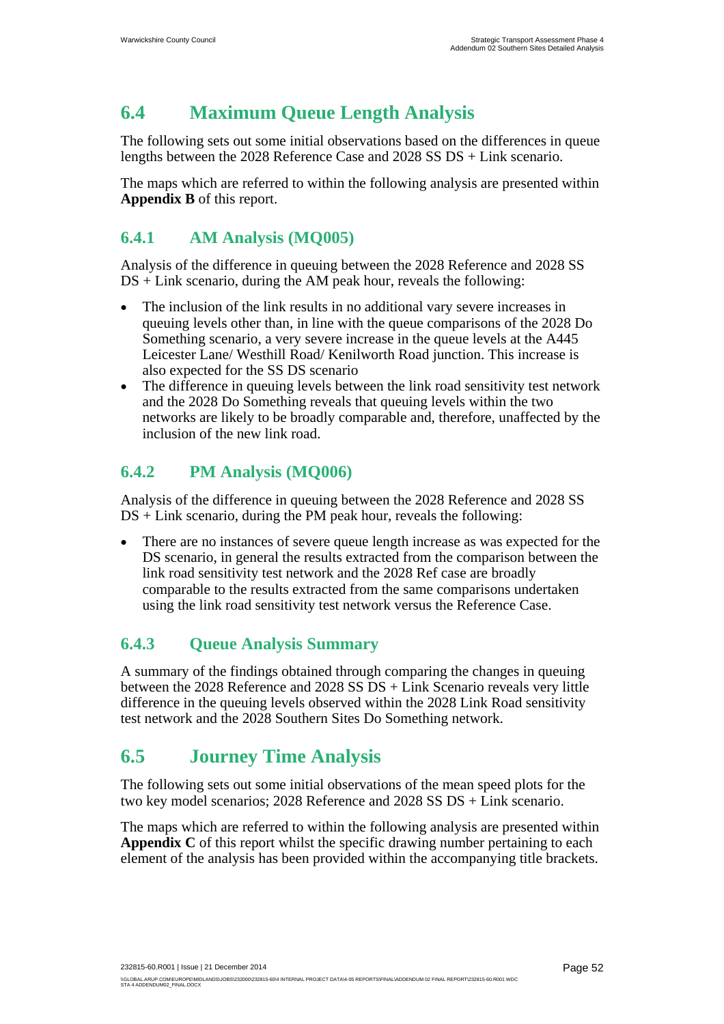# **6.4 Maximum Queue Length Analysis**

The following sets out some initial observations based on the differences in queue lengths between the 2028 Reference Case and 2028 SS DS + Link scenario.

The maps which are referred to within the following analysis are presented within **Appendix B** of this report.

## **6.4.1 AM Analysis (MQ005)**

Analysis of the difference in queuing between the 2028 Reference and 2028 SS  $DS + Link$  scenario, during the AM peak hour, reveals the following:

- The inclusion of the link results in no additional vary severe increases in queuing levels other than, in line with the queue comparisons of the 2028 Do Something scenario, a very severe increase in the queue levels at the A445 Leicester Lane/ Westhill Road/ Kenilworth Road junction. This increase is also expected for the SS DS scenario
- The difference in queuing levels between the link road sensitivity test network and the 2028 Do Something reveals that queuing levels within the two networks are likely to be broadly comparable and, therefore, unaffected by the inclusion of the new link road.

## **6.4.2 PM Analysis (MQ006)**

Analysis of the difference in queuing between the 2028 Reference and 2028 SS  $DS + Link$  scenario, during the PM peak hour, reveals the following:

 There are no instances of severe queue length increase as was expected for the DS scenario, in general the results extracted from the comparison between the link road sensitivity test network and the 2028 Ref case are broadly comparable to the results extracted from the same comparisons undertaken using the link road sensitivity test network versus the Reference Case.

## **6.4.3 Queue Analysis Summary**

A summary of the findings obtained through comparing the changes in queuing between the 2028 Reference and 2028 SS DS + Link Scenario reveals very little difference in the queuing levels observed within the 2028 Link Road sensitivity test network and the 2028 Southern Sites Do Something network.

# **6.5 Journey Time Analysis**

The following sets out some initial observations of the mean speed plots for the two key model scenarios; 2028 Reference and 2028 SS DS + Link scenario.

The maps which are referred to within the following analysis are presented within Appendix C of this report whilst the specific drawing number pertaining to each element of the analysis has been provided within the accompanying title brackets.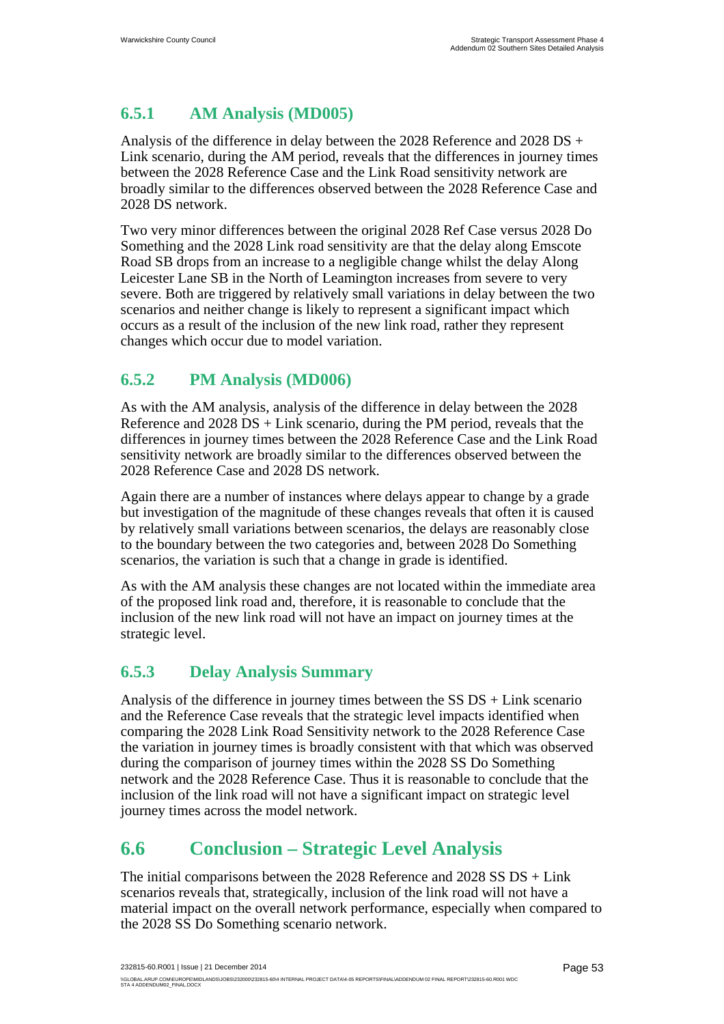## **6.5.1 AM Analysis (MD005)**

Analysis of the difference in delay between the 2028 Reference and 2028 DS + Link scenario, during the AM period, reveals that the differences in journey times between the 2028 Reference Case and the Link Road sensitivity network are broadly similar to the differences observed between the 2028 Reference Case and 2028 DS network.

Two very minor differences between the original 2028 Ref Case versus 2028 Do Something and the 2028 Link road sensitivity are that the delay along Emscote Road SB drops from an increase to a negligible change whilst the delay Along Leicester Lane SB in the North of Leamington increases from severe to very severe. Both are triggered by relatively small variations in delay between the two scenarios and neither change is likely to represent a significant impact which occurs as a result of the inclusion of the new link road, rather they represent changes which occur due to model variation.

### **6.5.2 PM Analysis (MD006)**

As with the AM analysis, analysis of the difference in delay between the 2028 Reference and  $2028$  DS + Link scenario, during the PM period, reveals that the differences in journey times between the 2028 Reference Case and the Link Road sensitivity network are broadly similar to the differences observed between the 2028 Reference Case and 2028 DS network.

Again there are a number of instances where delays appear to change by a grade but investigation of the magnitude of these changes reveals that often it is caused by relatively small variations between scenarios, the delays are reasonably close to the boundary between the two categories and, between 2028 Do Something scenarios, the variation is such that a change in grade is identified.

As with the AM analysis these changes are not located within the immediate area of the proposed link road and, therefore, it is reasonable to conclude that the inclusion of the new link road will not have an impact on journey times at the strategic level.

## **6.5.3 Delay Analysis Summary**

Analysis of the difference in journey times between the SS DS + Link scenario and the Reference Case reveals that the strategic level impacts identified when comparing the 2028 Link Road Sensitivity network to the 2028 Reference Case the variation in journey times is broadly consistent with that which was observed during the comparison of journey times within the 2028 SS Do Something network and the 2028 Reference Case. Thus it is reasonable to conclude that the inclusion of the link road will not have a significant impact on strategic level journey times across the model network.

# **6.6 Conclusion – Strategic Level Analysis**

The initial comparisons between the 2028 Reference and 2028 SS DS + Link scenarios reveals that, strategically, inclusion of the link road will not have a material impact on the overall network performance, especially when compared to the 2028 SS Do Something scenario network.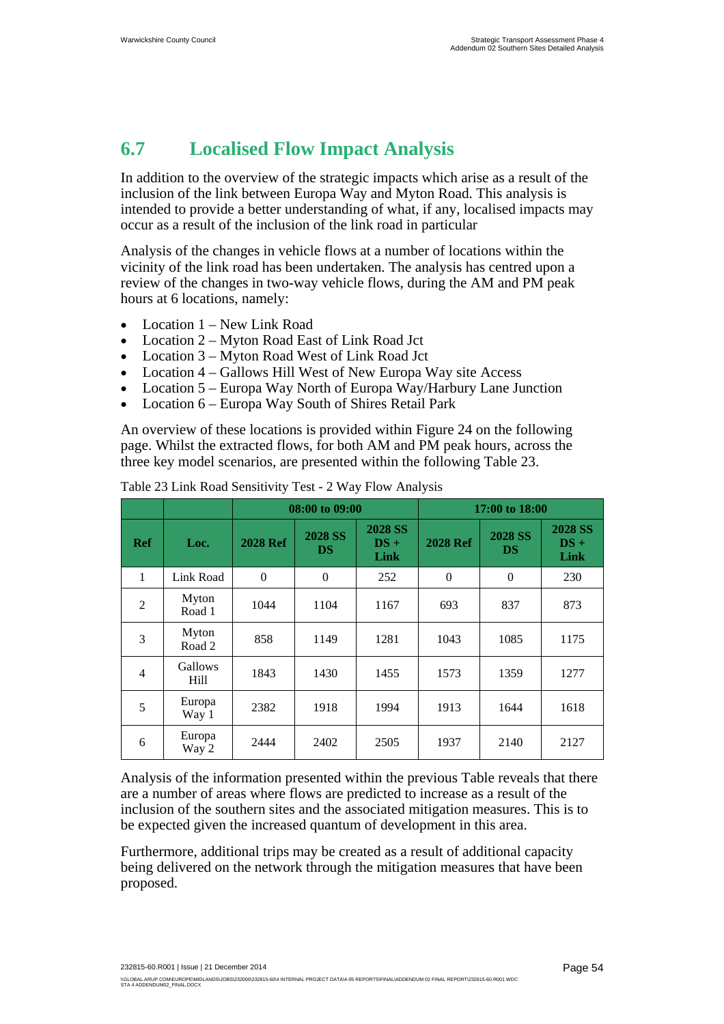# **6.7 Localised Flow Impact Analysis**

In addition to the overview of the strategic impacts which arise as a result of the inclusion of the link between Europa Way and Myton Road. This analysis is intended to provide a better understanding of what, if any, localised impacts may occur as a result of the inclusion of the link road in particular

Analysis of the changes in vehicle flows at a number of locations within the vicinity of the link road has been undertaken. The analysis has centred upon a review of the changes in two-way vehicle flows, during the AM and PM peak hours at 6 locations, namely:

- Location 1 New Link Road
- Location 2 Myton Road East of Link Road Jct
- Location 3 Myton Road West of Link Road Jct
- Location 4 Gallows Hill West of New Europa Way site Access
- Location 5 Europa Way North of Europa Way/Harbury Lane Junction
- Location 6 Europa Way South of Shires Retail Park

An overview of these locations is provided within Figure 24 on the following page. Whilst the extracted flows, for both AM and PM peak hours, across the three key model scenarios, are presented within the following Table 23.

|                |                 | 08:00 to 09:00   |                             |                                  | 17:00 to 18:00  |                             |                                  |
|----------------|-----------------|------------------|-----------------------------|----------------------------------|-----------------|-----------------------------|----------------------------------|
| <b>Ref</b>     | Loc.            | <b>2028 Ref</b>  | <b>2028 SS</b><br><b>DS</b> | <b>2028 SS</b><br>$DS +$<br>Link | <b>2028 Ref</b> | <b>2028 SS</b><br><b>DS</b> | <b>2028 SS</b><br>$DS +$<br>Link |
| 1              | Link Road       | $\boldsymbol{0}$ | $\overline{0}$              | 252                              | $\mathbf{0}$    | $\mathbf{0}$                | 230                              |
| $\overline{2}$ | Myton<br>Road 1 | 1044             | 1104                        | 1167                             | 693             | 837                         | 873                              |
| 3              | Myton<br>Road 2 | 858              | 1149                        | 1281                             | 1043            | 1085                        | 1175                             |
| $\overline{4}$ | Gallows<br>Hill | 1843             | 1430                        | 1455                             | 1573            | 1359                        | 1277                             |
| 5              | Europa<br>Way 1 | 2382             | 1918                        | 1994                             | 1913            | 1644                        | 1618                             |
| 6              | Europa<br>Way 2 | 2444             | 2402                        | 2505                             | 1937            | 2140                        | 2127                             |

Table 23 Link Road Sensitivity Test - 2 Way Flow Analysis

Analysis of the information presented within the previous Table reveals that there are a number of areas where flows are predicted to increase as a result of the inclusion of the southern sites and the associated mitigation measures. This is to be expected given the increased quantum of development in this area.

Furthermore, additional trips may be created as a result of additional capacity being delivered on the network through the mitigation measures that have been proposed.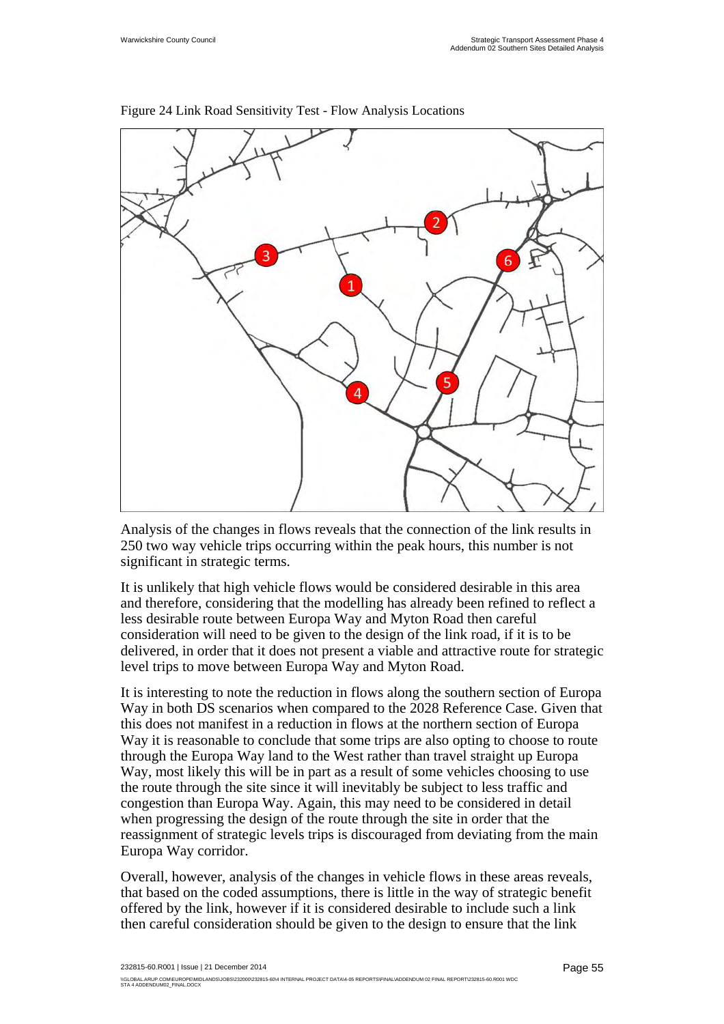

Figure 24 Link Road Sensitivity Test - Flow Analysis Locations

Analysis of the changes in flows reveals that the connection of the link results in 250 two way vehicle trips occurring within the peak hours, this number is not significant in strategic terms.

It is unlikely that high vehicle flows would be considered desirable in this area and therefore, considering that the modelling has already been refined to reflect a less desirable route between Europa Way and Myton Road then careful consideration will need to be given to the design of the link road, if it is to be delivered, in order that it does not present a viable and attractive route for strategic level trips to move between Europa Way and Myton Road.

It is interesting to note the reduction in flows along the southern section of Europa Way in both DS scenarios when compared to the 2028 Reference Case. Given that this does not manifest in a reduction in flows at the northern section of Europa Way it is reasonable to conclude that some trips are also opting to choose to route through the Europa Way land to the West rather than travel straight up Europa Way, most likely this will be in part as a result of some vehicles choosing to use the route through the site since it will inevitably be subject to less traffic and congestion than Europa Way. Again, this may need to be considered in detail when progressing the design of the route through the site in order that the reassignment of strategic levels trips is discouraged from deviating from the main Europa Way corridor.

Overall, however, analysis of the changes in vehicle flows in these areas reveals, that based on the coded assumptions, there is little in the way of strategic benefit offered by the link, however if it is considered desirable to include such a link then careful consideration should be given to the design to ensure that the link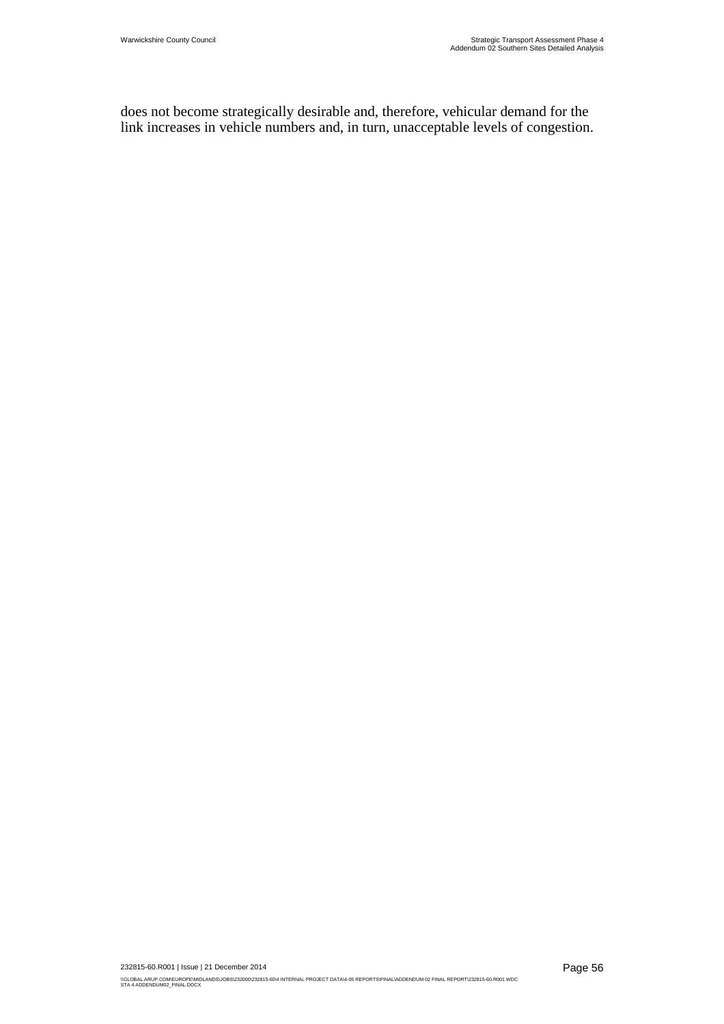does not become strategically desirable and, therefore, vehicular demand for the link increases in vehicle numbers and, in turn, unacceptable levels of congestion.